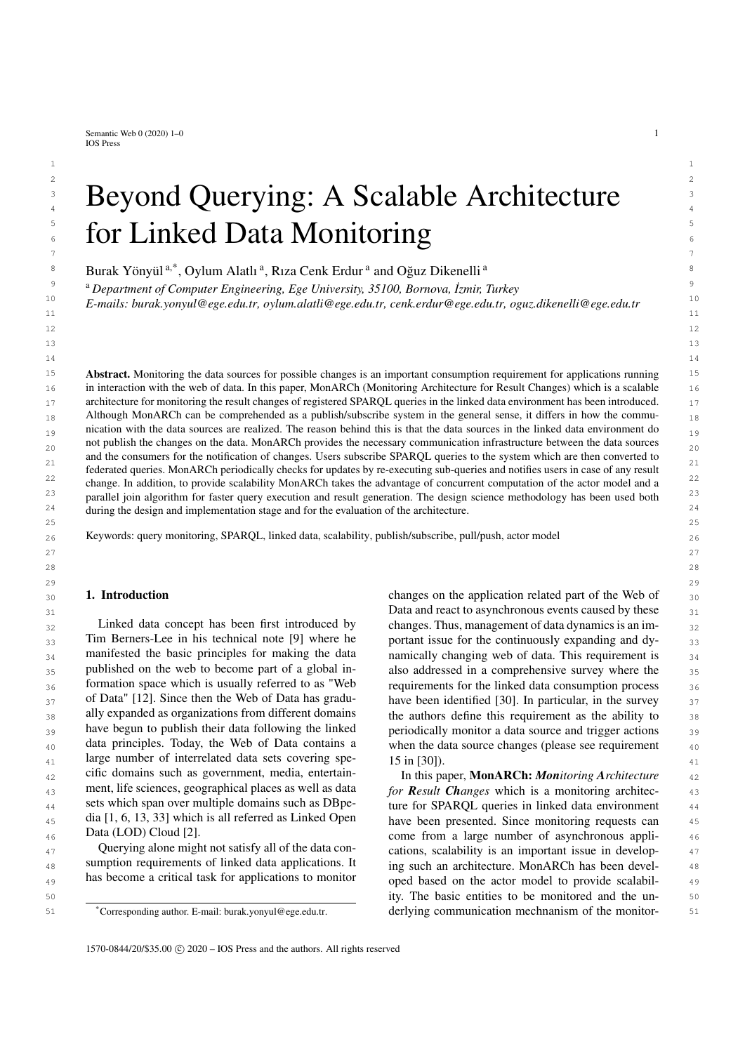<span id="page-0-2"></span><span id="page-0-0"></span>Semantic Web  $0$  (2020) 1–0 1 IOS Press

### $2 \times 2$  $\frac{3}{3}$  Revond Duerving: A Scalable Architecture  $\frac{3}{3}$ <sup>3</sup> Beyond Querying: A Scalable Architecture 5 5 **for Linked Data Monitoring**  $\overline{7}$

<sup>8</sup> Burak Yönyül<sup>[a,](#page-0-0)[\\*](#page-0-1)</sup>, Oylum Al[a](#page-0-0)tlı<sup>a</sup>, Rıza Cenk Erdur<sup>a</sup> and Oğuz Dikenelli<sup>a</sup>

<sup>9</sup> a *Department of Computer Engineering, Ege University, 35100, Bornova, İzmir, Turkey* 10 10 *E-mails: [burak.yonyul@ege.edu.tr,](mailto:burak.yonyul@ege.edu.tr) [oylum.alatli@ege.edu.tr,](mailto:oylum.alatli@ege.edu.tr) [cenk.erdur@ege.edu.tr,](mailto:cenk.erdur@ege.edu.tr) [oguz.dikenelli@ege.edu.tr](mailto:oguz.dikenelli@ege.edu.tr)*

<sup>15</sup> **Abstract.** Monitoring the data sources for possible changes is an important consumption requirement for applications running <sup>15</sup> 16 16 in interaction with the web of data. In this paper, MonARCh (Monitoring Architecture for Result Changes) which is a scalable 17 architecture for monitoring the result changes of registered SPARQL queries in the linked data environment has been introduced. 17 18 18 Although MonARCh can be comprehended as a publish/subscribe system in the general sense, it differs in how the communication with the data sources are realized. The reason behind this is that the data sources in the linked data environment do  $_{19}$ not publish the changes on the data. MonARCh provides the necessary communication infrastructure between the data sources 21<br>federated queries. MonARCh periodically checks for updates by re-executing sub-queries and notifies users in case of any result <sup>22</sup> change. In addition, to provide scalability MonARCh takes the advantage of concurrent computation of the actor model and a<sup>22</sup> <sup>23</sup> parallel join algorithm for faster query execution and result generation. The design science methodology has been used both<sup>23</sup> <sup>24</sup> during the design and implementation stage and for the evaluation of the architecture. <sup>24</sup> and the consumers for the notification of changes. Users subscribe SPARQL queries to the system which are then converted to

 $25$ 

27 сер*ата на 12* марта 12 марта 22 марта 22 марта 22 марта 22 марта 22 марта 22 марта 22 марта 22 марта 22 марта 22 28 28  $29$ 

26 26 Keywords: query monitoring, SPARQL, linked data, scalability, publish/subscribe, pull/push, actor model

### 1. Introduction

 $_{32}$  Linked data concept has been first introduced by changes. Thus, management of data dynamics is an im- $_{33}$  Tim Berners-Lee in his technical note [9] where he portant issue for the continuously expanding and dy-34 manifested the basic principles for making the data namically changing web of data. This requirement is 34 35 published on the web to become part of a global in-<br>also addressed in a comprehensive survey where the 35  $36$  formation space which is usually referred to as "Web requirements for the linked data consumption process  $36$  $37$  of Data" [12]. Since then the Web of Data has gradu-<br>have been identified [\[30\]](#page-24-1). In particular, in the survey  $_{38}$  ally expanded as organizations from different domains the authors define this requirement as the ability to  $_{38}$ 39 have begun to publish their data following the linked periodically monitor a data source and trigger actions  $_{40}$  data principles. Today, the Web of Data contains a when the data source changes (please see requirement  $_{40}$ <sup>41</sup> alarge number of interrelated data sets covering spe- 15 in [30]). 42 42 In this paper, MonARCh: *Monitoring Architecture* 43 43 *for Result Changes* which is a monitoring architec-<sup>44</sup> sets which span over multiple domains such as DBpe-<br>ture for SPARQL queries in linked data environment 45 dia [1, 6, 13, 33] which is all referred as Linked Open have been presented. Since monitoring requests can Linked data concept has been first introduced by Tim Berners-Lee in his technical note [\[9\]](#page-23-0) where he published on the web to become part of a global information space which is usually referred to as "Web of Data" [\[12\]](#page-23-1). Since then the Web of Data has gradually expanded as organizations from different domains have begun to publish their data following the linked data principles. Today, the Web of Data contains a cific domains such as government, media, entertainment, life sciences, geographical places as well as data sets which span over multiple domains such as DBpedia [\[1,](#page-23-2) [6,](#page-23-3) [13,](#page-23-4) [33\]](#page-24-0) which is all referred as Linked Open Data (LOD) Cloud [\[2\]](#page-23-5).

Querying alone might not satisfy all of the data consumption requirements of linked data applications. It has become a critical task for applications to monitor

<span id="page-0-1"></span>\*Corresponding author. E-mail: [burak.yonyul@ege.edu.tr.](mailto:burak.yonyul@ege.edu.tr)

30 **1. Introduction changes on the application related part of the Web of** 30 31 31 Data and react to asynchronous events caused by these namically changing web of data. This requirement is 15 in [\[30\]](#page-24-1)).

 46 come from a large number of asynchronous appli- Querying alone might not satisfy all of the data concurred cations, scalability is an important issue in develop- $_{48}$  sumption requirements of linked data applications. It ing such an architecture. MonARCh has been devel-<sup>49</sup> has become a critical task for applications to monitor oped based on the actor model to provide scalabil- 50 ity. The basic entities to be monitored and the un-51 derlying communication mechnanism of the monitor-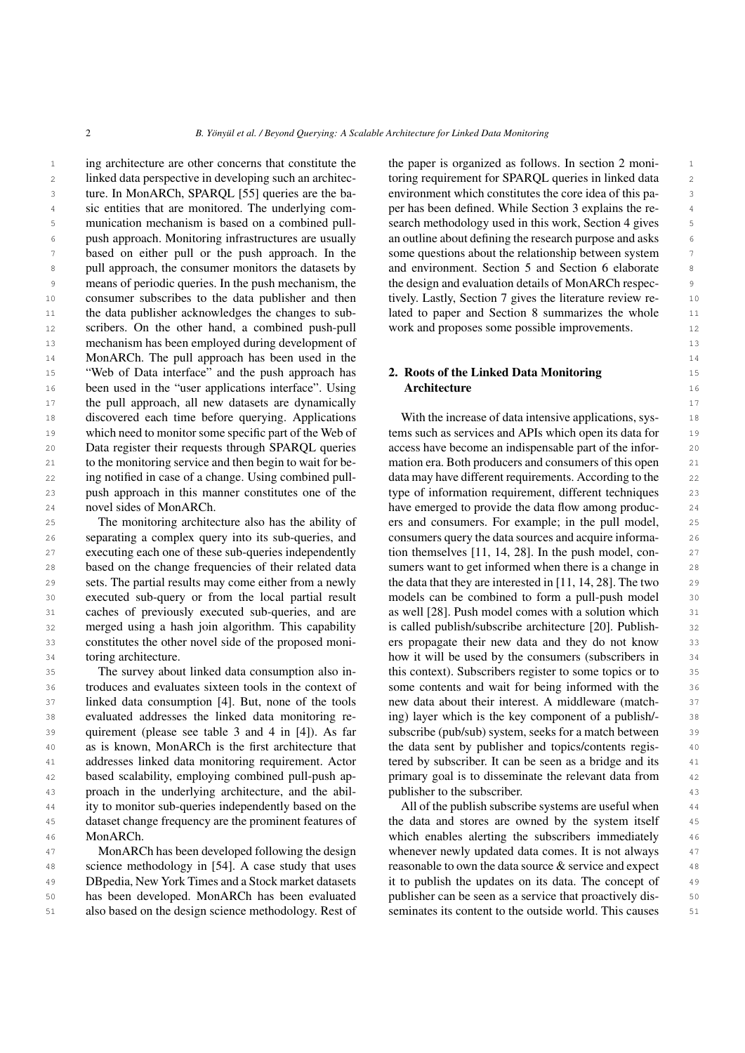<sup>1</sup> ing architecture are other concerns that constitute the the paper is organized as follows. In section 2 moni-2 2 toring requirement for SPARQL queries in linked data 3 3 ture. In MonARCh, SPARQL [\[55\]](#page-24-2) queries are the ba-<sup>4</sup> sic entities that are monitored. The underlying com- per has been defined. While Section 3 explains the re-<sup>5</sup> munication mechanism is based on a combined pull- search methodology used in this work, Section 4 gives <sup>6</sup> push approach. Monitoring infrastructures are usually an outline about defining the research purpose and asks <sup>7</sup> based on either pull or the push approach. In the some questions about the relationship between system <sup>7</sup> <sup>8</sup> bull approach, the consumer monitors the datasets by and environment. Section 5 and Section 6 elaborate <sup>8</sup> 9 means of periodic queries. In the push mechanism, the the design and evaluation details of MonARCh respec-10 consumer subscribes to the data publisher and then tively. Lastly, Section 7 gives the literature review re-<sup>11</sup> the data publisher acknowledges the changes to sub-<br>ated to paper and Section 8 summarizes the whole <sup>11</sup> 12 scribers. On the other hand, a combined push-pull work and proposes some possible improvements. 12 13 13 mechanism has been employed during development of 14 14 MonARCh. The pull approach has been used in the <sup>15</sup> "Web of Data interface" and the push approach has **2. Roots of the Linked Data Monitoring** 15 16 been used in the "user applications interface". Using **Architecture** 16 17 17 the pull approach, all new datasets are dynamically 18 discovered each time before querying. Applications With the increase of data intensive applications, sys-<br>18 19 which need to monitor some specific part of the Web of tems such as services and APIs which open its data for 19 20 Data register their requests through SPARQL queries access have become an indispensable part of the infor-21 to the monitoring service and then begin to wait for be-<br>mation era. Both producers and consumers of this open 21 22 ing notified in case of a change. Using combined pull- data may have different requirements. According to the 22 23 push approach in this manner constitutes one of the type of information requirement, different techniques 23 24 24 have emerged to provide the data flow among produclinked data perspective in developing such an architecsic entities that are monitored. The underlying communication mechanism is based on a combined pullpush approach. Monitoring infrastructures are usually pull approach, the consumer monitors the datasets by the data publisher acknowledges the changes to subwhich need to monitor some specific part of the Web of to the monitoring service and then begin to wait for benovel sides of MonARCh.

26 separating a complex query into its sub-queries, and consumers query the data sources and acquire informa-27 executing each one of these sub-queries independently tion themselves [\[11,](#page-23-6) [14,](#page-23-7) [28\]](#page-24-4). In the push model, con-<br>27 28 based on the change frequencies of their related data sumers want to get informed when there is a change in 28 29 29 the data that they are interested in [\[11,](#page-23-6) [14,](#page-23-7) [28\]](#page-24-4). The two 30 executed sub-query or from the local partial result models can be combined to form a pull-push model 30 31 caches of previously executed sub-queries, and are as well [28]. Push model comes with a solution which 31 32 merged using a hash join algorithm. This capability is called publish/subscribe architecture [20]. Publish- 32 33 constitutes the other novel side of the proposed moni- ers propagate their new data and they do not know 33 34 toring architecture. The same state of the set of the used by the consumers (subscribers in 34 The monitoring architecture also has the ability of executing each one of these sub-queries independently sets. The partial results may come either from a newly constitutes the other novel side of the proposed monitoring architecture.

36 troduces and evaluates sixteen tools in the context of some contents and wait for being informed with the 36 37 37 linked data consumption [4]. But, none of the tools 38 38 ing) layer which is the key component of a publish/- 39 quirement (please see table 3 and 4 in [4]). As far subscribe (pub/sub) system, seeks for a match between 39 40 as is known, MonARCh is the first architecture that the data sent by publisher and topics/contents regis-41 41 addresses linked data monitoring requirement. Actor 42 based scalability, employing combined pull-push ap-<br>primary goal is to disseminate the relevant data from the 42 43 proach in the underlying architecture, and the abil-<br>43 <sup>44</sup> ity to monitor sub-queries independently based on the All of the publish subscribe systems are useful when <sup>44</sup> 45 45 dataset change frequency are the prominent features of 46 MonARCh. **16 MonARCh** 246 MonARCh. The survey about linked data consumption also inevaluated addresses the linked data monitoring requirement (please see table 3 and 4 in [4]). As far based scalability, employing combined pull-push ap-MonARCh.

47 MonARCh has been developed following the design whenever newly updated data comes. It is not always 47 48 science methodology in [54]. A case study that uses reasonable to own the data source & service and expect 48 49 49 DBpedia, New York Times and a Stock market datasets 50 50 has been developed. MonARCh has been evaluated 51 also based on the design science methodology. Rest of seminates its content to the outside world. This causes 51 MonARCh has been developed following the design science methodology in [\[54\]](#page-24-3). A case study that uses

the paper is organized as follows. In section 2 monienvironment which constitutes the core idea of this pasome questions about the relationship between system the design and evaluation details of MonARCh respectively. Lastly, Section 7 gives the literature review rework and proposes some possible improvements.

## 2. Roots of the Linked Data Monitoring Architecture

25 The monitoring architecture also has the ability of ers and consumers. For example; in the pull model, 25 35 The survey about linked data consumption also in-<br>this context). Subscribers register to some topics or to 35 With the increase of data intensive applications, sysaccess have become an indispensable part of the infordata may have different requirements. According to the type of information requirement, different techniques consumers query the data sources and acquire informasumers want to get informed when there is a change in models can be combined to form a pull-push model as well [\[28\]](#page-24-4). Push model comes with a solution which is called publish/subscribe architecture [\[20\]](#page-24-5). Publishsome contents and wait for being informed with the new data about their interest. A middleware (matchthe data sent by publisher and topics/contents registered by subscriber. It can be seen as a bridge and its publisher to the subscriber.

All of the publish subscribe systems are useful when the data and stores are owned by the system itself it to publish the updates on its data. The concept of publisher can be seen as a service that proactively disseminates its content to the outside world. This causes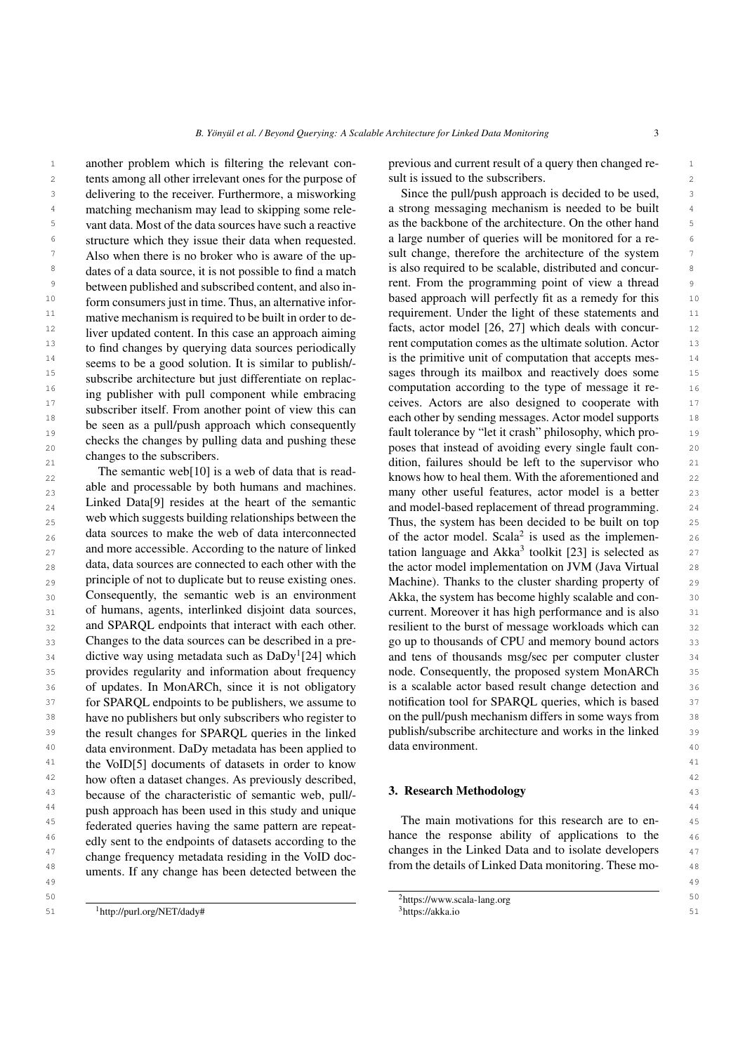1 another problem which is filtering the relevant con-<br>previous and current result of a query then changed re-2 2 tents among all other irrelevant ones for the purpose of <sup>10</sup> form consumers just in time. Thus an alternative infor-<br><sup>10</sup> based approach will perfectly fit as a remedy for this  $11$  mative mechanism is required to be built in order to de-<br>requirement. Under the light of these statements and  $11$  $\frac{12}{12}$  liver undated content In this case an approach aiming facts, actor model [\[26,](#page-24-7) [27\]](#page-24-8) which deals with concur-13 to find changes by querying data sources periodically rent computation comes as the ultimate solution. Actor 13  $\frac{14}{14}$  is the primitive unit of computation that accepts mes-<br>response to be a good solution. It is similar to publish/-<br>is the primitive unit of computation that accepts mes-15 15 sages through its mailbox and reactively does some  $\frac{16}{16}$  in multiplear with pull component while ombroing computation according to the type of message it re-<sup>17</sup> is presented that the contract with the case of the contract with the contract with the contract of view this can 18 18 each other by sending messages. Actor model supports 19 19 fault tolerance by "let it crash" philosophy, which pro-20 20 poses that instead of avoiding every single fault conmatching mechanism may lead to skipping some relevant data. Most of the data sources have such a reactive Also when there is no broker who is aware of the updates of a data source, it is not possible to find a match between published and subscribed content, and also inform consumers just in time. Thus, an alternative informative mechanism is required to be built in order to deliver updated content. In this case an approach aiming to find changes by querying data sources periodically seems to be a good solution. It is similar to publish/ subscribe architecture but just differentiate on replacing publisher with pull component while embracing subscriber itself. From another point of view this can be seen as a pull/push approach which consequently checks the changes by pulling data and pushing these changes to the subscribers.

 $22$  22 11 September 10 and the separate weight of the separate weight of the aforementioned and  $22$ 23 a we all processable by both humans and machines. The many other useful features, actor model is a better 23  $_{24}$  Linked Data[9] resides at the heart of the semantic and model-based replacement of thread programming.  $_{24}$  $_{25}$  web which suggests building relationships between the Thus, the system has been decided to be built on top  $_{25}$ [2](#page-2-1)6 data sources to make the web of data interconnected of the actor model. Scala<sup>2</sup> is used as the implemen-27 and more accessible. According to the nature of linked tation language and Akka<sup>[3](#page-2-2)</sup> toolkit [\[23\]](#page-24-9) is selected as 27 28 data, data sources are connected to each other with the the actor model implementation on JVM (Java Virtual 28 29 principle of not to duplicate but to reuse existing ones. Machine). Thanks to the cluster sharding property of 29 30 Consequently, the semantic web is an environment Akka, the system has become highly scalable and con-<br>30 31 of humans, agents, interlinked disjoint data sources, current. Moreover it has high performance and is also 32 and SPARQL endpoints that interact with each other. resilient to the burst of message workloads which can 33 Changes to the data sources can be described in a pre- go up to thousands of CPU and memory bound actors 33 34 dictive way using metadata such as DaDy<sup>1</sup>[24] which and tens of thousands msg/sec per computer cluster 34 35 provides regularity and information about frequency node. Consequently, the proposed system MonARCh 35 36 of updates. In MonARCh, since it is not obligatory is a scalable actor based result change detection and 36 <sup>37</sup> for SPARQL endpoints to be publishers, we assume to notification tool for SPARQL queries, which is based <sup>37</sup> 38 have no publishers but only subscribers who register to on the pull/push mechanism differs in some ways from 38 <sup>39</sup> the result changes for SPARQL queries in the linked publish/subscribe architecture and works in the linked <sup>39</sup> <sup>40</sup> data environment. DaDy metadata has been applied to data environment. <sup>41</sup> the VoID[\[5\]](#page-23-9) documents of datasets in order to know <sup>41</sup> <sup>42</sup> how often a dataset changes. As previously described, <sup>42</sup>  $^{43}$  because of the characteristic of semantic web, pull/-  $^{3}$ . Research Methodology  $^{43}$ <sup>44</sup> push approach has been used in this study and unique **EXECUTE:** The state of the state of the state of the state of the state of the state of the state of the state of the state of the state of the state of the state  $^{45}$   $^{45}$   $^{46}$   $^{47}$   $^{49}$   $^{49}$   $^{49}$   $^{49}$   $^{49}$   $^{49}$   $^{49}$   $^{49}$   $^{49}$   $^{49}$   $^{49}$   $^{49}$   $^{49}$   $^{49}$   $^{49}$   $^{49}$   $^{49}$   $^{49}$   $^{49}$   $^{49}$   $^{49}$   $^{49}$   $^{49}$   $^{49}$   $^{49}$   $^{49}$   $^{49}$   $^{49$ <sup>46</sup> edly sent to the endpoints of datasets according to the hance the response ability of applications to the 46 <sup>47</sup> changes from an extended to residing in the VoID does changes in the Linked Data and to isolate developers <sup>47</sup> <sup>48</sup> the settlement of Linked Data monitoring. These mo-<br><sup>48</sup> trouble the settlement of Linked Data monitoring. These mo- $\frac{49}{49}$ The semantic web[\[10\]](#page-23-8) is a web of data that is readable and processable by both humans and machines. Linked Data[\[9\]](#page-23-0) resides at the heart of the semantic web which suggests building relationships between the data sources to make the web of data interconnected and more accessible. According to the nature of linked data, data sources are connected to each other with the principle of not to duplicate but to reuse existing ones. Consequently, the semantic web is an environment of humans, agents, interlinked disjoint data sources, and SPARQL endpoints that interact with each other. Changes to the data sources can be described in a predictive way using metadata such as  $DaDy<sup>1</sup>[24]$  $DaDy<sup>1</sup>[24]$  $DaDy<sup>1</sup>[24]$  $DaDy<sup>1</sup>[24]$  which provides regularity and information about frequency of updates. In MonARCh, since it is not obligatory have no publishers but only subscribers who register to federated queries having the same pattern are repeatedly sent to the endpoints of datasets according to the change frequency metadata residing in the VoID documents. If any change has been detected between the

previous and current result of a query then changed result is issued to the subscribers.

3 3 delivering to the receiver. Furthermore, a misworking <sup>4</sup> matching mechanism may lead to skipping some rele- a strong messaging mechanism is needed to be built <sup>4</sup> <sup>5</sup> vant data. Most of the data sources have such a reactive as the backbone of the architecture. On the other hand <sup>6</sup> structure which they issue their data when requested. a large number of queries will be monitored for a re-<sup>7</sup> Also when there is no broker who is aware of the up-<br><sup>7</sup> sult change, therefore the architecture of the system <sup>8</sup> dates of a data source, it is not possible to find a match is also required to be scalable, distributed and concur-<sup>9</sup> between published and subscribed content, and also in-<br><sup>9</sup> rent. From the programming point of view a thread  $21$  charges to the subsettively. Since the pull/push approach is decided to be used, a large number of queries will be monitored for a renotification tool for SPARQL queries, which is based publish/subscribe architecture and works in the linked data environment.

### 3. Research Methodology

<span id="page-2-0"></span><sup>51</sup> 51 <sup>1</sup><http://purl.org/NET/dady#>

<sup>50</sup> **1**  $\frac{2}{\text{https://www.scala-lang.org}}$  $\frac{2}{\text{https://www.scala-lang.org}}$  $\frac{2}{\text{https://www.scala-lang.org}}$  50

<span id="page-2-2"></span><span id="page-2-1"></span><sup>3</sup><https://akka.io>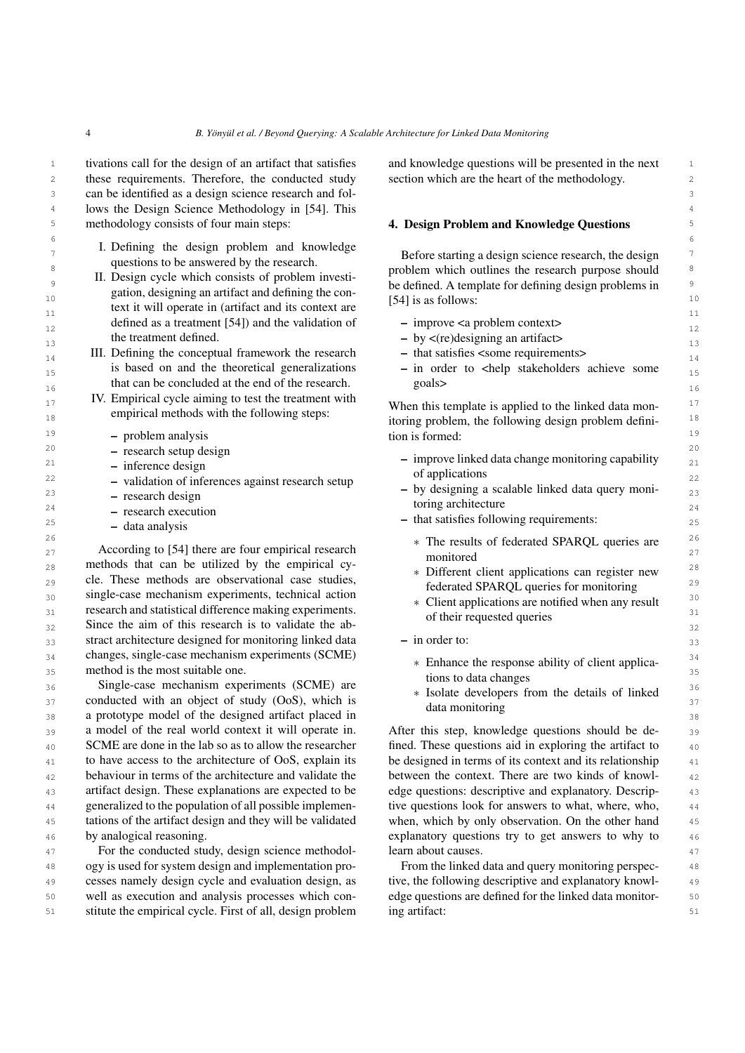<sup>1</sup> tivations call for the design of an artifact that satisfies and knowledge questions will be presented in the next 2 these requirements. Therefore, the conducted study section which are the heart of the methodology. 3 3 can be identified as a design science research and fol-4 4 lows the Design Science Methodology in [\[54\]](#page-24-3). This 5 5 4. Design Problem and Knowledge Questions methodology consists of four main steps:

- 6 6  $\frac{1}{2}$  **Example 1.** Example 1. Suppose the design science research, the design  $\frac{1}{2}$ I. Defining the design problem and knowledge questions to be answered by the research.
- text it will operate in (artifact and its context are  $11$ defined as a treatment [\[54\]](#page-24-3)) and the validation of  $\qquad$  – improve  $\lt$  a problem context $\gt$ II. Design cycle which consists of problem investithe treatment defined.
- III. Defining the conceptual framework the research  $\qquad$  that satisfies <some requirements> is based on and the theoretical generalizations  $-$  in order to  $\lt$ help stakeholders achieve some that can be concluded at the end of the research. goals> goals  $\frac{16}{16}$ is based on and the theoretical generalizations
- 17 11. Empirical eyerc anning to test the treatment with  $\frac{17}{2}$  When this template is applied to the linked data mon-IV. Empirical cycle aiming to test the treatment with empirical methods with the following steps:
	-
- 20 20 research setup design
	- inference design
- <sup>22</sup>  $\blacksquare$  validation of inferences against research setup of applications  $\blacksquare$ 
	- research design
	- - data analysis

 $_{27}$  According to [\[54\]](#page-24-3) there are four empirical research monitored monitored 28 methods that can be utilized by the empirical cy-<br> $\frac{1}{28}$  methods that can be utilized by the empirical cy- $29$  cle. These methods are observational case studies,<br> $29$   $29$   $29$   $29$ <sup>30</sup> single-case mechanism experiments, technical action<br><sup>30</sup> 31 research and statistical difference making experiments.<br>31 **31 12 131 131 131 131 131 131 131 131 131 131 131 131 131 131 131 131 131 131 131 131 131 131 131 131 131**  $32$  Since the aim of this research is to validate the ab-<br> $32$  $33$  stract architecture designed for monitoring linked data  $-$  in order to:  $33$ 34 34 changes, single-case mechanism experiments (SCME) 35 method is the most suitable one.

36 Single-case mechanism experiments (SCME) are the decompassion of the details of linked 36  $37$  conducted with an object of study (OoS), which is  $37$  study experimentally conducted with an object of study (OoS), which is 38 **a prototype model of the designed artifact placed in Same can be considered as a set of the designed artifact placed in** 39 a model of the real world context it will operate in. After this step, knowledge questions should be de-<br>39 40 SCME are done in the lab so as to allow the researcher fined. These questions aid in exploring the artifact to  $\frac{40}{40}$ <sup>41</sup> to have access to the architecture of OoS, explain its be designed in terms of its context and its relationship <sup>42</sup> behaviour in terms of the architecture and validate the between the context. There are two kinds of knowl-<sup>43</sup> artifact design. These explanations are expected to be edge questions: descriptive and explanatory. Descrip-44 generalized to the population of all possible implemen-<br>tive questions look for answers to what, where, who, 45 45 tations of the artifact design and they will be validated <sup>46</sup> by analogical reasoning. The explanatory questions try to get answers to why to <sup>46</sup> a model of the real world context it will operate in. SCME are done in the lab so as to allow the researcher behaviour in terms of the architecture and validate the artifact design. These explanations are expected to be by analogical reasoning.

47 47 For the conducted study, design science methodol-48 48 ogy is used for system design and implementation pro-49 cesses namely design cycle and evaluation design, as tive, the following descriptive and explanatory knowl-50 well as execution and analysis processes which con-edge questions are defined for the linked data monitor-51 51 stitute the empirical cycle. First of all, design problem well as execution and analysis processes which con-

<span id="page-3-0"></span>and knowledge questions will be presented in the next section which are the heart of the methodology.

 $\frac{8}{2}$  Brown as the research purpose should  $\frac{8}{2}$  brown interests of residents of residents interest.  $\frac{1}{9}$   $\frac{1}{9}$   $\frac{1}{9}$   $\frac{1}{9}$  be defined. A template for defining design problems in gation, designing an artifact and defining the con-<br><sup>10</sup><br>10<br>10 [\[54\]](#page-24-3) is as follows:

the treatment defined.  $-$  by  $\lt$ (re)designing an artifact>  $13$ – improve <a problem context> – that satisfies <some requirements> goals>

18 18 itoring problem, the following design problem defini-<sup>19</sup> - problem analysis and the set of the set of the set of the set of the set of the set of the set of the set of the set of the set of the set of the set of the set of the set of the set of the set of the set of the set tion is formed:

- $\frac{21}{2}$  inference design  $\frac{21}{2}$  improve linked data change monitoring capability  $\frac{21}{21}$ of applications
- $\frac{23}{2}$  by designing a scalable linked data query moni-<br> $\frac{23}{2}$  $24$  – research execution  $24$  that existence is exploring assuments. toring architecture
- $\frac{25}{25}$   $\frac{1}{25}$   $\frac{1}{25}$   $\frac{1}{25}$   $\frac{1}{25}$   $\frac{1}{25}$   $\frac{1}{25}$   $\frac{1}{25}$   $\frac{1}{25}$   $\frac{1}{25}$   $\frac{1}{25}$   $\frac{1}{25}$
- <sup>26</sup> <sup>26</sup> <sup>26</sup> 26 **A seemling to [54] there are four apprimised research**  $*$  The results of federated SPARQL queries are <sup>26</sup> monitored
	- ∗ Different client applications can register new federated SPARQL queries for monitoring
	- ∗ Client applications are notified when any result of their requested queries
	- in order to:
		- ∗ Enhance the response ability of client applications to data changes
		- ∗ Isolate developers from the details of linked data monitoring

be designed in terms of its context and its relationship tive questions look for answers to what, where, who, when, which by only observation. On the other hand learn about causes.

From the linked data and query monitoring perspective, the following descriptive and explanatory knowling artifact: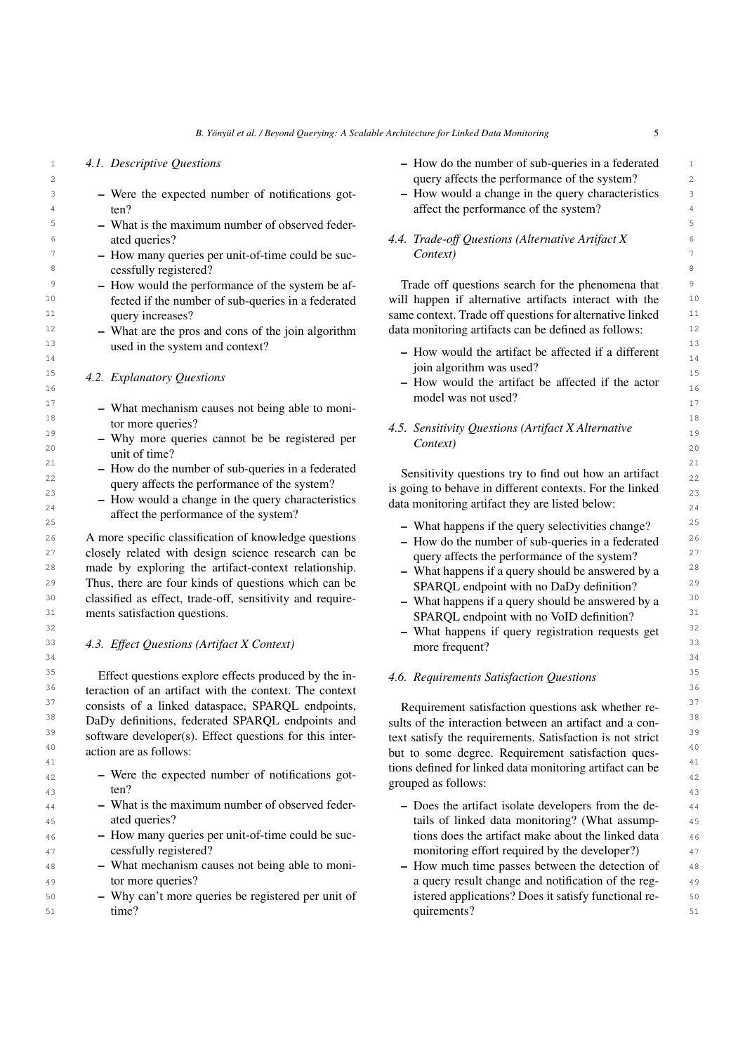### *4.1. Descriptive Questions*

- <sup>3</sup> Were the expected number of notifications got-<br><sup>3</sup> How would a change in the query characteristics – Were the expected number of notifications gotten?
- 5 5 What is the maximum number of observed feder-6 6 *4.4. Trade-off Questions (Alternative Artifact X* ated queries?
- $7 \rightarrow$  How many queries per unit-of-time could be suc-<br>The context of  $[7 \text{ hours} \cdot 7 \cdot 7]$ 8 8 cessfully registered?
	- fected if the number of sub-queries in a federated query increases?
- <sup>12</sup> What are the pros and cons of the join algorithm data monitoring artifacts can be defined as follows: <sup>13</sup> used in the system and context?<br>
<sup>13</sup>

- $17$  What mechanism causes not being able to moni-<br> $17$  $\frac{18}{18}$  18 tor more queries?
- 20  $20$   $20$ unit of time?
- <sup>21</sup>  $\blacksquare$  How do the number of sub-queries in a federated sensitivity questions try to find out how an artifact  $\frac{22}{2}$  – How do the number of sub-queries in a federated Sensitivity questions try to find out how an artifact  $\frac{22}{2}$ query affects the performance of the system?
- $\frac{24}{24}$  How would a change in the query characteristics data monitoring artifact they are listed below: – How would a change in the query characteristics affect the performance of the system?

26 A more specific classification of knowledge questions  $\overline{a}$  How do the number of sub-queries in a federated 26 <sup>27</sup> closely related with design science research can be all only affects the performance of the system? <sup>28</sup> made by exploring the artifact-context relationship.  $\overline{v}$  what happens if a query should be answered by a <sup>29</sup> Thus, there are four kinds of questions which can be **SPAROL** endpoint with no DaDy definition? <sup>30</sup> classified as effect, trade-off, sensitivity and require-<br> $\overline{ }$  What happens if a query should be answered by a 31 ments satisfaction questions. SPARQL endpoint with no VoID definition? <sup>31</sup> ments satisfaction questions.

<sup>35</sup> Effect questions explore effects produced by the in-<br>  $4.6.$  Requirements Satisfaction Questions <sup>36</sup> teraction of an artifact with the context. The context and the state of the state of the state of the state of the state of the state of the state of the state of the state of the state of the state of the state of th <sup>37</sup> consists of a linked dataspace, SPARQL endpoints, Requirement satisfaction questions ask whether re-<sup>37</sup> <sup>38</sup> DaDy definitions, federated SPARQL endpoints and sults of the interaction between an artifact and a con-<sup>38</sup> 39 software developer(s). Effect questions for this inter-<br>text satisfy the requirements. Satisfaction is not strict <sup>39</sup> action are as follows:

- <sup>42</sup> Were the expected number of notifications got-<br><sup>42</sup>  $43$  **ten**?  $43$ ten?
- <sup>44</sup> What is the maximum number of observed feder- Does the artifact isolate developers from the de-45 45 tails of linked data monitoring? (What assump-– What is the maximum number of observed federated queries?
- <sup>46</sup> How many queries per unit-of-time could be suc-<br><sup>46</sup> tions does the artifact make about the linked data – How many queries per unit-of-time could be successfully registered?
- <sup>48</sup> What mechanism causes not being able to moni-<br>- How much time passes between the detection of 49 49 a query result change and notification of the regtor more queries?
- 50 Why can't more queries be registered per unit of istered applications? Does it satisfy functional re-<br>50 51 51 time?
- <sup>1</sup> 4.1. Descriptive Questions **1** 1 **1** How do the number of sub-queries in a federated 2 2 query affects the performance of the system?
- <sup>4</sup> ten? **affect the performance of the system?** 
	- *Context)*

<sup>9</sup> - How would the performance of the system be af-<br>Trade off questions search for the phenomena that <sup>10</sup> fected if the number of sub-queries in a federated will happen if alternative artifacts interact with the <sup>10</sup> <sup>11</sup> 11 query increases? Same context. Trade off questions for alternative linked<sup>11</sup> Trade off questions search for the phenomena that data monitoring artifacts can be defined as follows:

- asca in the system and context:<br> $14$  How would the artifact be affected if a different join algorithm was used?
- <sup>15</sup> 15 *4.2. Explanatory Questions* 15 **15** 15 **15** 15 **160** 15 **160** 15 **160** 15 **160** 15 **160** 15 **160** 15 **160** 15 **160** 15 **160** 15 **160** 15 **160** 15 **160** 15 **160** 15 **160** 15 **160** 15 **160** 15 **160** 15 **160** 15 **160** 4.2. *Explanatory Questions*  $\frac{16}{16}$  - How would the artifact be affected if the actor model was not used?
- <sup>19</sup>  $\frac{4.5}{\text{Center}}$  Why more queries cannot be be registered per  $\frac{4.5}{\text{Center}}$ *4.5. Sensitivity Questions (Artifact X Alternative Context)*

query allects the performance of the system! is going to behave in different contexts. For the linked  $\frac{23}{23}$ 

- $^{25}$  What happens if the query selectivities change?
	- How do the number of sub-queries in a federated query affects the performance of the system?
	- What happens if a query should be answered by a SPARQL endpoint with no DaDy definition?
	- What happens if a query should be answered by a
- $32$  What happens if query registration requests get  $32$ 33 33 *4.3. Effect Questions (Artifact X Context)* more frequent?

### *4.6. Requirements Satisfaction Questions*

40 action are as follows:<br>but to some degree. Requirement satisfaction ques-<sup>41</sup> tions defined for linked data monitoring artifact can be Requirement satisfaction questions ask whether results of the interaction between an artifact and a context satisfy the requirements. Satisfaction is not strict grouped as follows:

- <sup>47</sup> cessfully registered? **and the contract of the contract of the development of the development of the development of the development of the development of the development of the development of the development of the de** 
	- How much time passes between the detection of istered applications? Does it satisfy functional requirements?

 $\frac{34}{3}$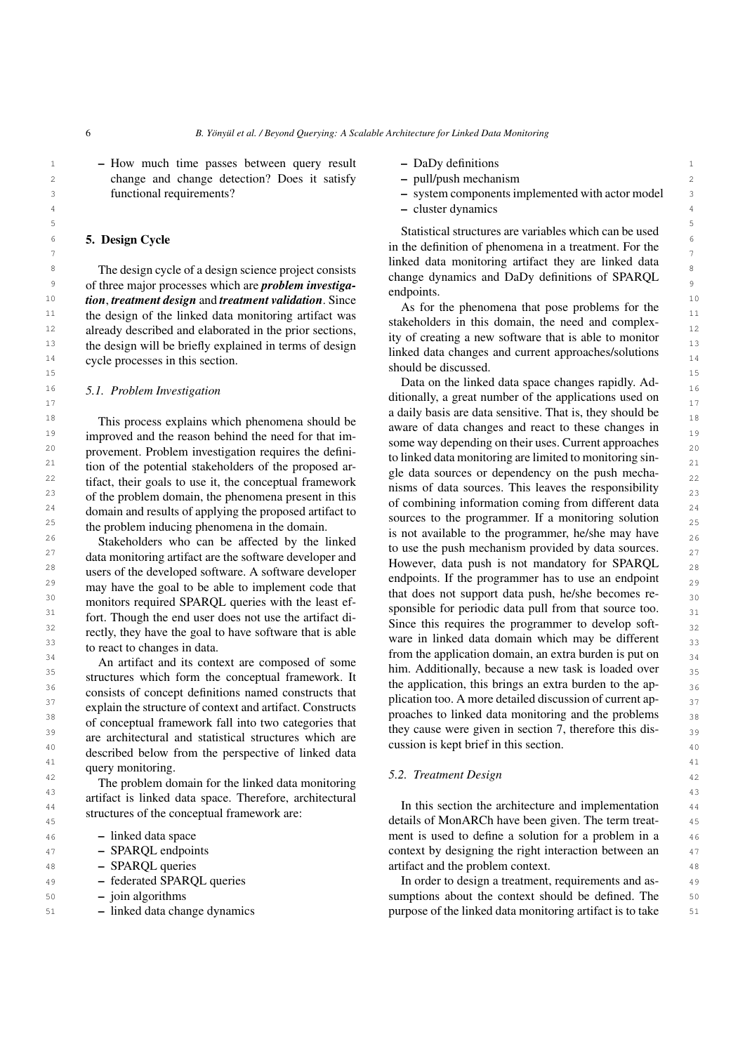1 - How much time passes between query result - DaDy definitions 1 2 change and change detection? Does it satisfy  $-$  pull/push mechanism functional requirements?

### <span id="page-5-1"></span>5. Design Cycle

<sup>8</sup> The design cycle of a design science project consists  $\frac{1}{2}$  through density and  $\frac{1}{2}$  and  $\frac{1}{2}$  of  $\frac{1}{2}$  and  $\frac{1}{2}$   $\frac{1}{2}$   $\frac{1}{2}$   $\frac{1}{2}$   $\frac{1}{2}$   $\frac{1}{2}$   $\frac{1}{2}$   $\frac{1}{2}$   $\frac{1}{2}$   $\$ 9 9 of three major processes which are *problem investiga-*10 10 *tion*, *treatment design* and *treatment validation*. Since <sup>11</sup> the design of the linked data monitoring artifact was the helphalders in this demain the need and complex <sup>11</sup> <sup>12</sup> already described and elaborated in the prior sections, ity of creating a new software that is able to monitor <sup>13</sup> the design will be briefly explained in terms of design  $\frac{13}{1}$  inked data changes and current approache/solutions <sup>14</sup> cycle processes in this section.

 $19$  improved and the reason behind the need for that im-<br>some way depending on their uses. Current approaches 20 provement. Problem investigation requires the defini-<br>to linked data monitoring are limited to monitoring sin <sup>21</sup> tion of the potential stakeholders of the proposed ar-<br> $\frac{1}{21}$  also the sources or dependency on the push mecha <sup>22</sup> tifact, their goals to use it, the conceptual framework  $\frac{\text{guc} \text{data} \text{ sources of dephalency on the pass interval}}{\text{mimes of data sources}}$ <sup>23</sup> of the problem domain, the phenomena present in this this information coming from different data  $^{24}$  domain and results of applying the proposed artifact to  $^{24}$  courses to the programmer. If a monitoring solution

27 data monitoring artifact are the software developer and  $\frac{10 \text{ kg}}{\text{Howayer data}}$  by the method of the provided by data sources.  $^{28}$  users of the developed software. A software developer and points If the programmer has to use an andpoint  $29$  may have the goal to be able to implement code that  $29$  that does not support data push halshe becomes re  $\frac{30}{30}$  may have the goal to be able to implement code that  $\frac{30}{30}$  that does not support data push, he/she becomes re- $\frac{31}{2}$  for Though the and user does not use the ertified diversion of the external sponsible for periodic data pull from that source too.  $32$  since this requires the programmer to develop som-<br>rectly, they have the goal to have software that is able<br>were in linked data domain which may be different Every, they have the goal to have software that is able ware in linked data domain which may be different  $\frac{33}{2}$ monitors required SPARQL queries with the least effort. Though the end user does not use the artifact dito react to changes in data.

 $\frac{35}{25}$  at a direct and its context are composed of some  $\frac{1}{25}$  him. Additionally, because a new task is loaded over  $\frac{35}{25}$  $\frac{36}{20}$  successive of a proposed the application, this brings an extra burden to the ap-<br>36  $\frac{37}{2}$  substituted discussion of current ap-<br> $\frac{37}{2}$  $\frac{38}{2}$  38  $\frac{38}{2}$   $\frac{38}{2}$   $\frac{38}{2}$   $\frac{38}{2}$   $\frac{38}{2}$   $\frac{38}{2}$   $\frac{38}{2}$   $\frac{38}{2}$   $\frac{38}{2}$   $\frac{38}{2}$   $\frac{38}{2}$   $\frac{38}{2}$   $\frac{38}{2}$   $\frac{38}{2}$   $\frac{38}{2}$   $\frac{38}{2}$   $\frac{38}{2}$   $\frac{38}{2}$   $\frac{38}{2}$  $\frac{39}{2}$  3.39  $\frac{39}{2}$  they cause were given in section [7,](#page-21-0) therefore this dis-40 december and substructed substructure of the definition of the cussion is kept brief in this section. 41 41 An artifact and its context are composed of some structures which form the conceptual framework. It consists of concept definitions named constructs that explain the structure of context and artifact. Constructs of conceptual framework fall into two categories that are architectural and statistical structures which are described below from the perspective of linked data query monitoring.

<sup>42</sup><br>The problem domain for the linked data monitoring 3.2. Treatment Design <sup>43</sup> artifact is linked data space. Therefore, architectural the spatial artifactives and implementation 44 and the contract of the contract of the contract of the contract of the contract of the contract of the contract of the contract of the contract of the contract of the contract of the contract of the contract of the con structures of the conceptual framework are:

- linked data space
- SPARQL endpoints
- SPARQL queries
- federated SPARQL queries
- join algorithms
- linked data change dynamics
- DaDy definitions
- pull/push mechanism
- 3 3 system components implemented with actor model
- 4 4 cluster dynamics

5 5 Statistical structures are variables which can be used 5. Design Cycle in the definition of phenomena in a treatment. For the  $\frac{6}{7}$  $\frac{7}{10}$ <br>and the state of the state in the community of the community of the linked data monitoring artifact they are linked data change dynamics and DaDy definitions of SPARQL endpoints.

 $\frac{15}{21}$  15 As for the phenomena that pose problems for the stakeholders in this domain, the need and complexity of creating a new software that is able to monitor linked data changes and current approaches/solutions should be discussed.

<span id="page-5-0"></span>16 16 *5.1. Problem Investigation* 2.1. *Tholem Investigation*  $\frac{17}{17}$  ditionally, a great number of the applications used on <sup>18</sup> 18 18 This process explains which phenomena should be a varie of data changes and react to these changes in <sup>25</sup> the problem inducing phenomena in the domain.<br><sup>25</sup> is not available to the programmer, belshe may have 26 26 26<br>Stakeholders who can be affected by the linked  $\frac{1}{26}$  to use the push mechanism provided by data sources  $\frac{34}{10}$  from the application domain, an extra burden is put on  $\frac{34}{10}$ Data on the linked data space changes rapidly. Ada daily basis are data sensitive. That is, they should be aware of data changes and react to these changes in some way depending on their uses. Current approaches to linked data monitoring are limited to monitoring single data sources or dependency on the push mechanisms of data sources. This leaves the responsibility of combining information coming from different data sources to the programmer. If a monitoring solution is not available to the programmer, he/she may have to use the push mechanism provided by data sources. However, data push is not mandatory for SPARQL endpoints. If the programmer has to use an endpoint Since this requires the programmer to develop soft-

### *5.2. Treatment Design*

<sup>45</sup> <sup>45</sup> <sup>45</sup> and the conceptual namework are.  $\theta$  details of MonARCh have been given. The term treat-46 46 ment is used to define a solution for a problem in a <sup>47</sup> - SPARQL endpoints and the right interaction between and <sup>47</sup> 48 - SPARQL queries artifact and the problem context.

49 49 In order to design a treatment, requirements and as-50 50 sumptions about the context should be defined. The 51 51 purpose of the linked data monitoring artifact is to take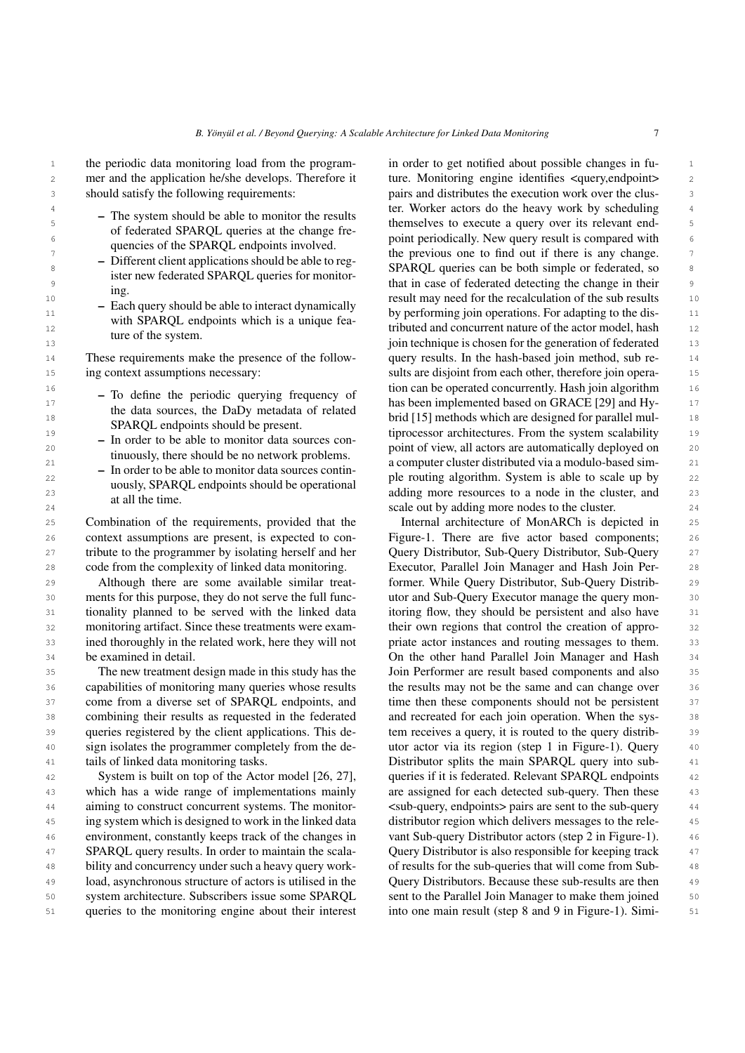should satisfy the following requirements:

- The system should be able to monitor the results of federated SPARQL queries at the change frequencies of the SPARQL endpoints involved.
- Different client applications should be able to register new federated SPARQL queries for monitoring.
- Each query should be able to interact dynamically with SPARQL endpoints which is a unique feature of the system.

ing context assumptions necessary:

- To define the periodic querying frequency of the data sources, the DaDy metadata of related SPARQL endpoints should be present.
- In order to be able to monitor data sources continuously, there should be no network problems.
- In order to be able to monitor data sources continuously, SPARQL endpoints should be operational at all the time.

context assumptions are present, is expected to concode from the complexity of linked data monitoring.

Although there are some available similar treatments for this purpose, they do not serve the full funcbe examined in detail.

36 capabilities of monitoring many queries whose results the results may not be the same and can change over 36 37 come from a diverse set of SPARQL endpoints, and time then these components should not be persistent 37 38 combining their results as requested in the federated and recreated for each join operation. When the sys-39 queries registered by the client applications. This de-<br>39 query, it is routed to the query distrib-40 sign isolates the programmer completely from the de-<br>40 utor actor via its region (step 1 in Figure[-1\)](#page-7-0). Query The new treatment design made in this study has the queries registered by the client applications. This design isolates the programmer completely from the details of linked data monitoring tasks.

42 System is built on top of the Actor model [26, 27], queries if it is federated. Relevant SPARQL endpoints 42 43 which has a wide range of implementations mainly are assigned for each detected sub-query. Then these 43 44 aiming to construct concurrent systems. The monitor-<br>  $\leq$ sub-query, endpoints> pairs are sent to the sub-query<br>
44 45 45 ing system which is designed to work in the linked data 46 environment, constantly keeps track of the changes in vant Sub-query Distributor actors (step 2 in Figure-1). 46 47 SPARQL query results. In order to maintain the scala- Query Distributor is also responsible for keeping track 47 48 48 bility and concurrency under such a heavy query work-49 49 load, asynchronous structure of actors is utilised in the 50 50 system architecture. Subscribers issue some SPARQL 51 queries to the monitoring engine about their interest into one main result (step 8 and 9 in Figure-1). Simi-<br>51 System is built on top of the Actor model [\[26,](#page-24-7) [27\]](#page-24-8), which has a wide range of implementations mainly aiming to construct concurrent systems. The monitor-SPARQL query results. In order to maintain the scala-

<sup>1</sup> the periodic data monitoring load from the program- in order to get notified about possible changes in fu-2 mer and the application he/she develops. Therefore it ture. Monitoring engine identifies <query,endpoint> 2 3 3 pairs and distributes the execution work over the clus-<sup>4</sup> ter. Worker actors do the heavy work by scheduling <sup>4</sup> 5 5 themselves to execute a query over its relevant end-6 6 point periodically. New query result is compared with <sup>7</sup> The previous of the previous one to find out if there is any change.  $\frac{1}{2}$  8  $\frac{1}{2}$  8  $\frac{1}{2}$  8  $\frac{1}{2}$  8  $\frac{1}{2}$  8  $\frac{1}{2}$  8  $\frac{1}{2}$  8  $\frac{1}{2}$  8  $\frac{1}{2}$  8  $\frac{1}{2}$  8  $\frac{1}{2}$  9  $\frac{1}{2}$  8  $\frac{1}{2}$  9  $\frac{1}{2}$  8  $\frac{1}{2}$  9  $\frac{1}{2}$  9  $\frac{1}{2}$  9  $\frac{1}{2}$  9  $\frac{1$ <sup>9</sup> that in case of federated detecting the change in their <sup>9</sup> 10 10 result may need for the recalculation of the sub results 11 11 by performing join operations. For adapting to the dis-12 **12** tributed and concurrent nature of the actor model, hash 12 13 13 join technique is chosen for the generation of federated <sup>14</sup> These requirements make the presence of the follow- query results. In the hash-based join method, sub re- <sup>14</sup> 15 15 sults are disjoint from each other, therefore join opera-<sup>16</sup> 16 16 To define the periodic suggesting fractional concurrent concurrently. Hash join algorithm <sup>16</sup> <sup>17</sup> <sup>17</sup> **has been implemented based on GRACE** [\[29\]](#page-24-10) and Hy-<sup>17</sup> 18 18 brid [\[15\]](#page-23-10) methods which are designed for parallel mul-19 19 tiprocessor architectures. From the system scalability 20 20 point of view, all actors are automatically deployed on 21 **a** computer cluster distributed via a modulo-based sim-<br>a computer cluster distributed via a modulo-based sim-22 **22** 22 **22** 22 **22** 22 **22** 22 **22** 22 **22 22 22 22 22 22 22 22 22 22 22 22 22 22 22 22 22 22 22 22 22 22 22 22 22 22 22 22 22 22 22 22 22 22 22 22** 23 **23** 23 **23** 24 **24** 25 **23** 25 **23** 25 **23** 25 **23** 25 **24** 25 **24** 25 **24** 25 **24** 25 **24** 25 **25** 24 **and a scale out by adding more nodes to the cluster.** 24 in order to get notified about possible changes in future. Monitoring engine identifies <query,endpoint> query results. In the hash-based join method, sub re-

25 Combination of the requirements, provided that the Internal architecture of MonARCh is depicted in 25 26 context assumptions are present, is expected to con-<br>Figure[-1.](#page-7-0) There are five actor based components; 26 27 27 tribute to the programmer by isolating herself and her 28 code from the complexity of linked data monitoring. Executor, Parallel Join Manager and Hash Join Per-<br>28 29 Although there are some available similar treat- former. While Query Distributor, Sub-Query Distrib- 29 30 ments for this purpose, they do not serve the full func- utor and Sub-Query Executor manage the query mon- 30 31 ionality planned to be served with the linked data itoring flow, they should be persistent and also have 31 32 monitoring artifact. Since these treatments were exam-<br>their own regions that control the creation of appro-<br>32 33 ined thoroughly in the related work, here they will not priate actor instances and routing messages to them. 33 34 34 On the other hand Parallel Join Manager and Hash 35 The new treatment design made in this study has the Join Performer are result based components and also 35 41 41 Distributor splits the main SPARQL query into sub-Internal architecture of MonARCh is depicted in Query Distributor, Sub-Query Distributor, Sub-Query itoring flow, they should be persistent and also have their own regions that control the creation of appropriate actor instances and routing messages to them. the results may not be the same and can change over time then these components should not be persistent and recreated for each join operation. When the sysdistributor region which delivers messages to the relevant Sub-query Distributor actors (step 2 in Figure[-1\)](#page-7-0). of results for the sub-queries that will come from Sub-Query Distributors. Because these sub-results are then sent to the Parallel Join Manager to make them joined into one main result (step 8 and 9 in Figure[-1\)](#page-7-0). Simi-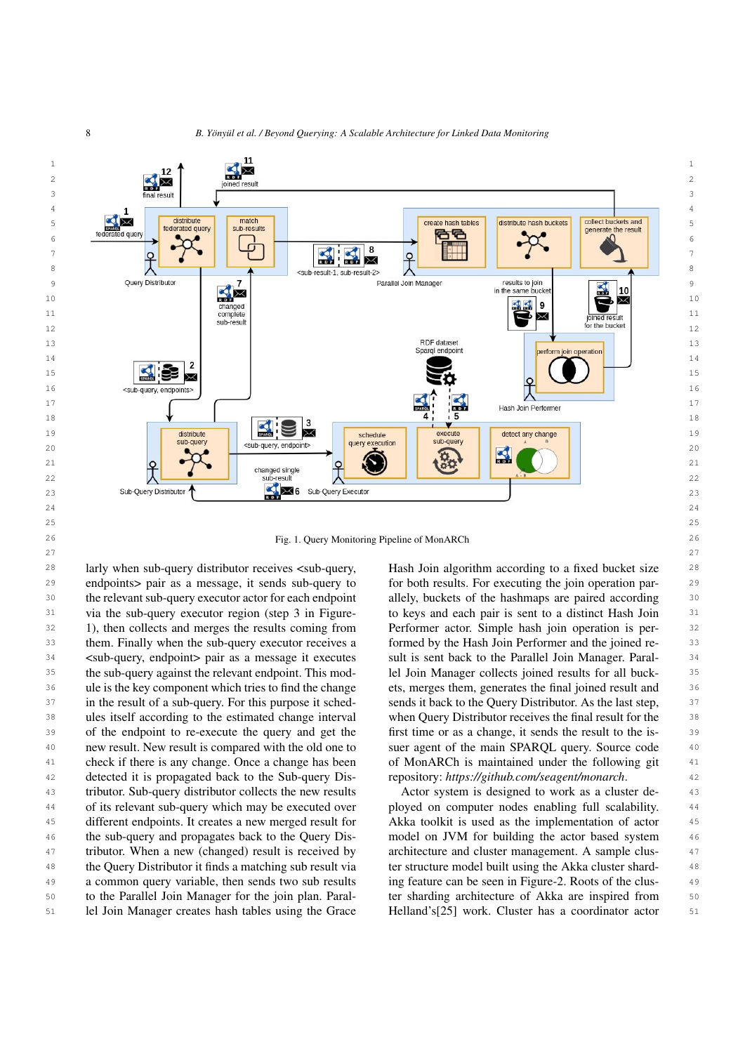

<span id="page-7-0"></span>26 26 Fig. 1. Query Monitoring Pipeline of MonARCh 27 сер*ата на 12* марта 12 марта 22 марта 22 марта 22 марта 22 марта 22 марта 22 марта 22 марта 22 марта 22 марта 22

<sup>29</sup> endpoints> pair as a message, it sends sub-query to for both results. For executing the join operation par-<sup>30</sup> the relevant sub-query executor actor for each endpoint allely, buckets of the hashmaps are paired according <sup>30</sup> <sup>31</sup> via the sub-query executor region (step 3 in Figure- to keys and each pair is sent to a distinct Hash Join <sup>31</sup> 32 1), then collects and merges the results coming from Performer actor. Simple hash join operation is per-<br>32 33 them. Finally when the sub-query executor receives a formed by the Hash Join Performer and the joined re- 33 34 34 <sub-query, endpoint> pair as a message it executes <sup>35</sup> the sub-query against the relevant endpoint. This mod-<br><sup>35</sup> led Join Manager collects joined results for all buck-36 ule is the key component which tries to find the change ets, merges them, generates the final joined result and 36 <sup>37</sup> in the result of a sub-query. For this purpose it sched-<br><sup>37</sup> in the result of a sub-query. For this purpose it sched-<br>**87** sends it back to the Query Distributor. As the last step, 38 ules itself according to the estimated change interval when Query Distributor receives the final result for the 38 39 of the endpoint to re-execute the query and get the first time or as a change, it sends the result to the is-<sup>40</sup> new result. New result is compared with the old one to suer agent of the main SPARQL query. Source code <sup>40</sup> <sup>41</sup> check if there is any change. Once a change has been of MonARCh is maintained under the following git <sup>41</sup> 42 detected it is propagated back to the Sub-query Dis-<br>
approximatory: https://github.com/seagent/monarch. 43 43 tributor. Sub-query distributor collects the new results <sup>44</sup> of its relevant sub-query which may be executed over ployed on computer nodes enabling full scalability. <sup>44</sup> 45 45 Akka toolkit is used as the implementation of actor <sup>46</sup> the sub-query and propagates back to the Query Dis- model on JVM for building the actor based system <sup>46</sup> <sup>47</sup> tributor. When a new (changed) result is received by architecture and cluster management. A sample clus-48 48 the Query Distributor it finds a matching sub result via 49 49 a common query variable, then sends two sub results 50 50 to the Parallel Join Manager for the join plan. Paralvia the sub-query executor region (step 3 in Figure-[1\)](#page-7-0), then collects and merges the results coming from ule is the key component which tries to find the change ules itself according to the estimated change interval different endpoints. It creates a new merged result for

28 larly when sub-query distributor receives <sub-query, Hash Join algorithm according to a fixed bucket size 28 Hash Join algorithm according to a fixed bucket size for both results. For executing the join operation parallely, buckets of the hashmaps are paired according formed by the Hash Join Performer and the joined result is sent back to the Parallel Join Manager. Parallel Join Manager collects joined results for all bucksends it back to the Query Distributor. As the last step, first time or as a change, it sends the result to the issuer agent of the main SPARQL query. Source code of MonARCh is maintained under the following git repository: *<https://github.com/seagent/monarch>*.

51 lel Join Manager creates hash tables using the Grace Helland's[25] work. Cluster has a coordinator actor 51 Actor system is designed to work as a cluster deployed on computer nodes enabling full scalability. model on JVM for building the actor based system architecture and cluster management. A sample cluster structure model built using the Akka cluster sharding feature can be seen in Figure[-2.](#page-8-0) Roots of the cluster sharding architecture of Akka are inspired from Helland's[\[25\]](#page-24-11) work. Cluster has a coordinator actor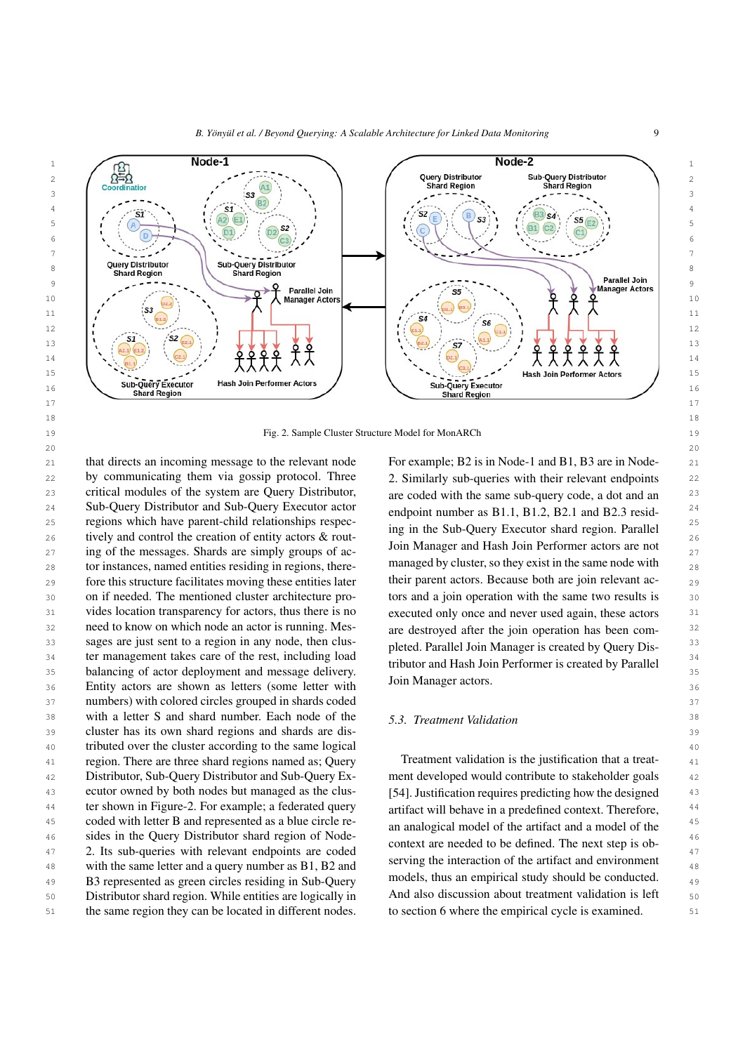

19 19 Fig. 2. Sample Cluster Structure Model for MonARCh

21 that directs an incoming message to the relevant node For example; B2 is in Node-1 and B1, B3 are in Node-<br>21 22 by communicating them via gossip protocol. Three 2. Similarly sub-queries with their relevant endpoints 22 23 critical modules of the system are Query Distributor, are coded with the same sub-query code, a dot and an <sup>23</sup> 24 Sub-Query Distributor and Sub-Query Executor actor and point number as R1 1 R1 2 R2 1 and R2 3 reside 24 25 25 regions which have parent-child relationships respec-26 tively and control the creation of entity actors & rout-<br> $\frac{1}{26}$  in the baby case of entity actors  $\frac{1}{26}$  $27$  ing of the messages. Shards are simply groups of ac-<br> $27$   $27$   $30\text{ m}$  Manager and Hash John Ferformer actors are not  $_{28}$  tor instances, named entities residing in regions, there- managed by cluster, so they exist in the same hode with  $_{28}$  $_{29}$  fore this structure facilitates moving these entities later their parent actors. Because both are join relevant ac-30 on if needed. The mentioned cluster architecture pro-<br>30 straight in operation with the same two results is 31 vides location transparency for actors, thus there is no executed only once and never used again, these actors <sup>31</sup> <sup>32</sup> need to know on which node an actor is running. Mes-<br>are destroyed after the join operation has been com-33 sages are just sent to a region in any node, then clus-<br>
pleted Parallel Join Manager is created by Query Discussions. <sup>34</sup> ter management takes care of the rest, including load the set of the Berkell and the Berkell of the Berkell and the Berkell of the Berkell and the Berkell and the Berkell of the Berkell and the Berkell and the Berkell 35 balancing of actor deployment and message delivery. 36 Entity actors are shown as letters (some letter with  $\frac{360 \text{ N}}{200 \text{ N}}$  Manager actors. 37 37 numbers) with colored circles grouped in shards coded 38 with a letter S and shard number. Each node of the 5.3 Treatment Validation 38 39 39 cluster has its own shard regions and shards are dis-40 40 tributed over the cluster according to the same logical <sup>41</sup> region. There are three shard regions named as; Query Treatment validation is the justification that a treat-42 Distributor, Sub-Query Distributor and Sub-Query Ex- ment developed would contribute to stakeholder goals 42 <sup>43</sup> ecutor owned by both nodes but managed as the clus- [\[54\]](#page-24-3). Justification requires predicting how the designed <sup>44</sup> ter shown in Figure[-2.](#page-8-0) For example; a federated query artifact will behave in a predefined context. Therefore. 45 coded with letter B and represented as a blue circle re-<br>45 coded with letter B and represented as a blue circle re-46 sides in the Query Distributor shard region of Node-<br>46 acres and the hadden of the next standard is a defined. The next standard is a hadden of the next standard 47 2. Its sub-queries with relevant endpoints are coded context are needed to be defined. The next step is to 48 with the same letter and a query number as B1, B2 and serving the interaction of the attract and environment  $\frac{48}{48}$ 49 B3 represented as green circles residing in Sub-Query models, thus an empirical study should be conducted. 50 **1** Distributor shard region. While entities are logically in And also discussion about treatment validation is left  $\frac{50}{20}$ 51 the same region they can be located in different nodes. to section 6 where the empirical cycle is examined. 51 by communicating them via gossip protocol. Three on if needed. The mentioned cluster architecture provides location transparency for actors, thus there is no need to know on which node an actor is running. Mes-Distributor, Sub-Query Distributor and Sub-Query Executor owned by both nodes but managed as the clus-

<span id="page-8-0"></span>For example; B2 is in Node-1 and B1, B3 are in Nodeare coded with the same sub-query code, a dot and an endpoint number as B1.1, B1.2, B2.1 and B2.3 residing in the Sub-Query Executor shard region. Parallel Join Manager and Hash Join Performer actors are not managed by cluster, so they exist in the same node with their parent actors. Because both are join relevant acpleted. Parallel Join Manager is created by Query Distributor and Hash Join Performer is created by Parallel Join Manager actors.

### *5.3. Treatment Validation*

<span id="page-8-1"></span>Treatment validation is the justification that a treatartifact will behave in a predefined context. Therefore, an analogical model of the artifact and a model of the context are needed to be defined. The next step is observing the interaction of the artifact and environment models, thus an empirical study should be conducted. And also discussion about treatment validation is left to section [6](#page-8-1) where the empirical cycle is examined.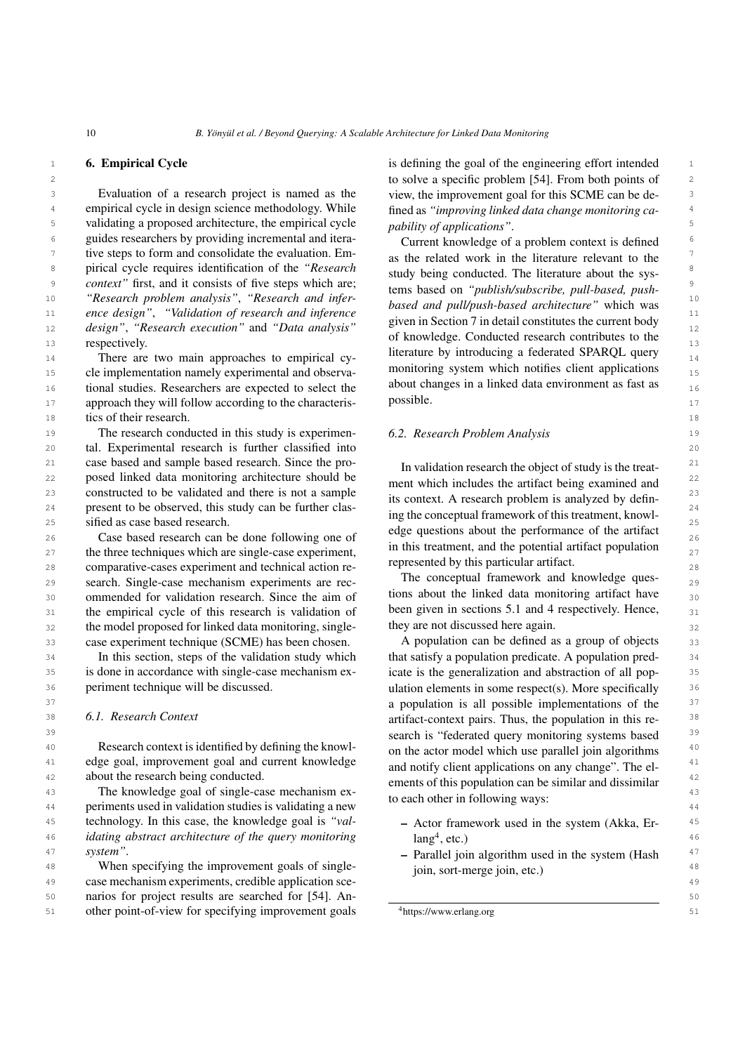### 6. Empirical Cycle

<sup>3</sup> 3 Evaluation of a research project is named as the view, the improvement goal for this SCME can be de-4 empirical cycle in design science methodology. While fined as "improving linked data change monitoring ca-5 validating a proposed architecture, the empirical cycle  $p$  *nability of annications*". <sup>6</sup> guides researchers by providing incremental and itera- Current knowledge of a problem context is defined <sup>7</sup> tive steps to form and consolidate the evaluation. Em-<br><sup>2</sup> as the related work in the literature relevant to the <sup>8</sup> birical cycle requires identification of the *"Research* study being conducted. The literature about the sys 9 9 *context"* first, and it consists of five steps which are; 10 10 *"Research problem analysis"*, *"Research and infer-*11 11 *ence design"*, *"Validation of research and inference* 12 12 *design"*, *"Research execution"* and *"Data analysis"* 13 respectively. 23 **13** 13 **13** 13 **13** 13 **13** 13 **13** 14 **14** 15 **15** 15 **15** 15 **15** 15 **15** 15 **15** 15 **15** 15 **15** Evaluation of a research project is named as the respectively.

14 14 There are two main approaches to empirical cy-<br>14 There are two main approaches to empirical cy-<br>14 There are two main approaches to empirical cy-<sup>15</sup> cle implementation namely experimental and observa-<br><sup>15</sup> Theodoromy System which notices then applications and the  $16$  tional studies. Researchers are expected to select the about changes in a linked data environment as fast as <sup>17</sup> approach they will follow according to the characteris- possible. 17 18 tics of their research. 18

19 The research conducted in this study is experimen- 6.2. Research Problem Analysis 19 20 20 tal. Experimental research is further classified into 21 case based and sample based research. Since the pro-<br>In validation research the object of study is the treat. 22 posed linked data monitoring architecture should be ment which includes the artifect being examined and <sup>22</sup> 23 constructed to be validated and there is not a sample the context. A research problem is applyzed by dain  $24$  present to be observed, this study can be further clas-<br> $24$  in the concentral femograph of this tractional study  $24$ 25 sified as case based research.

 26 Case based research can be done following one of the three techniques which are single-case experiment,  $\frac{1}{27}$  in this treatment, and the potential artifact population  $\frac{27}{27}$  28 comparative-cases experiment and technical action re-29 search. Single-case mechanism experiments are rec-<br>29 **10 Conceptual framework and knowledge ques-**30 30 ommended for validation research. Since the aim of the state of the linked data monitoring artifact have the empirical cycle of this research is validation of been given in sections 5.1 and 4 respectively. Hence,  $31$ 32 the model proposed for linked data monitoring, single-<br>32 33 case experiment technique (SCME) has been chosen.

34 In this section, steps of the validation study which that satisfy a population predicate. A population pred-<sup>35</sup> is done in accordance with single-case mechanism ex- icate is the generalization and abstraction of all pop-In this section, steps of the validation study which is done in accordance with single-case mechanism experiment technique will be discussed.

## *6.1. Research Context*

40 Research context is identified by defining the knowl-<br>an the actor model which use parallel ioin algorithms <sup>41</sup> edge goal, improvement goal and current knowledge and notify client applications on any change.<sup>7</sup> The el-42 about the research being conducted. And all the search being conducted.

43 The knowledge goal of single-case mechanism ex-<br>43 44 44 periments used in validation studies is validating a new <sup>45</sup> technology. In this case, the knowledge goal is "val-<br> $\overline{a}$  - Actor framework used in the system (Akka, Er-46 46 *idating abstract architecture of the query monitoring* <sup>47</sup> *system*".  $\blacksquare$  **- Parallel join algorithm used in the system (Hash**  $\blacksquare$ <sup>47</sup> technology. In this case, the knowledge goal is *"valsystem"*.

48 When specifying the improvement goals of single-<br>  $\frac{1}{2}$  ioin sort-merge ioin etc. 49 49 case mechanism experiments, credible application sce-50 50 narios for project results are searched for [\[54\]](#page-24-3). An-51 other point-of-view for specifying improvement goals  $4$ https://www.erlang.org 51

1 **6. Empirical Cycle is defining the goal of the engineering effort intended** 2 2 to solve a specific problem [\[54\]](#page-24-3). From both points of fined as *"improving linked data change monitoring capability of applications"*.

> Current knowledge of a problem context is defined as the related work in the literature relevant to the study being conducted. The literature about the systems based on *"publish/subscribe, pull-based, pushbased and pull/push-based architecture"* which was given in Section [7](#page-21-0) in detail constitutes the current body of knowledge. Conducted research contributes to the literature by introducing a federated SPARQL query monitoring system which notifies client applications about changes in a linked data environment as fast as possible.

### *6.2. Research Problem Analysis*

In validation research the object of study is the treatment which includes the artifact being examined and its context. A research problem is analyzed by defining the conceptual framework of this treatment, knowledge questions about the performance of the artifact in this treatment, and the potential artifact population represented by this particular artifact.

The conceptual framework and knowledge questions about the linked data monitoring artifact have been given in sections [5.1](#page-5-0) and [4](#page-3-0) respectively. Hence, they are not discussed here again.

<sup>36</sup> beriment technique will be discussed. The set of the ulation elements in some respect(s). More specifically 37 37 a population is all possible implementations of the 38 6.1. Research Context **38 artifact-context pairs. Thus, the population in this re-** <sup>38</sup> <sup>39</sup> 39 **39 search is "federated query monitoring systems based**<sup>39</sup> A population can be defined as a group of objects on the actor model which use parallel join algorithms and notify client applications on any change". The elements of this population can be similar and dissimilar to each other in following ways:

- $lang<sup>4</sup>$  $lang<sup>4</sup>$  $lang<sup>4</sup>$ , etc.)
- join, sort-merge join, etc.)

<span id="page-9-0"></span><sup>4</sup><https://www.erlang.org>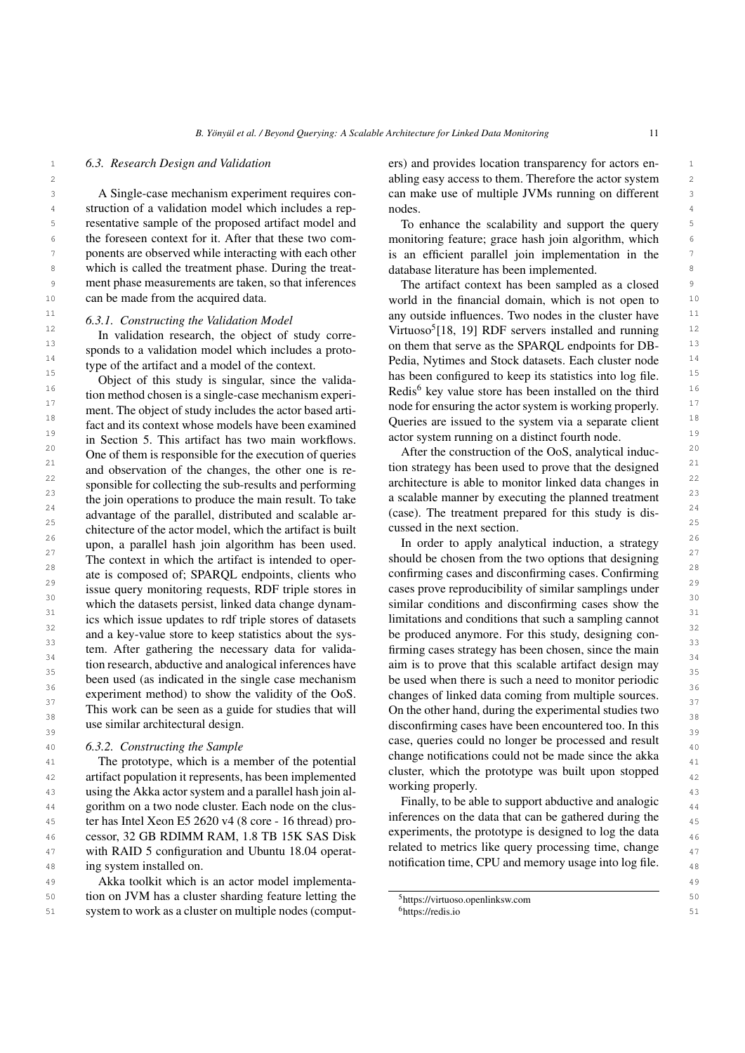### *6.3. Research Design and Validation*

3 3 can make use of multiple JVMs running on different 4 4 struction of a validation model which includes a rep-5 5 resentative sample of the proposed artifact model and <sup>6</sup> the foreseen context for it. After that these two com-<br>monitoring feature; grace hash join algorithm, which <sup>7</sup> ponents are observed while interacting with each other is an efficient parallel join implementation in the <sup>7</sup> 8 by thich is called the treatment phase. During the treat-<br>8 9 9 The artifact context has been sampled as a closed A Single-case mechanism experiment requires conthe foreseen context for it. After that these two comment phase measurements are taken, so that inferences can be made from the acquired data.

### *6.3.1. Constructing the Validation Model*

 $13$  specifical securities, and experience states of them that serve as the SPARQL endpoints for DB-  $13$ 14 14 Pedia, Nytimes and Stock datasets. Each cluster node In validation research, the object of study corresponds to a validation model which includes a prototype of the artifact and a model of the context.

 $16$  $16$  tion method chosen is a single-case mechanism experi-<br>Redis<sup>6</sup> key value store has been installed on the third  $17$  node for ensuring the actor system is working properly.  $17$  node for ensuring the actor system is working properly.  $17$ 18 18 Queries are issued to the system via a separate client  $19$  in Section 5. This artifact has two main workflows. actor system running on a distinct fourth node. <sup>20</sup> One of them is responsible for the execution of queries After the construction of the OoS, analytical induc-21 and observation of the changes, the other one is re-<br>and observation of the changes, the other one is re-<br>tion strategy has been used to prove that the designed 22 22 architecture is able to monitor linked data changes in  $23$  the join operations to produce the main result. To take a scalable manner by executing the planned treatment  $23$  $24$  advantage of the parallel, distributed and scalable arc (case). The treatment prepared for this study is dis- $25$  chitecture of the actor model, which the artifact is built cussed in the next section.  $\frac{26}{26}$  upon, a parallel hash join algorithm has been used. In order to apply analytical induction, a strategy  $27$ <br>The context in which the artifact is intended to oper-<br>should be chosen from the two options that designing <sup>28</sup> ate is composed of; SPARQL endpoints, clients who confirming cases and disconfirming cases. Confirming <sup>28</sup> <sup>29</sup> issue query monitoring requests, RDF triple stores in cases prove reproducibility of similar samplings under <sup>30</sup> which the datasets persist, linked data change dynam-<br>similar conditions and disconfirming cases show the  $\frac{31}{20}$  ics which issue updates to rdf triple stores of datasets limitations and conditions that such a sampling cannot  $\frac{32}{2}$  and a key-value store to keep statistics about the sys-<br>be produced anymore. For this study, designing con- $\frac{33}{24}$  firm a try strategy to the point of the main term is  $\frac{33}{24}$  firming cases strategy has been chosen, since the main  $\frac{34}{25}$  tion research, abductive and analogical inferences have aim is to prove that this scalable artifact design may  $\frac{35}{25}$  been used (as indicated in the single case mechanism be used when there is such a need to monitor periodic <sup>36</sup><br>experiment method) to show the validity of the OoS. Changes of linked data coming from multiple sources. <sup>37</sup><br>This work can be seen as a guide for studies that will On the other hand, during the experimental studies two This work can be seen as a guide for studies that will  $\frac{1}{38}$  On the other hand, during the experimental studies two  $\frac{1}{38}$ Object of this study is singular, since the validation method chosen is a single-case mechanism experiment. The object of study includes the actor based artifact and its context whose models have been examined in Section [5.](#page-5-1) This artifact has two main workflows. One of them is responsible for the execution of queries and observation of the changes, the other one is responsible for collecting the sub-results and performing the join operations to produce the main result. To take advantage of the parallel, distributed and scalable arupon, a parallel hash join algorithm has been used. The context in which the artifact is intended to operate is composed of; SPARQL endpoints, clients who issue query monitoring requests, RDF triple stores in which the datasets persist, linked data change dynamand a key-value store to keep statistics about the system. After gathering the necessary data for validause similar architectural design.

<sup>41</sup> The prototype, which is a member of the potential change notifications could not be made since the akka 42 artifact population it represents, has been implemented cluster, which the prototype was built upon stopped 43 using the Akka actor system and a parallel hash join al-<br>43 44 gorithm on a two node cluster. Each node on the clus-<br>44 and 2010 to support about the analogic distribution of the clus-<sup>45</sup> ter has Intel Xeon E5 2620 v4 (8 core - 16 thread) pro-<br><sup>45</sup> ter has Intel Xeon E5 2620 v4 (8 core - 16 thread) pro- $46$  cessor, 32 GB RDIMM RAM, 1.8 TB 15K SAS Disk experiments, the prototype is designed to log the data  $46$ 47 with RAID 5 configuration and Ubuntu 18.04 operat-<br> $\frac{1}{2}$  related to metrics like query processing time, change <sup>48</sup> ing system installed on. The motion of the motification time, CPU and memory usage into log file. ing system installed on.

49 49 Akka toolkit which is an actor model implementa-50 tion on JVM has a cluster sharding feature letting the  $\frac{5 \text{htos} \cdot N \text{ vituoso.openlinksw.com}}{5 \text{htos.}}$  50 51 51 51 system to work as a cluster on multiple nodes (comput-<br>51 51

1 **6.3.** Research Design and Validation **1 ers**) and provides location transparency for actors en-2 2 abling easy access to them. Therefore the actor system nodes.

> To enhance the scalability and support the query is an efficient parallel join implementation in the database literature has been implemented.

<sup>10</sup> can be made from the acquired data. World in the financial domain, which is not open to <sup>10</sup>  $\frac{11}{2}$  6.3.1 Constructing the Validation Model any outside influences. Two nodes in the cluster have  $\frac{11}{2}$  $\frac{12}{12}$  In validation research the object of study corre-<br>Virtuoso<sup>[5](#page-10-0)</sup>[\[18,](#page-24-12) [19\]](#page-24-13) RDF servers installed and running  $\frac{12}{12}$  $\frac{15}{15}$  Object of this study is singular since the valida-<br>has been configured to keep its statistics into log file.  $\frac{15}{15}$ 

cussed in the next section.

 $\frac{39}{39}$  use similar architectural design.  $\frac{39}{39}$  disconfirming cases have been encountered too. In this 40 40 *6.3.2. Constructing the Sample* limitations and conditions that such a sampling cannot aim is to prove that this scalable artifact design may be used when there is such a need to monitor periodic changes of linked data coming from multiple sources. case, queries could no longer be processed and result change notifications could not be made since the akka cluster, which the prototype was built upon stopped working properly.

> Finally, to be able to support abductive and analogic inferences on the data that can be gathered during the experiments, the prototype is designed to log the data related to metrics like query processing time, change

<span id="page-10-1"></span><span id="page-10-0"></span><sup>5</sup><https://virtuoso.openlinksw.com> <sup>6</sup><https://redis.io>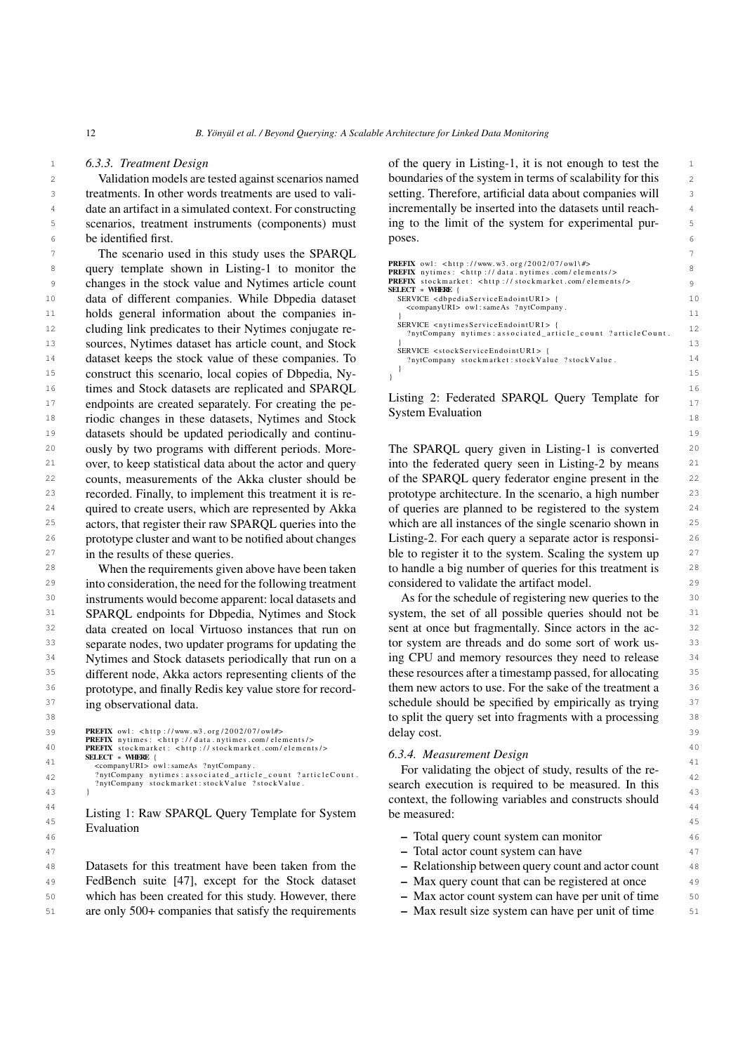### *6.3.3. Treatment Design*

2 2 boundaries of the system in terms of scalability for this 3 3 setting. Therefore, artificial data about companies will <sup>4</sup> date an artifact in a simulated context. For constructing incrementally be inserted into the datasets until reach-5 scenarios, treatment instruments (components) must ing to the limit of the system for experimental pur-6 be identified first. Validation models are tested against scenarios named treatments. In other words treatments are used to vali-

The scenario used in this study uses the SPARQL The scenario used in this study uses the SPARQL 8 a query template shown in Listing[-1](#page-11-0) to monitor the  $\frac{P_{\text{REFLX}}}{P_{\text{REFLX}}}\left|\frac{S}{S}\right|_{S}$  (1)  $\frac{S}{S}$  (1)  $\frac{S}{S}$  (1)  $\frac{S}{S}$  (1)  $\frac{S}{S}$  (1)  $\frac{S}{S}$  (1)  $\frac{S}{S}$  (1)  $\frac{S}{S}$  (1)  $\frac{S}{S}$  (1)  $\frac{S}{S}$  (1) 9 changes in the stock value and Nytimes article count FREEN stockmarket: <http://stockmarket.com/elements/> 10 data of different companies. While Dbpedia dataset SERVICE <dbpediaServiceEndointURI>{ 11 holds general information about the companies in-<br>11 12 **cluding link predicates to their Nytimes conjugate re-** The Company invesses examples associated article count 2 article Count, the set of the count of the count of the count of the count of the count of the count of t 13 sources, Nytimes dataset has article count, and Stock  $\frac{1}{2}$ 14 dataset keeps the stock value of these companies. To any reproduce the stock value ? stock value. The stock value of these companies. To any reproduce the stock value of these companies. To any reproduce the stock value <sup>15</sup> construct this scenario, local copies of Dbpedia, Ny-<sup>16</sup> times and Stock datasets are replicated and SPARQL  $\frac{16}{16}$  and  $\frac{16}{16}$  and  $\frac{16}{16}$  is the set of the set of the set of the set of the set of the set of the set of the set of the set of the set of the set o <sup>17</sup> endpoints are created separately. For creating the pe-<br><sup>17</sup> <sup>18</sup> riodic changes in these datasets, Nytimes and Stock by such Evanuation **18** 19 19 datasets should be updated periodically and continu-<sup>20</sup> ously by two programs with different periods. More- The SPARQL query given in Listing[-1](#page-11-0) is converted <sup>20</sup> <sup>21</sup> over, to keep statistical data about the actor and query into the federated query seen in Listing[-2](#page-11-1) by means <sup>21</sup> 22 counts, measurements of the Akka cluster should be of the SPARQL query federator engine present in the 22 23 recorded. Finally, to implement this treatment it is re-<br>prototype architecture. In the scenario, a high number 23 <sup>24</sup> quired to create users, which are represented by Akka of queries are planned to be registered to the system <sup>24</sup> <sup>25</sup> actors, that register their raw SPARQL queries into the which are all instances of the single scenario shown in <sup>25</sup> <sup>26</sup> prototype cluster and want to be notified about changes Listing[-2.](#page-11-1) For each query a separate actor is responsiously by two programs with different periods. Moreover, to keep statistical data about the actor and query recorded. Finally, to implement this treatment it is reprototype cluster and want to be notified about changes in the results of these queries.

<sup>29</sup> into consideration, the need for the following treatment considered to validate the artifact model. <sup>30</sup> instruments would become apparent: local datasets and **As for the schedule of registering new queries to the** <sup>31</sup> SPARQL endpoints for Dbpedia, Nytimes and Stock system, the set of all possible queries should not be <sup>31</sup> <sup>32</sup> data created on local Virtuoso instances that run on sent at once but fragmentally. Since actors in the ac-33 separate nodes, two updater programs for updating the tor system are threads and do some sort of work us-<sup>34</sup> Nytimes and Stock datasets periodically that run on a ing CPU and memory resources they need to release <sup>34</sup> <sup>35</sup> different node, Akka actors representing clients of the these resources after a timestamp passed, for allocating <sup>35</sup> <sup>36</sup> prototype, and finally Redis key value store for record-<br><sup>36</sup> prototype, and finally Redis key value store for record-<sup>37</sup> ing observational data. The second schedule should be specified by empirically as trying <sup>37</sup> When the requirements given above have been taken separate nodes, two updater programs for updating the Nytimes and Stock datasets periodically that run on a different node, Akka actors representing clients of the ing observational data.

```
39 PREFIX owl: <http://www.w3.org/2002/07/owl#> delay cost. 39 delay cost. 39
40 40
PREFIX n yti m e s : < h t t p : / / d a t a . n ytim e s . com / e l e m e nt s / >
PREFIX s t o c k m a r k e t : < h t t p : / / s t o c k m a r k e t . com / el e m e nt s / >
\frac{41}{41} \frac{42}{41} \frac{43}{41} \frac{44}{41} \frac{45}{41} \frac{47}{41} \frac{49}{41} \frac{41}{41} \frac{49}{41} \frac{41}{41} \frac{41}{41} \frac{41}{41} \frac{41}{41} \frac{41}{41} \frac{41}{41} \frac{41}{41} \frac{41}{41} \frac{41}{41} \frac{4<sup>42</sup> <sup>2</sup>nytCompany nytimes: associated_article_count ?articleCount.<br><sup>42</sup> <sup>2</sup>nytCompany stockmarket: stockValue ?stockValue.<br>8earch execution is required to be measured. In this
<sup>43</sup> <sup>43</sup> context, the following variables and constructs should
<sup>44</sup><br>Listing 1: Raw SPARQL Query Template for System be measured:
\mathbf{F} 1. \mathbf{F} 4. \mathbf{F} 4. \mathbf{F} 4. \mathbf{F} 4. \mathbf{F} 4. \mathbf{F} 4. \mathbf{F} 4. \mathbf{F} 4. \mathbf{F} 4. \mathbf{F} 4. \mathbf{F} 4. \mathbf{F} 4. \mathbf{F} 4. \mathbf{F} 4. \mathbf{F} 4. \mathbf{F} 4. \mathbf{F} 4. \mathbf{SELECT ∗ WHERE {
          }
         Evaluation
```
- 
- 

48 48 Datasets for this treatment have been taken from the 49 FedBench suite [\[47\]](#page-24-14), except for the Stock dataset - Max query count that can be registered at once 49 50 which has been created for this study. However, there  $-$  Max actor count system can have per unit of time 50

1 1 of the query in Listing[-1,](#page-11-0) it is not enough to test the incrementally be inserted into the datasets until reaching to the limit of the system for experimental purposes.

<span id="page-11-1"></span>

| <b>PREFIX</b> owl: <http: 07="" 2002="" owl\#="" www.w3.org=""></http:>   |
|---------------------------------------------------------------------------|
| <b>PREFIX</b> nytimes: <http: data.nytimes.com="" elements=""></http:>    |
| <b>PREFIX</b> stockmarket: <http: elements="" stockmarket.com=""></http:> |
| <b>SELECT * WHERE {</b>                                                   |
| SERVICE <dbpediaserviceendointuri> {</dbpediaserviceendointuri>           |
| <companyuri> owl:sameAs ?nytCompany.</companyuri>                         |
|                                                                           |
| SERVICE <nytimesserviceendointuri> {</nytimesserviceendointuri>           |
| ?nytCompany nytimes: associated article count ?articleCount.              |
|                                                                           |
| SERVICE <stockserviceendointuri> {</stockserviceendointuri>               |
| ?nytCompany stockmarket: stockValue ?stockValue.                          |
|                                                                           |
|                                                                           |
|                                                                           |

Listing 2: Federated SPARQL Query Template for System Evaluation

<sup>27</sup> in the results of these queries. ble to register it to the system. Scaling the system up <sup>27</sup> <sup>28</sup> When the requirements given above have been taken to handle a big number of queries for this treatment is <sup>28</sup> of the SPARQL query federator engine present in the of queries are planned to be registered to the system which are all instances of the single scenario shown in considered to validate the artifact model.

38 38 to split the query set into fragments with a processing As for the schedule of registering new queries to the system, the set of all possible queries should not be sent at once but fragmentally. Since actors in the acthem new actors to use. For the sake of the treatment a delay cost.

### *6.3.4. Measurement Design*

For validating the object of study, results of the research execution is required to be measured. In this be measured:

- 46 46 Total query count system can monitor
- <sup>47</sup> Total actor count system can have <sup>47</sup>
	- Relationship between query count and actor count
	- Max query count that can be registered at once
	- Max actor count system can have per unit of time
- 51 are only 500+ companies that satisfy the requirements  $-$  Max result size system can have per unit of time 51 – Max result size system can have per unit of time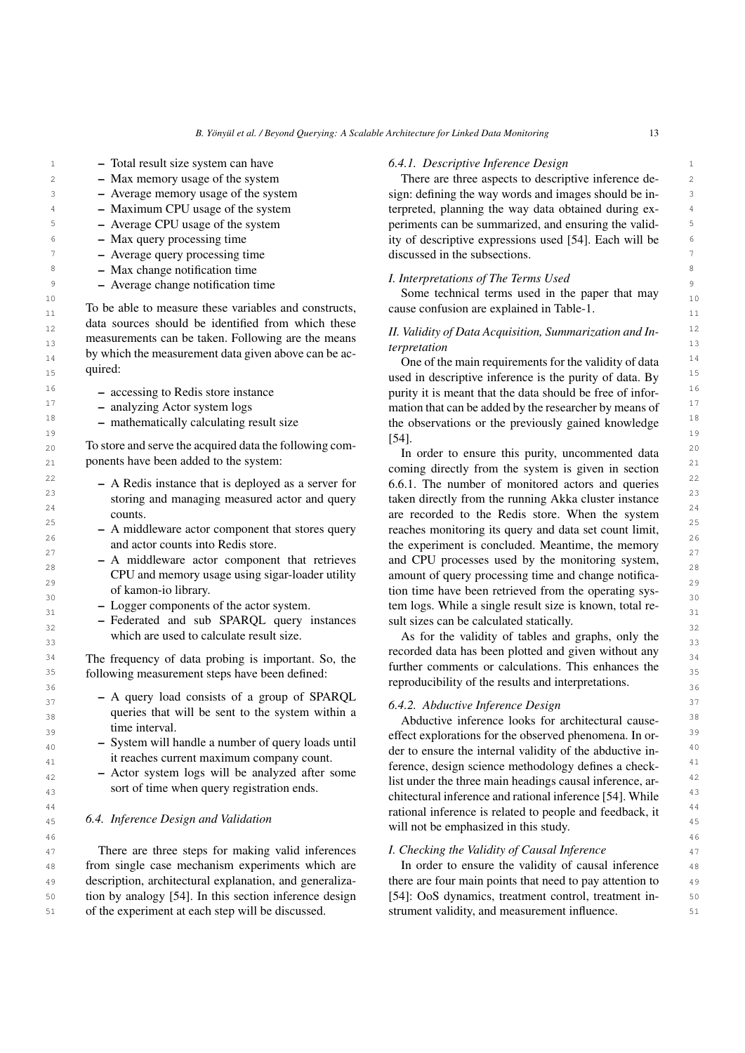- 1 1 *6.4.1. Descriptive Inference Design* – Total result size system can have
	- Max memory usage of the system
	- Average memory usage of the system
	- Maximum CPU usage of the system
	- Average CPU usage of the system
	- Max query processing time
	-
- $8 \rightarrow \text{Max change notification time}$   $5 \rightarrow \text{Max}$   $6 \rightarrow \text{Max}$   $6 \rightarrow \text{Max}$   $6 \rightarrow \text{Max}$   $6 \rightarrow \text{Max}$   $6 \rightarrow \text{Max}$   $6 \rightarrow \text{Max}$   $6 \rightarrow \text{Max}$   $6 \rightarrow \text{Max}$   $6 \rightarrow \text{Max}$   $6 \rightarrow \text{Max}$   $6 \rightarrow \text{Max}$   $6 \rightarrow \text{Max}$   $6 \rightarrow \text{Max}$   $6 \rightarrow \text{Max}$   $6 \rightarrow \text{Max}$   $6 \rightarrow \text{Max}$   $6 \rightarrow \text{Max}$   $6 \rightarrow \text{Max}$
- 9  $-$  Average change notification time  $\frac{1}{2}$ . Here  $\frac{1}{2}$  are the second in the second in the second in the second in the second in the second in the second in the second in the second in the second in the second i

 $11$  To be able to measure these variables and constructs, cause confusion are explained in Table-1. <sup>12</sup> and sources should be identified from which these *II. Validity of Data Acquisition, Summarization and In-* $\mu_{13}$  measurements can be taken. Following are the means  $\mu_{13}$  termetation <sup>14</sup> <sup>14</sup> <sup>14</sup> <sup>14</sup> <sup>24</sup> <sup>24</sup> <sup>24</sup> <sup>24</sup> <sup>24</sup> <sup>24</sup> <sup>24</sup> One of the main requirements for the validity of data data sources should be identified from which these by which the measurement data given above can be acquired:

- accessing to Redis store instance
	- analyzing Actor system logs
- mathematically calculating result size

20 20 To store and serve the acquired data the following com-

- A Redis instance that is deployed as a server for counts.
	- A middleware actor component that stores query and actor counts into Redis store.
- of kamon-io library.
- Logger components of the actor system.
- $\frac{32}{32}$  Federated and sub SPARQL query instances sult sizes can be calculated statically. which are used to calculate result size.

<sup>34</sup> The frequency of data probing is important. So, the second contract the second problems  $\frac{1}{24}$  and  $\frac{1}{24}$  and  $\frac{1}{24}$  and  $\frac{1}{24}$  and  $\frac{1}{24}$  and  $\frac{1}{24}$  and  $\frac{1}{24}$  and  $\frac{1}{24}$  and  $\frac{1}{24}$ 

- $\frac{37}{37}$   **A** query loan consists of a group of STAKQL 6.4.2. Abductive Inference Design  $\frac{38}{28}$  guestics that will be sent to the system within a  $\frac{38}{28}$  Abductive inference looks for architectural cause-– A query load consists of a group of SPARQL queries that will be sent to the system within a time interval.
	- System will handle a number of query loads until it reaches current maximum company count.
		- sort of time when query registration ends.

47 There are three steps for making valid inferences I. Checking the Validity of Causal Inference 47 48 from single case mechanism experiments which are **In** order to ensure the validity of causal inference 48 49 description, architectural explanation, and generaliza- there are four main points that need to pay attention to 50 tion by analogy [\[54\]](#page-24-3). In this section inference design [54]: OoS dynamics, treatment control, treatment in-51 51 of the experiment at each step will be discussed. description, architectural explanation, and generaliza-

2 - Max memory usage of the system There are three aspects to descriptive inference de-3 3 sign: defining the way words and images should be in-<sup>4</sup> - Maximum CPU usage of the system **terpreted**, planning the way data obtained during ex-5 5 periments can be summarized, and ensuring the valid- $\epsilon$  – Max query processing time  $\epsilon$  ity of descriptive expressions used [\[54\]](#page-24-3). Each will be  $7 \quad$  – Average query processing time  $\quad 7 \quad$  discussed in the subsections. discussed in the subsections.

### *I. Interpretations of The Terms Used*

 $\frac{10}{10}$  Some technical terms used in the paper that may  $\frac{10}{10}$ cause confusion are explained in Table[-1.](#page-13-0)

# *terpretation*

 $15$  quittled.  $15$  quittled. By  $15$  used in descriptive inference is the purity of data. By  $16$  - accessing to Redis store instance purity it is meant that the data should be free of infor-<sup>17</sup> - analyzing Actor system logs and that can be added by the researcher by means of  $18$  - mathematically calculating result size the observations or the previously gained knowledge  $18$  $\begin{bmatrix} 19 & 19 \end{bmatrix}$ [\[54\]](#page-24-3).

21 ponents have been added to the system: The contract of the system is painty, and contract data  $22$  - A Redis instance that is deployed as a server for [6.6.1.](#page-15-0) The number of monitored actors and queries  $22$ <sup>23</sup> storing and managing measured actor and query taken directly from the running Akka cluster instance  $\frac{24}{25}$  counts.  $\frac{24}{25}$  counts.  $\frac{24}{25}$  counts.  $25$  - A middleware actor component that stores query reaches monitoring its query and data set count limit, 26 and actor counts into Redis store. the experiment is concluded. Meantime, the memory  $27$  – A middleware actor component that retrieves and CPU processes used by the monitoring system, <sup>28</sup> 28 CPU and memory usage using sigar-loader utility amount of query processing time and change notifica-29 and the contract of the contract of the contract of the contract of the contract of the contract of the contract of the contract of the contract of the contract of the contract of the contract of the contract of the con  $\frac{30}{30}$  of kamon-io library.  $\frac{30}{30}$  tion time have been retrieved from the operating sys- $\frac{31}{31}$  - Logger components of the actor system. tem logs. While a single result size is known, total re-In order to ensure this purity, uncommented data coming directly from the system is given in section taken directly from the running Akka cluster instance and CPU processes used by the monitoring system, amount of query processing time and change notificasult sizes can be calculated statically.

which are used to calculate result size. As for the validity of tables and graphs, only the  $\frac{33}{2}$ <sup>35</sup> **following measurement steps have been defined:**  $\frac{1}{25}$  **100 100 100 100 100 100 100 100 100 100 100 100 100 100 100 100 100 100 100 100 100 100 100 100 100 100** <sup>36</sup> <sup>36</sup> <sup>36</sup> <sup>36</sup> <sup>36</sup> **10.10** *w*<sub>mg</sub> measurement steps nave seen assumed. The reproducibility of the results and interpretations. recorded data has been plotted and given without any further comments or calculations. This enhances the

<sup>39</sup><br><sup>39</sup> <sup>39</sup> <sup>39</sup> System will handle a number of quany loads until effect explorations for the observed phenomena. In or- $\frac{40}{40}$  - System will handle a humber of query loads until der to ensure the internal validity of the abductive in-<sup>41</sup> <sup>41</sup> Heaches current maximum company count.<br>Actor quotare log will be englyzed efter some ference, design science methodology defines a check- $_{42}$  - Actor system logs will be analyzed after some<br> $_{12}$   $_{13}$  istuarder the three main beadings causel inference or  $_{42}$ 43 43 chitectural inference and rational inference [\[54\]](#page-24-3). While <sup>44</sup>  $\epsilon$ <sup>4</sup>  $\epsilon$ <sup>44</sup>  $\epsilon$ <sup>44</sup>  $\epsilon$ <sup>44</sup>  $\epsilon$ <sup>44</sup>  $\epsilon$ <sup>44</sup>  $\epsilon$ <sup>44</sup> 45 45 *6.4. Inference Design and Validation*  $\frac{1}{46}$  46 list under the three main headings causal inference, arwill not be emphasized in this study.

### *I. Checking the Validity of Causal Inference*

In order to ensure the validity of causal inference [\[54\]](#page-24-3): OoS dynamics, treatment control, treatment instrument validity, and measurement influence.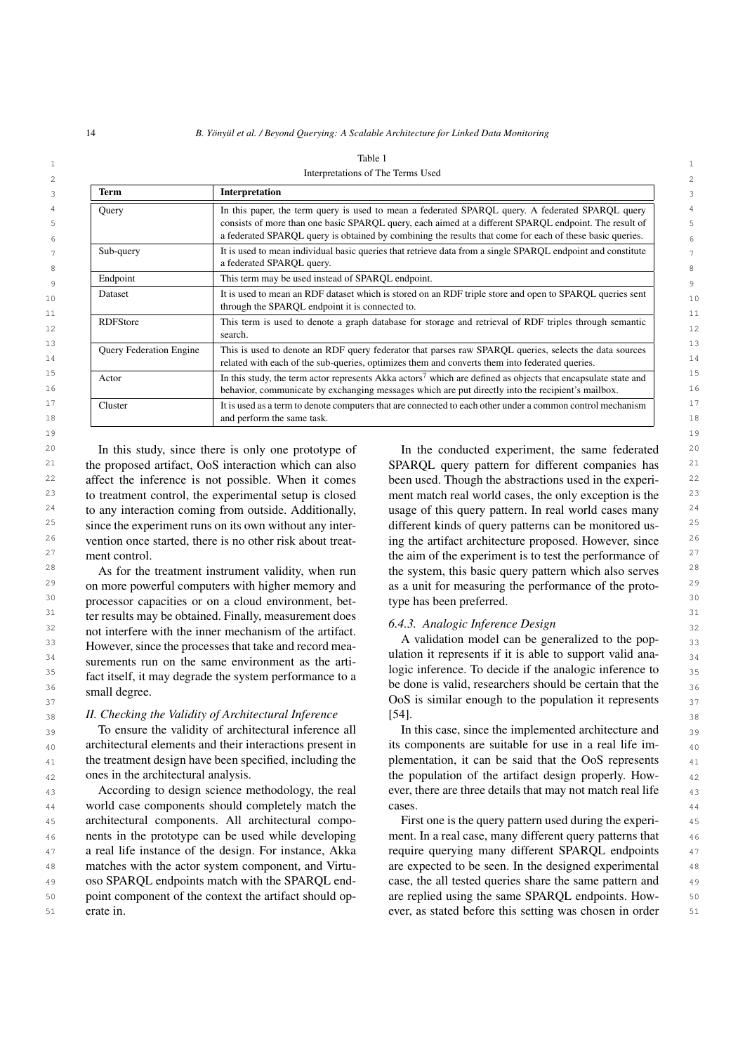### 14 *B. Yönyül et al. / Beyond Querying: A Scalable Architecture for Linked Data Monitoring*

### 1 1 Table 1

<span id="page-13-0"></span>

|  | Interpretations of The Terms Used |
|--|-----------------------------------|
|--|-----------------------------------|

| Term                           | Interpretation                                                                                                                                                                                                                                                                                                         |
|--------------------------------|------------------------------------------------------------------------------------------------------------------------------------------------------------------------------------------------------------------------------------------------------------------------------------------------------------------------|
| Query                          | In this paper, the term query is used to mean a federated SPARQL query. A federated SPARQL query<br>consists of more than one basic SPARQL query, each aimed at a different SPARQL endpoint. The result of<br>a federated SPARQL query is obtained by combining the results that come for each of these basic queries. |
| Sub-query                      | It is used to mean individual basic queries that retrieve data from a single SPARQL endpoint and constitute<br>a federated SPARQL query.                                                                                                                                                                               |
| Endpoint                       | This term may be used instead of SPARQL endpoint.                                                                                                                                                                                                                                                                      |
| Dataset                        | It is used to mean an RDF dataset which is stored on an RDF triple store and open to SPARQL queries sent<br>through the SPAROL endpoint it is connected to.                                                                                                                                                            |
| <b>RDFStore</b>                | This term is used to denote a graph database for storage and retrieval of RDF triples through semantic<br>search.                                                                                                                                                                                                      |
| <b>Ouery Federation Engine</b> | This is used to denote an RDF query federator that parses raw SPARQL queries, selects the data sources<br>related with each of the sub-queries, optimizes them and converts them into federated queries.                                                                                                               |
| Actor                          | In this study, the term actor represents Akka actors <sup>7</sup> which are defined as objects that encapsulate state and<br>behavior, communicate by exchanging messages which are put directly into the recipient's mailbox.                                                                                         |
| Cluster                        | It is used as a term to denote computers that are connected to each other under a common control mechanism<br>and perform the same task.                                                                                                                                                                               |

<sup>20</sup> In this study, since there is only one prototype of In the conducted experiment, the same federated <sup>20</sup> <sup>21</sup> the proposed artifact, OoS interaction which can also SPARQL query pattern for different companies has <sup>21</sup> <sup>22</sup> affect the inference is not possible. When it comes been used. Though the abstractions used in the experi-<sup>22</sup> <sup>23</sup> to treatment control, the experimental setup is closed ment match real world cases, the only exception is the <sup>23</sup>  $24$  to any interaction coming from outside. Additionally, usage of this query pattern. In real world cases many  $24$  $^{25}$  since the experiment runs on its own without any inter-<br>different kinds of query patterns can be monitored us-<br> $^{25}$ <sup>26</sup> vention once started, there is no other risk about treat-<br>ing the artifact architecture proposed. However, since  $^{26}$  $27$  ment control. The experiment is to test the performance of  $27$ to any interaction coming from outside. Additionally, since the experiment runs on its own without any intervention once started, there is no other risk about treatment control.

 $29$  on more powerful computers with higher memory and as a unit for measuring the performance of the proto-<sup>30</sup> processor capacities or on a cloud environment, bet-<br><sup>30</sup>  $31$  ter results may be obtained. Finally, measurement does  $\left(42, 4 \times 10^{-10} \text{ m} \cdot \text{m} \cdot \text{m} \cdot \text{m} \cdot \text{m} \cdot \text{m} \cdot \text{m} \cdot \text{m} \cdot \text{m} \cdot \text{m} \cdot \text{m} \cdot \text{m} \cdot \text{m} \cdot \text{m} \cdot \text{m} \cdot \text{m} \cdot \text{m} \cdot \text{m} \cdot \text{m} \cdot \text{m} \cdot \text{$ <sup>32</sup> not interfere with the inner mechanism of the artifact.  $\frac{0.4.3}{4}$  and determined to the second the second the second the second second the second second second second second second second second second second sec  $33$  However, since the processes that take and record mea-<br> $\frac{33}{2}$  However, since the processes that take and record mea-<br> $\frac{33}{2}$  $\frac{34}{2}$  survey that the same environment is the critical determination of the critical determination of the same environment is the critical determination of the same environment is the critical determination of the sa  $\frac{35}{2}$  foot itself it move derived the system performance to  $\frac{35}{2}$  logic inference. To decide if the analogic inference to  $\frac{35}{2}$ <sup>36</sup> <sup>1</sup> and the structure of the structure of the structure of the structure of the structure of the structure of the structure of the structure of the structure of the structure of the structure of the structure of the s As for the treatment instrument validity, when run surements run on the same environment as the artifact itself, it may degrade the system performance to a small degree.

39 39 To ensure the validity of architectural inference all 40 architectural elements and their interactions present in its components are suitable for use in a real life im-<sup>41</sup> the treatment design have been specified, including the plementation, it can be said that the OoS represents <sup>42</sup> ones in the architectural analysis. The population of the artifact design properly. Howones in the architectural analysis.

43 According to design science methodology, the real ever, there are three details that may not match real life 43 44 44 world case components should completely match the 45 45 architectural components. All architectural compo-46 46 ment. In a real case, many different query patterns that <sup>47</sup> a real life instance of the design. For instance, Akka require querying many different SPARQL endpoints <sup>47</sup> 48 48 matches with the actor system component, and Virtu-49 oso SPARQL endpoints match with the SPARQL end- case, the all tested queries share the same pattern and 49 50 point component of the context the artifact should op- are replied using the same SPARQL endpoints. How- 50 According to design science methodology, the real nents in the prototype can be used while developing oso SPARQL endpoints match with the SPARQL enderate in.

<sup>28</sup> As for the treatment instrument validity, when run the system, this basic query pattern which also serves <sup>28</sup> In the conducted experiment, the same federated SPARQL query pattern for different companies has been used. Though the abstractions used in the experiment match real world cases, the only exception is the as a unit for measuring the performance of the prototype has been preferred.

### *6.4.3. Analogic Inference Design*

 $\frac{37}{37}$  37  $\frac{37}{37}$  OoS is similar enough to the population it represents  $\frac{37}{37}$ 38 38 *II. Checking the Validity of Architectural Inference* A validation model can be generalized to the pop-[\[54\]](#page-24-3).

> In this case, since the implemented architecture and its components are suitable for use in a real life implementation, it can be said that the OoS represents cases.

51 erate in. **Exercise 2.** Exercise 2. 1 and 2.51 ever, as stated before this setting was chosen in order 51 First one is the query pattern used during the experirequire querying many different SPARQL endpoints are expected to be seen. In the designed experimental are replied using the same SPARQL endpoints. How-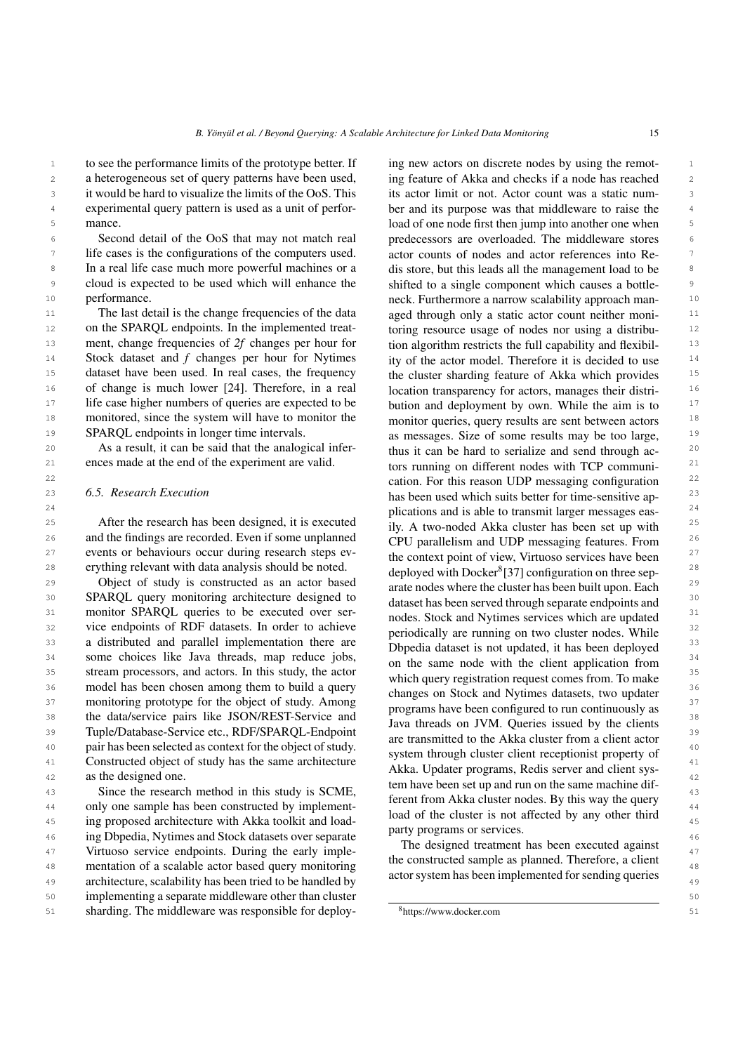to see the performance limits of the prototype better. If ing new actors on discrete nodes by using the remot-2 a heterogeneous set of query patterns have been used, ing feature of Akka and checks if a node has reached 2 3 3 it would be hard to visualize the limits of the OoS. This <sup>4</sup> experimental query pattern is used as a unit of perfor- ber and its purpose was that middleware to raise the experimental query pattern is used as a unit of performance.

Second detail of the OoS that may not match real cloud is expected to be used which will enhance the performance.

<sup>11</sup> The last detail is the change frequencies of the data aged through only a static actor count neither moni-<sup>12</sup> on the SPARQL endpoints. In the implemented treat-<br>toring resource usage of nodes nor using a distribu-13 ment, change frequencies of 2f changes per hour for tion algorithm restricts the full capability and flexibil-<sup>14</sup> Stock dataset and *f* changes per hour for Nytimes ity of the actor model. Therefore it is decided to use <sup>14</sup> <sup>15</sup> dataset have been used. In real cases, the frequency the cluster sharding feature of Akka which provides <sup>15</sup> <sup>16</sup> of change is much lower [\[24\]](#page-24-6). Therefore, in a real location transparency for actors, manages their distri-<sup>17</sup> life case higher numbers of queries are expected to be bution and deployment by own. While the aim is to <sup>17</sup> <sup>18</sup> monitored, since the system will have to monitor the monitor queries, query results are sent between actors The last detail is the change frequencies of the data SPARQL endpoints in longer time intervals.

### *6.5. Research Execution*

25 After the research has been designed, it is executed  $\frac{1}{2}$  iv A two-noded Akka cluster has been set up with 25 26 and the findings are recorded. Even if some unplanned  $\overline{CPI}$  arallelism and HDP messaging features. From 26 27 events or behaviours occur during research steps ev-<br>
the context point of view Virtuoso services have been 27 28 erything relevant with data analysis should be noted. deployed with Docker<sup>8</sup>1371 configuration on three sen-

30 30 SPARQL query monitoring architecture designed to 31 monitor SPARQL queries to be executed over ser-<br>nodes Stock and Nytimes services which are undated 32 32 vice endpoints of RDF datasets. In order to achieve 33 a distributed and parallel implementation there are the photography and the second parallel in the second parallel in the second parallel in the second parallel in the second parallel in the second parallel in the secon  $\frac{34}{2}$  some choices like Java threads, map reduce jobs,  $\frac{34}{2}$  on the same pode with the client application from  $\frac{34}{2}$  $\frac{35}{25}$  stream processors, and actors. In this study, the actor  $\frac{35}{25}$  which guary registration request comes from To make 36 model has been chosen among them to build a query<br>36 and banges on Stock and Nutimes detects two undeter 37 monitoring prototype for the object of study. Among the programs have been configured to run continuously as  $\frac{38}{1000}$  the data/service pairs like JSON/REST-Service and  $\frac{38}{1000}$  through  $\frac{38}{1000}$  through  $\frac{38}{1000}$ 39 39 Tuple/Database-Service etc., RDF/SPARQL-Endpoint quare the pair has been selected as context for the object of study. 41 Constructed object of study has the same architecture and the Linds and the property of study and allow the same architecture and the Linds and the same architecture and the Linds of the same architecture and the same a as the designed one.

43 Since the research method in this study is SCME,<br>43 <sup>44</sup> only one sample has been constructed by implement-<br><sup>44</sup> <sup>45</sup> ing proposed architecture with Akka toolkit and load-<br><sup>45</sup> 46 46 ing Dbpedia, Nytimes and Stock datasets over separate 47 Virtuoso service endpoints. During the early imple-<br>47 48 mentation of a scalable actor based query monitoring the constructed sample as planned. Therefore, a chem 49 architecture, scalability has been tried to be handled by actor system has been implemented for schuing queries 50 50 implementing a separate middleware other than cluster 51 sharding. The middleware was responsible for deploy-<br>51

5 mance. The same state of one node first then jump into another one when  $\frac{5}{100}$ <sup>6</sup> Second detail of the OoS that may not match real predecessors are overloaded. The middleware stores <sup>7</sup> life cases is the configurations of the computers used. actor counts of nodes and actor references into Re-<sup>8</sup> In a real life case much more powerful machines or a dis store, but this leads all the management load to be <sup>9</sup> cloud is expected to be used which will enhance the shifted to a single component which causes a bottle-<sup>10</sup> performance. The same section of the section of the section of the section of the section of the section of the section of the section of the section of the section of the section of the section of the section of the <sup>19</sup> SPARQL endpoints in longer time intervals. as messages. Size of some results may be too large, <sup>19</sup> 20 As a result, it can be said that the analogical infer-<br>thus it can be hard to serialize and send through ac-21 ences made at the end of the experiment are valid. tors running on different nodes with TCP communi-<sup>22</sup> cation. For this reason UDP messaging configuration <sup>22</sup> 23 6.5. Research Execution **1988** has been used which suits better for time-sensitive ap- $24$  plications and is able to transmit larger messages eas-  $24$ 29 29 Object of study is constructed as an actor based 42 as the designed one.<br>
<sup>42</sup><br>
tem have been set up and run on the same machine difing new actors on discrete nodes by using the remoting feature of Akka and checks if a node has reached its actor limit or not. Actor count was a static numactor counts of nodes and actor references into Redis store, but this leads all the management load to be toring resource usage of nodes nor using a distribution algorithm restricts the full capability and flexibility of the actor model. Therefore it is decided to use the cluster sharding feature of Akka which provides location transparency for actors, manages their distribution and deployment by own. While the aim is to monitor queries, query results are sent between actors thus it can be hard to serialize and send through actors running on different nodes with TCP communiily. A two-noded Akka cluster has been set up with CPU parallelism and UDP messaging features. From the context point of view, Virtuoso services have been deployed with Docker<sup>[8](#page-14-0)</sup>[\[37\]](#page-24-15) configuration on three separate nodes where the cluster has been built upon. Each dataset has been served through separate endpoints and nodes. Stock and Nytimes services which are updated periodically are running on two cluster nodes. While Dbpedia dataset is not updated, it has been deployed on the same node with the client application from which query registration request comes from. To make changes on Stock and Nytimes datasets, two updater programs have been configured to run continuously as Java threads on JVM. Queries issued by the clients are transmitted to the Akka cluster from a client actor system through cluster client receptionist property of Akka. Updater programs, Redis server and client sysferent from Akka cluster nodes. By this way the query load of the cluster is not affected by any other third party programs or services.

> The designed treatment has been executed against the constructed sample as planned. Therefore, a client actor system has been implemented for sending queries

<span id="page-14-0"></span><sup>8</sup><https://www.docker.com>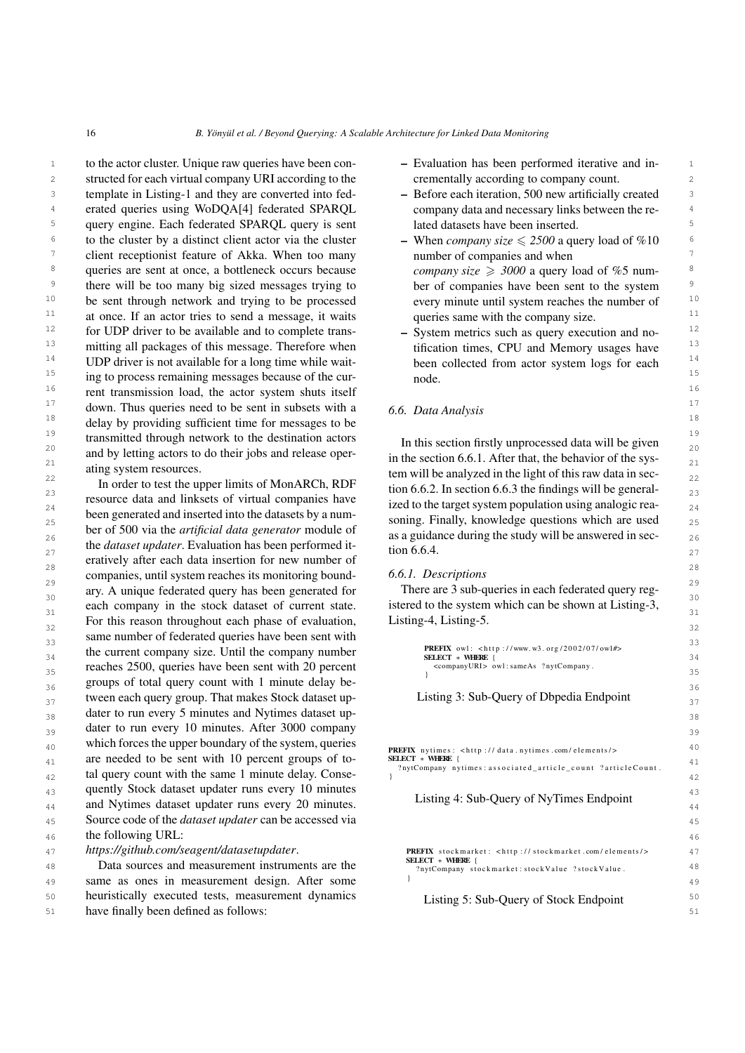1 to the actor cluster. Unique raw queries have been con-  $-$  Evaluation has been performed iterative and in-2 2 structed for each virtual company URI according to the crementally according to company count. 3 3 template in Listing[-1](#page-11-0) and they are converted into fed-<sup>4</sup> erated queries using WoDQA[\[4\]](#page-23-11) federated SPARQL company data and necessary links between the re-5 5 query engine. Each federated SPARQL query is sent <sup>6</sup> to the cluster by a distinct client actor via the cluster  $-$  When *company size*  $\leq 2500$  a query load of %10 <sup>7</sup> client receptionist feature of Akka. When too many humber of companies and when <sup>7</sup> <sup>8</sup> queries are sent at once, a bottleneck occurs because *company size*  $\geq$  3000 a query load of %5 num-<sup>9</sup> there will be too many big sized messages trying to ber of companies have been sent to the system <sup>9</sup> <sup>10</sup> be sent through network and trying to be processed every minute until system reaches the number of  $10$ <sup>11</sup> at once. If an actor tries to send a message, it waits queries same with the company size.<sup>11</sup> <sup>12</sup> for UDP driver to be available and to complete trans-<br>- System metrics such as query execution and no-<sup>13</sup> mitting all packages of this message. Therefore when tification times, CPU and Memory usages have <sup>13</sup> <sup>14</sup> UDP driver is not available for a long time while wait-<br>been collected from actor system logs for each <sup>15</sup> ing to process remaining messages because of the cur-<br><sup>15</sup> node. <sup>16</sup> 16<sup>16</sup> 16<sup>16</sup>  $17$  down. Thus queries need to be sent in subsets with a 6.6. Data Analysis <sup>18</sup> delay by providing sufficient time for messages to be <sup>18</sup> <sup>19</sup> transmitted through network to the destination actors and the section firstly unprocessed data will be given ransmitted through network to the destination actors<br> $\frac{20}{20}$  and by latting actors to de their inha and ralesse agency. and by letting actors to do their jobs and release oper-<br> $\frac{21}{2}$  in the section [6.6.1.](#page-15-0) After that, the behavior of the sysand by letting actors to do their jobs and release operating system resources.

23 **Except and Section [6.6.2.](#page-16-0)** In section [6.6.3](#page-18-0) the findings will be general-<br>23  $^{24}$  24 and the target system population using analogic rea-<br> $^{24}$  $^{25}$  bein generated and inserted into the datasets by a number soning. Finally, knowledge questions which are used  $^{25}$ 26 bet of 500 via the *artificial data generator* inodule of as a guidance during the study will be answered in sec- $27 \t\t 1000 \t 0.04.$  27 eratively after each data insertion for new number of  $\frac{28}{28}$  $\frac{29}{28}$  ary. A unique federated query has been generated for There are 3 sub-queries in each federated query reg- $\frac{30}{30}$  ary. A unique federated query has been generated for There are 3 sub-queries in each federated query regeach company in the stock dataset of current state. istered to the system which can be shown at Listing-3,  $\frac{32}{32}$  For this reason throughout each phase of evaluation, Listing-4, Listing-5.  $\frac{33}{23}$  same number of federated queries have been sent with 34 the current company size. Until the company number<br> $\frac{\text{PREFIX}}{\text{SELECT * WHERE}}$  (<br> $\frac{\text{PREFIX}}{\text{SELECT * WHERE}}$ ) reaches 2500, queries have been sent with 20 percent  $\frac{\text{1}}{35}$  companyURI> owl:sameAs ?nytCompany.  $36$  groups of total query count with 1 minute delay between each query group. That makes Stock dataset up-<br> $37 \text{ Listing } 3$ : Sub-Query of Dbpedia Endpoint 38 dater to run every 5 minutes and Nytimes dataset up- $39$  dater to run every 10 minutes. After 3000 company 40 WHICH FOLCES the upper boundary of the system, queries prefix nytimes: <http://data.nytimes.com/elements/><br>40 are needed to be sent with 10 percent groups of to-<br> $\frac{1}{41}$ 41 are needed to be sent with 10 percent groups of to-<br>41 42 tal query count with the same 1 minute delay. Conse-43 quently Stock dataset updater runs every 10 minutes<br>
43 quently Stock dataset updater runs every 10 minutes<br>  $\frac{1}{2}$  and  $\frac{1}{2}$  and  $\frac{1}{2}$  and  $\frac{1}{2}$  and  $\frac{1}{2}$  and  $\frac{1}{2}$  and  $\frac{1}{2}$  and  $\frac{1}{2}$  an <sup>44</sup> and Nytimes dataset updater runs every 20 minutes. Ensuing 4. Sub-Query of Nythines Enapolitic 44 45 45 Source code of the *dataset updater* can be accessed via resource data and linksets of virtual companies have been generated and inserted into the datasets by a number of 500 via the *artificial data generator* module of the *dataset updater*. Evaluation has been performed itcompanies, until system reaches its monitoring boundwhich forces the upper boundary of the system, queries

*<https://github.com/seagent/datasetupdater>*.

**18** Data sources and measurement instruments are the **18 SELLET + WHERE** TO PRICOMPANY STOCK Value ? Stock Value . 48 **Same as ones in measurement design. After some**  50 heuristically executed tests, measurement dynamics 51 have finally been defined as follows:

- Evaluation has been performed iterative and incrementally according to company count.
- Before each iteration, 500 new artificially created company data and necessary links between the related datasets have been inserted.
- When *company size*  $\leq 2500$  a query load of %10 number of companies and when *company size*  $\geq$  3000 a query load of %5 number of companies have been sent to the system every minute until system reaches the number of queries same with the company size.
- System metrics such as query execution and notification times, CPU and Memory usages have been collected from actor system logs for each node.

### *6.6. Data Analysis*

22<br>In order to test the upper limits of MonARCh, RDF  $\frac{1}{22}$  tion 6.6.2. In section 6.6.3 the findings will be general. tem will be analyzed in the light of this raw data in section [6.6.4.](#page-19-0)

### <span id="page-15-0"></span>*6.6.1. Descriptions*

<span id="page-15-3"></span><span id="page-15-2"></span>}

<span id="page-15-1"></span>istered to the system which can be shown at Listing[-3,](#page-15-1) Listing[-4,](#page-15-2) Listing[-5.](#page-15-3)

46 the following URL:  $46$ 47 https://github.com/seagent/datasetupdater. PREFIX stockmarket: <http://stockmarket.com/elements/><br>21 SELECT \* WHERE { PREFIX owl: <http://www.w3.org/2002/07/owl#> SELECT ∗ WHERE { <companyURI > owl : sameAs ? nytCompany . } Listing 3: Sub-Query of Dbpedia Endpoint 2nytCompany nytimes: associated\_article\_count ?articleCount. Listing 4: Sub-Query of NyTimes Endpoint ? nytCompany stockmarket : stockValue ? stockValue. } Listing 5: Sub-Query of Stock Endpoint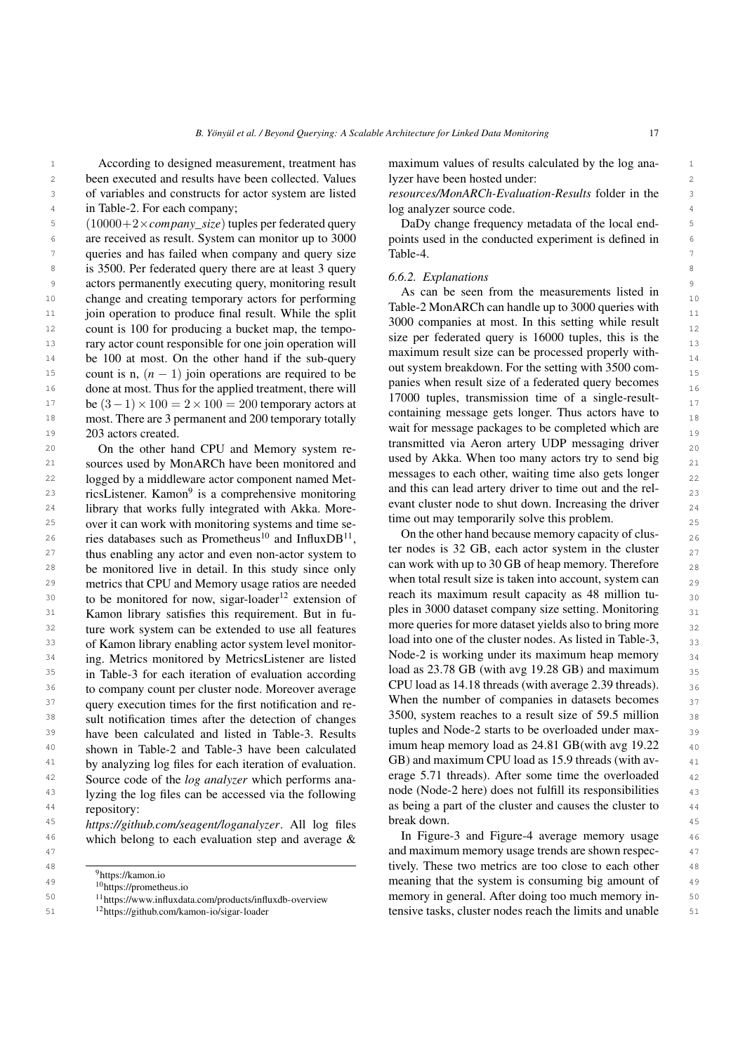1 1 According to designed measurement, treatment has maximum values of results calculated by the log ana-2 been executed and results have been collected. Values lyzer have been hosted under: 3 of variables and constructs for actor system are listed resources/MonARCh-Evaluation-Results folder in the 3 According to designed measurement, treatment has

5 (10000+2×*company\_size*) tuples per federated query DaDy change frequency metadata of the local end-<sup>6</sup> are received as result. System can monitor up to 3000 points used in the conducted experiment is defined in <sup>7</sup> queries and has failed when company and query size Table-4. 8 is 3500. Per federated query there are at least 3 query  $662$  Fundamentions 9 actors permanently executing query, monitoring result  $\frac{6.625 \text{ E} \times \text{E} \times \text{E}}{4.66 \text{ E}}$ 10 change and creating temporary actors for performing that a securitor in the measurements issue in 10 11 join operation to produce final result. While the split above 2 Montened from the to 5000 queles with 11 12 count is 100 for producing a bucket map, the tempo-<br>12 13 **13 rary actor count responsible for one join operation will <b>13 14 14 14 14 14 15 14 15 14 15 14 15 14 15 14 15 14 15 14 15 14 15 14 15 14 15 11 11 11 11** <sup>14</sup> be 100 at most. On the other hand if the sub-query the maximum result size can be processed property while 15 count is n,  $(n-1)$  join operations are required to be  $\frac{15}{2}$  counterparticle and the setting with 3500 com-<sup>16</sup> done at most. Thus for the applied treatment, there will hands when result size of a redetated ducty becomes  $17$  be  $(3-1) \times 100 = 2 \times 100 = 200$  temporary actors at  $17000$  typies, transmission time of a single-result-<sup>18</sup> most. There are 3 permanent and 200 temporary totally containing incessage gets longer. Thus actors have to 19 19 wait for message packages to be completed which are 203 actors created.

20 On the other hand CPU and Memory system re-<br>20 On the other hand CPU and Memory system re-21 sources used by MonARCh have been monitored and used by AKKa. When too many actors uy to send big 21  $22$  logged by a middleware actor component named Met-<br> $22$  logged by a middleware actor component named Met-23 ricsListener. Kamon<sup>[9](#page-16-1)</sup> is a comprehensive monitoring and this can lead artery driver to time out and the rel- $24$  library that works fully integrated with Akka. More-<br> $24$  library that works fully integrated with Akka. More-25 over it can work with monitoring systems and time se-<br>25 over it can work with monitoring systems and time se-<br>25 <sup>26</sup> ries databases such as Prometheus<sup>[10](#page-16-2)</sup> and InfluxDB<sup>[11](#page-16-3)</sup>, <sup>On the other hand because memory capacity of clus-</sup> 27 thus enabling any actor and even non-actor system to the modes is  $\frac{32}{27}$  the existence the critical even non-actor system to 28 be monitored live in detail. In this study since only can work will up to 50 GB of heap memory. Therefore  $\frac{28}{2}$ <sup>29</sup> metrics that CPU and Memory usage ratios are needed when was result size is taken mo account, system can  $30$  to be monitored for now, sigar-loader<sup>[12](#page-16-4)</sup> extension of reach its maximum result capacity as 48 million tu-31 Kamon library satisfies this requirement. But in fu-<br>  $\frac{1}{2}$  pies in 5000 dataset company size setting. Monitoring 31 <sup>32</sup> ture work system can be extended to use all features to more queries for more quasely yields also to pring more 33 of Kamon library enabling actor system level monitor-<br>33 of Kamon library enabling actor system level monitor-<br>33 <sup>34</sup> ing. Metrics monitored by MetricsListener are listed Node-2 is working under its maximum neap memory 34  $35$  in Table[-3](#page-17-1) for each iteration of evaluation according  $\frac{1080 \text{ as } 23.78 \text{ GB (with avg 19.28 GB) and maximum}}{25}$ <sup>36</sup> to company count per cluster node. Moreover average TPU 10ad as 14.18 threads (with average 2.39 threads). <sup>37</sup> query execution times for the first notification and re-<br><sup>37</sup> query execution times for the first notification and re-38 sult notification times after the detection of changes 3500, system reaches to a result size of 59.5 million <sup>39</sup> have been calculated and listed in Table[-3.](#page-17-1) Results tuples and Node-2 starts to be overloaded under max-<br>39 <sup>40</sup> shown in Table-2 and Table-3 have been calculated imum heap memory load as 24.81 GB(with avg 19.22 <sup>40</sup> <sup>41</sup> by analyzing log files for each iteration of evaluation. GB) and maximum CPU load as 15.9 threads (with av-<sup>42</sup> Source code of the *log analyzer* which performs ana-<br><sup>42</sup> erage 5.71 threads). After some time the overloaded <sup>43</sup> lyzing the log files can be accessed via the following node (Node-2 here) does not fulfill its responsibilities <sup>43</sup> <sup>44</sup> **as being a part of the cluster and causes the cluster to** shown in Table[-2](#page-17-0) and Table[-3](#page-17-1) have been calculated lyzing the log files can be accessed via the following repository:

45 45 *<https://github.com/seagent/loganalyzer>*. All log files <sup>46</sup> which belong to each evaluation step and average  $\&$  In Figure[-3](#page-17-3) and Figure[-4](#page-18-1) average memory usage 46 which belong to each evaluation step and average &

<span id="page-16-2"></span><span id="page-16-1"></span><sup>9</sup><https://kamon.io>

<span id="page-16-3"></span><sup>10</sup><https://prometheus.io>

<span id="page-16-4"></span>

<sup>11</sup><https://www.influxdata.com/products/influxdb-overview>

<sup>12</sup><https://github.com/kamon-io/sigar-loader>

lyzer have been hosted under:

4 in Table[-2.](#page-17-0) For each company; log analyzer source code. *resources/MonARCh-Evaluation-Results* folder in the log analyzer source code.

> DaDy change frequency metadata of the local endpoints used in the conducted experiment is defined in Table[-4.](#page-17-2)

### <span id="page-16-0"></span>*6.6.2. Explanations*

As can be seen from the measurements listed in Table[-2](#page-17-0) MonARCh can handle up to 3000 queries with 3000 companies at most. In this setting while result size per federated query is 16000 tuples, this is the maximum result size can be processed properly without system breakdown. For the setting with 3500 companies when result size of a federated query becomes 17000 tuples, transmission time of a single-resultcontaining message gets longer. Thus actors have to transmitted via Aeron artery UDP messaging driver used by Akka. When too many actors try to send big messages to each other, waiting time also gets longer and this can lead artery driver to time out and the relevant cluster node to shut down. Increasing the driver time out may temporarily solve this problem.

On the other hand because memory capacity of cluster nodes is 32 GB, each actor system in the cluster can work with up to 30 GB of heap memory. Therefore when total result size is taken into account, system can reach its maximum result capacity as 48 million tuples in 3000 dataset company size setting. Monitoring more queries for more dataset yields also to bring more load into one of the cluster nodes. As listed in Table[-3,](#page-17-1) Node-2 is working under its maximum heap memory load as 23.78 GB (with avg 19.28 GB) and maximum CPU load as 14.18 threads (with average 2.39 threads). When the number of companies in datasets becomes 3500, system reaches to a result size of 59.5 million tuples and Node-2 starts to be overloaded under max-GB) and maximum CPU load as 15.9 threads (with average 5.71 threads). After some time the overloaded break down.

<sup>47</sup> and maximum memory usage trends are shown respec-<sup>48</sup> <sup>48</sup> <sup>18</sup> 49 Hutbourned that the system is consuming big amount of 49 <sup>50</sup> <sup>11</sup>https://www.influxdata.com/products/influxdb-overview memory in general. After doing too much memory in-51 <sup>12</sup>https://github.com/kamon-io/sigar-loader **51** tensive tasks, cluster nodes reach the limits and unable 51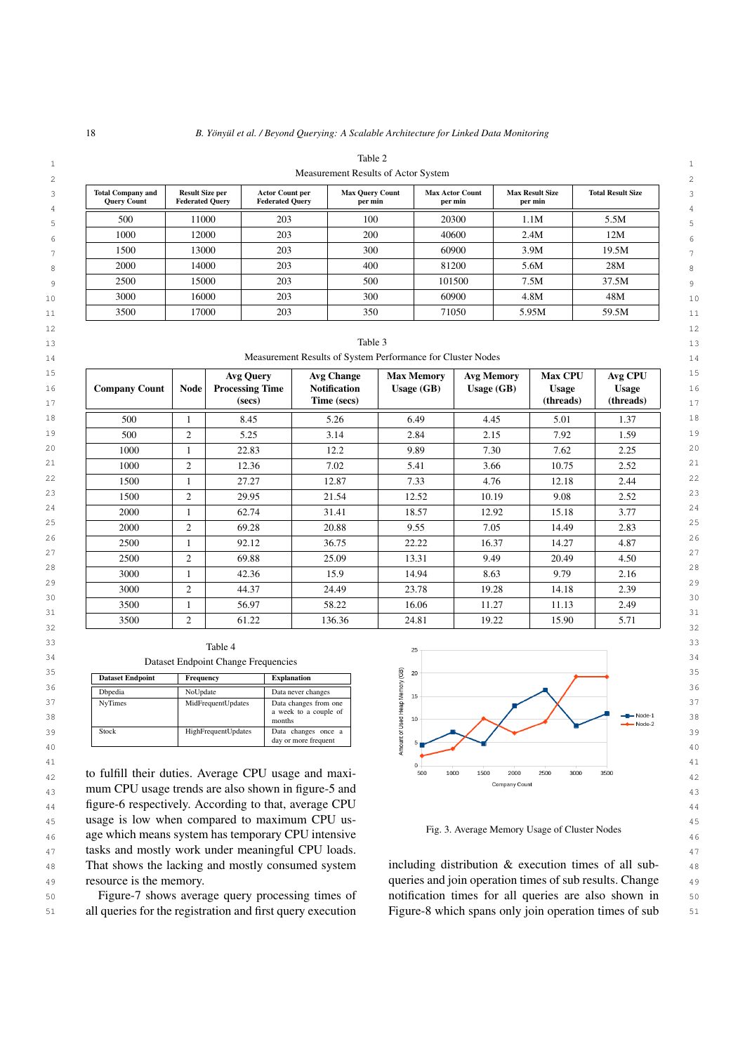| Table 2 |  |
|---------|--|
|         |  |

| <b>Total Company and</b><br><b>Ouery Count</b> | <b>Result Size per</b><br><b>Federated Ouery</b> | <b>Actor Count per</b><br><b>Federated Ouerv</b> | <b>Max Query Count</b><br>per min | <b>Max Actor Count</b><br>per min | <b>Max Result Size</b><br>per min | <b>Total Result Size</b> |
|------------------------------------------------|--------------------------------------------------|--------------------------------------------------|-----------------------------------|-----------------------------------|-----------------------------------|--------------------------|
| 500                                            | 11000                                            | 203                                              | 100                               | 20300                             | 1.1M                              | 5.5M                     |
| 1000                                           | 12000                                            | 203                                              | 200                               | 40600                             | 2.4M                              | 12M                      |
| 1500                                           | 13000                                            | 203                                              | 300                               | 60900                             | 3.9M                              | 19.5M                    |
| 2000                                           | 14000                                            | 203                                              | 400                               | 81200                             | 5.6M                              | 28M                      |
| 2500                                           | 15000                                            | 203                                              | 500                               | 101500                            | 7.5M                              | 37.5M                    |
| 3000                                           | 16000                                            | 203                                              | 300                               | 60900                             | 4.8M                              | 48M                      |
| 3500                                           | 17000                                            | 203                                              | 350                               | 71050                             | 5.95M                             | 59.5M                    |

<span id="page-17-0"></span>Table 3

500 | 1 | 8.45 | 5.26 | 6.49 | 4.45 | 5.01 | 1.37 500 | 2 | 5.25 | 3.14 | 2.84 | 2.15 | 7.92 | 1.59 1000 1 22.83 12.2 9.89 7.30 7.62 2.25 1000 | 2 | 12.36 | 7.02 | 5.41 | 3.66 | 10.75 | 2.52 1500 | 1 | 27.27 | 12.87 | 7.33 | 4.76 | 12.18 | 2.44 1500 | 2 | 29.95 | 21.54 | 12.52 | 10.19 | 9.08 | 2.52 2000 | 1 | 62.74 | 31.41 | 18.57 | 12.92 | 15.18 | 3.77 2000 | 2 | 69.28 | 20.88 | 9.55 | 7.05 | 14.49 | 2.83 2500 | 1 | 92.12 | 36.75 | 22.22 | 16.37 | 14.27 | 4.87

3000 2 44.37 24.49 23.78 19.28 14.18 2.39 3500 | 1 | 56.97 | 58.22 | 16.06 | 11.27 | 11.13 | 2.49

Max Memory Usage (GB)

Avg Memory Usage (GB)

Max CPU Usage (threads)

Avg CPU Usage (threads)

Avg Change Notification Time (secs)

| $\sim$ $-$           | 2500                                          | ∸                        | 69.88                  | 25.09                    | 10.01<br>1 J.J I | 9.49                 | 20.49                      | $\epsilon$<br>4.JU    | $\sim$<br><u>.</u> |
|----------------------|-----------------------------------------------|--------------------------|------------------------|--------------------------|------------------|----------------------|----------------------------|-----------------------|--------------------|
| $\cap$ $\cap$<br>ے ت | 3000                                          |                          | 10.26<br>42.30         | $\sim$ $\sim$            | 14.94            | 8.63                 | .17C                       |                       | $\cap$<br>20       |
| $\sim$ $\sim$        | $\mathbf{a} \mathbf{a} \mathbf{a} \mathbf{a}$ | $\overline{\phantom{0}}$ | $\cdot$ $\cdot$ $\sim$ | 1 J . J<br>$\sim$ $\sim$ | $\sim$ $\sim$    | $\sim$ $\sim$ $\sim$ | , , , <u>,</u><br>$\cdots$ | 2.10<br>$\sim$ $\sim$ | 2c<br>. .          |

| $\sim$ $\sim$        | $- - - -$<br>JJUU-<br>. | - | $\sim$<br>01.22 | 150.50 | ີ 1<br><br>27.VJ | $\sim$ 0.0 $\sim$ | <b>C</b> ററ | - - | - -                  |
|----------------------|-------------------------|---|-----------------|--------|------------------|-------------------|-------------|-----|----------------------|
| ے ب<br>$\sim$ $\sim$ |                         |   |                 |        |                  |                   |             |     | ے ب<br>$\sim$ $\sim$ |

<span id="page-17-2"></span>Table 4

<span id="page-17-1"></span>Avg Query Processing Time (secs)

| <b>Dataset Endpoint</b> | Frequency           | <b>Explanation</b>                                       |
|-------------------------|---------------------|----------------------------------------------------------|
| <b>D</b> bpedia         | NoUpdate            | Data never changes                                       |
| <b>NyTimes</b>          | MidFrequentUpdates  | Data changes from one<br>a week to a couple of<br>months |
| Stock                   | HighFrequentUpdates | Data changes once a<br>day or more frequent              |

 $_{42}$  to fulfill their duties. Average CPU usage and maxi-<br> $_{42}$   $_{500}$   $_{1000}$   $_{1500}$   $_{2000}$   $_{2500}$   $_{3000}$   $_{3500}$ 43 mum CPU usage trends are also shown in figure[-5](#page-18-2) and the company count of the company count of the 43 44 44 figure[-6](#page-18-3) respectively. According to that, average CPU 45 45 usage is low when compared to maximum CPU us-46 age which means system has temporary CPU intensive Theorem and Theorem and Manuscriptus and the 46 47 47 tasks and mostly work under meaningful CPU loads. <sup>48</sup> That shows the lacking and mostly consumed system including distribution & execution times of all sub-49 resource is the memory. The same state of sub-resource is the memory. resource is the memory.

50 Figure-7 shows average query processing times of notification times for all queries are also shown in 50 Figure[-7](#page-18-4) shows average query processing times of



<span id="page-17-3"></span>Fig. 3. Average Memory Usage of Cluster Nodes

51 51 all queries for the registration and first query execution including distribution & execution times of all sub-Figure[-8](#page-18-5) which spans only join operation times of sub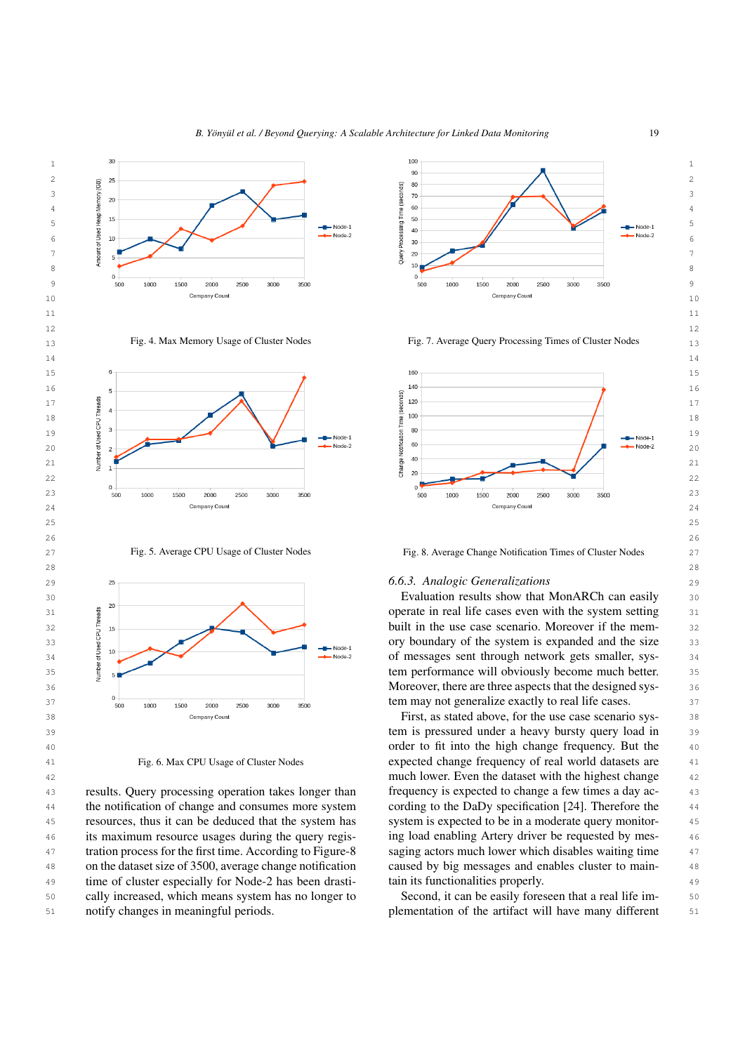



<span id="page-18-1"></span>Fig. 4. Max Memory Usage of Cluster Nodes

<span id="page-18-2"></span>Fig. 5. Average CPU Usage of Cluster Nodes



<span id="page-18-3"></span>Fig. 6. Max CPU Usage of Cluster Nodes

<span id="page-18-0"></span>43 results. Query processing operation takes longer than frequency is expected to change a few times a day ac-<sup>44</sup> the notification of change and consumes more system cording to the DaDy specification [24]. Therefore the <sup>44</sup> 45 resources, thus it can be deduced that the system has system is expected to be in a moderate query monitor-<sup>46</sup> its maximum resource usages during the query regis- ing load enabling Artery driver be requested by mes- <sup>46</sup> 47 tration process for the first time. According to Figure[-8](#page-18-5) 48 on the dataset size of 3500, average change notification <sup>49</sup> time of cluster especially for Node-2 has been drasti- tain its functionalities properly. 50 cally increased, which means system has no longer to Second, it can be easily foreseen that a real life im- 51 plementation of the artifact will have many differentnotify changes in meaningful periods.







27 Fig. 8. Average Change Notification Times of Cluster Nodes

<span id="page-18-5"></span><span id="page-18-4"></span>

 39 tem is pressured under a heavy bursty query load in 40 order to fit into the high change frequency. But the 41 Fig. 6. Max CPU Usage of Cluster Nodes expected change frequency of real world datasets are 41 And the much lower. Even the dataset with the highest change  $\frac{42}{3}$ frequency is expected to change a few times a day according to the DaDy specification [\[24\]](#page-24-6). Therefore the system is expected to be in a moderate query monitoring load enabling Artery driver be requested by messaging actors much lower which disables waiting time caused by big messages and enables cluster to maintain its functionalities properly.

Second, it can be easily foreseen that a real life im-

*B. Yönyül et al. / Beyond Querying: A Scalable Architecture for Linked Data Monitoring* 19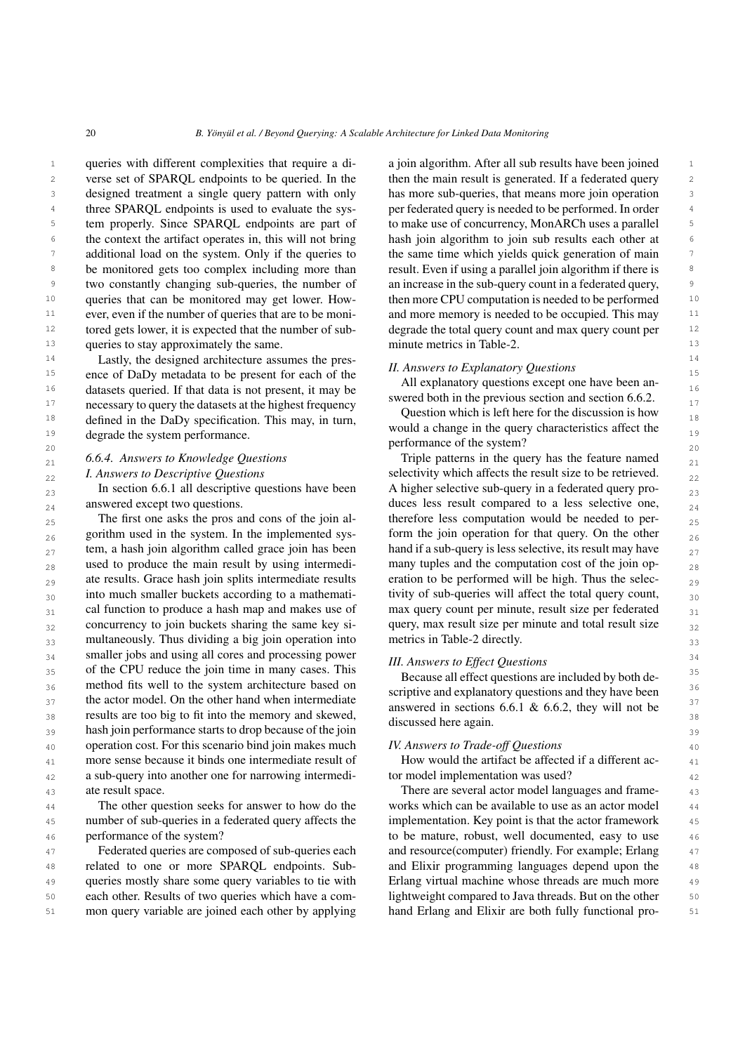1 queries with different complexities that require a di- a join algorithm. After all sub results have been joined 2 verse set of SPARQL endpoints to be queried. In the the main result is generated. If a federated query 2 3 designed treatment a single query pattern with only has more sub-queries, that means more join operation 3 <sup>4</sup> three SPARQL endpoints is used to evaluate the sys- per federated query is needed to be performed. In order <sup>5</sup> tem properly. Since SPARQL endpoints are part of to make use of concurrency, MonARCh uses a parallel <sup>5</sup> <sup>6</sup> the context the artifact operates in, this will not bring hash join algorithm to join sub results each other at <sup>7</sup> additional load on the system. Only if the queries to the same time which yields quick generation of main <sup>8</sup> be monitored gets too complex including more than result. Even if using a parallel join algorithm if there is <sup>9</sup> two constantly changing sub-queries, the number of an increase in the sub-query count in a federated query, <sup>10</sup> queries that can be monitored may get lower. How-<br><sup>10</sup> then more CPU computation is needed to be performed <sup>11</sup> ever, even if the number of queries that are to be moni- and more memory is needed to be occupied. This may <sup>12</sup> tored gets lower, it is expected that the number of sub-<br><sup>12</sup> degrade the total query count and max query count per <sup>13</sup> queries to stay approximately the same. minute metrics in Table-2. designed treatment a single query pattern with only three SPARQL endpoints is used to evaluate the sysqueries that can be monitored may get lower. Howtored gets lower, it is expected that the number of sub-

<sup>14</sup> Lastly, the designed architecture assumes the pres-<br><sup>14</sup> 15 ence of DaDy metadata to be present for each of the  $\frac{15}{41}$  methods to be present to be not been been been to be  $\frac{15}{41}$ 16 datasets queried. If that data is not present, it may be  $\frac{16}{16}$  and  $\frac{1}{16}$  and  $\frac{1}{16}$  and  $\frac{1}{16}$  and  $\frac{1}{16}$  and  $\frac{1}{16}$  and  $\frac{1}{16}$  and  $\frac{1}{16}$  and  $\frac{1}{16}$  and  $\frac{1}{16}$  and  $\frac{1}{16}$ 17 necessary to query the datasets at the highest frequency<br>
Constitute in the highest frequency<br>
Constitute in the highest frequency<br>
Constitute in the highest frequency<br>
Constitute in the highest frequency<br>
Constitute in  $18$  defined in the DaDy specification. This may, in turn,  $\frac{18}{18}$  and  $\frac{18}{18}$  and  $\frac{18}{18}$  and  $\frac{18}{18}$  and  $\frac{18}{18}$  and  $\frac{18}{18}$  and  $\frac{18}{18}$  and  $\frac{18}{18}$  and  $\frac{18}{18}$ <sup>19</sup> degrade the system performance.

### <span id="page-19-0"></span>*6.6.4. Answers to Knowledge Questions*

*I. Answers to Descriptive Questions*

In section [6.6.1](#page-15-0) all descriptive questions have been answered except two questions.

25 The first one asks the pros and cons of the join al-<br>therefore less computation would be needed to per-<br> $25$  $_{26}$  gorithm used in the system. In the implemented sys-<br>form the join operation for that query. On the other  $_{27}$  tem, a hash join algorithm called grace join has been hand if a sub-query is less selective, its result may have  $_{27}$  $_{28}$  used to produce the main result by using intermedi- many tuples and the computation cost of the join op-<sub>29</sub> ate results. Grace hash join splits intermediate results eration to be performed will be high. Thus the selec- $_{30}$  into much smaller buckets according to a mathemati-<br> $_{30}$  is tivity of sub-queries will affect the total query count,  $_{31}$  cal function to produce a hash map and makes use of max query count per minute, result size per federated  $_{31}$  $_{32}$  concurrency to join buckets sharing the same key si-query, max result size per minute and total result size  $_{32}$  $_{33}$  multaneously. Thus dividing a big join operation into metrics in Table-2 directly.  $34$  smaller jobs and using all cores and processing power  $\frac{III}{III}$  Anguars to Effect Questions 35 of the CPU reduce the join time in many cases. This  $\frac{1}{2}$  and  $\frac{1}{2}$  and  $\frac{1}{2}$  and  $\frac{1}{2}$  and  $\frac{1}{2}$  and  $\frac{1}{2}$  and  $\frac{1}{2}$  and  $\frac{1}{2}$  and  $\frac{1}{2}$  and  $\frac{1}{2}$  and  $\frac{1}{2}$  and  $\frac{1}{2}$  an  $36$  method fits well to the system architecture based on  $\frac{1}{26}$  and the system architecture in the system of the system of the system.  $37$  the actor model. On the other hand when intermediate  $\frac{37}{2}$  are actions 6.6.1 for the  $\frac{37}{2}$  $38$  results are too big to fit into the memory and skewed, discussed here exists the social contract  $\frac{1}{38}$ 39 hash join performance starts to drop because of the join also assess the example.  $_{40}$  operation cost. For this scenario bind join makes much *IV. Answers to Trade-off Questions* <sup>41</sup> 41 more sense because it binds one intermediate result of How would the artifact be affected if a different ac-42 42 a sub-query into another one for narrowing intermedi-<sup>43</sup> at a teresult space. All the several actor model languages and frame-The first one asks the pros and cons of the join alinto much smaller buckets according to a mathematiconcurrency to join buckets sharing the same key siate result space.

<sup>44</sup> The other question seeks for answer to how do the works which can be available to use as an actor model <sup>44</sup> 45 number of sub-queries in a federated query affects the implementation. Key point is that the actor framework 45 <sup>46</sup> erformance of the system? The system of the system? The system of the system? The system of the system? The system of the system? The system of the system? The system of the system? The system of the system? The syste The other question seeks for answer to how do the performance of the system?

47 Federated queries are composed of sub-queries each and resource(computer) friendly. For example; Erlang 47 48 related to one or more SPARQL endpoints. Sub- and Elixir programming languages depend upon the 48 49 queries mostly share some query variables to tie with Erlang virtual machine whose threads are much more 49 50 each other. Results of two queries which have a com-<br>lightweight compared to Java threads. But on the other 50 51 mon query variable are joined each other by applying hand Erlang and Elixir are both fully functional pro-Federated queries are composed of sub-queries each related to one or more SPARQL endpoints. Subeach other. Results of two queries which have a com-

a join algorithm. After all sub results have been joined then the main result is generated. If a federated query to make use of concurrency, MonARCh uses a parallel hash join algorithm to join sub results each other at the same time which yields quick generation of main result. Even if using a parallel join algorithm if there is an increase in the sub-query count in a federated query, and more memory is needed to be occupied. This may minute metrics in Table[-2.](#page-17-0)

### *II. Answers to Explanatory Questions*

All explanatory questions except one have been answered both in the previous section and section [6.6.2.](#page-16-0)

20 20 performance of the system? Question which is left here for the discussion is how would a change in the query characteristics affect the

21 6.6.4. Answers to Knowledge Questions Triple patterns in the query has the feature named  $_{21}$ 22 *I. Answers to Descriptive Questions* selectivity which affects the result size to be retrieved. 23 In section 6.6.1 all descriptive questions have been A higher selective sub-query in a federated query proanswered except two questions.  $\frac{1}{24}$  duces less result compared to a less selective one,  $\frac{1}{24}$ form the join operation for that query. On the other hand if a sub-query is less selective, its result may have many tuples and the computation cost of the join operation to be performed will be high. Thus the selecmax query count per minute, result size per federated metrics in Table[-2](#page-17-0) directly.

### *III. Answers to Effect Questions*

Because all effect questions are included by both descriptive and explanatory questions and they have been answered in sections [6.6.1](#page-15-0) & [6.6.2,](#page-16-0) they will not be discussed here again.

### *IV. Answers to Trade-off Questions*

How would the artifact be affected if a different actor model implementation was used?

implementation. Key point is that the actor framework Erlang virtual machine whose threads are much more hand Erlang and Elixir are both fully functional pro-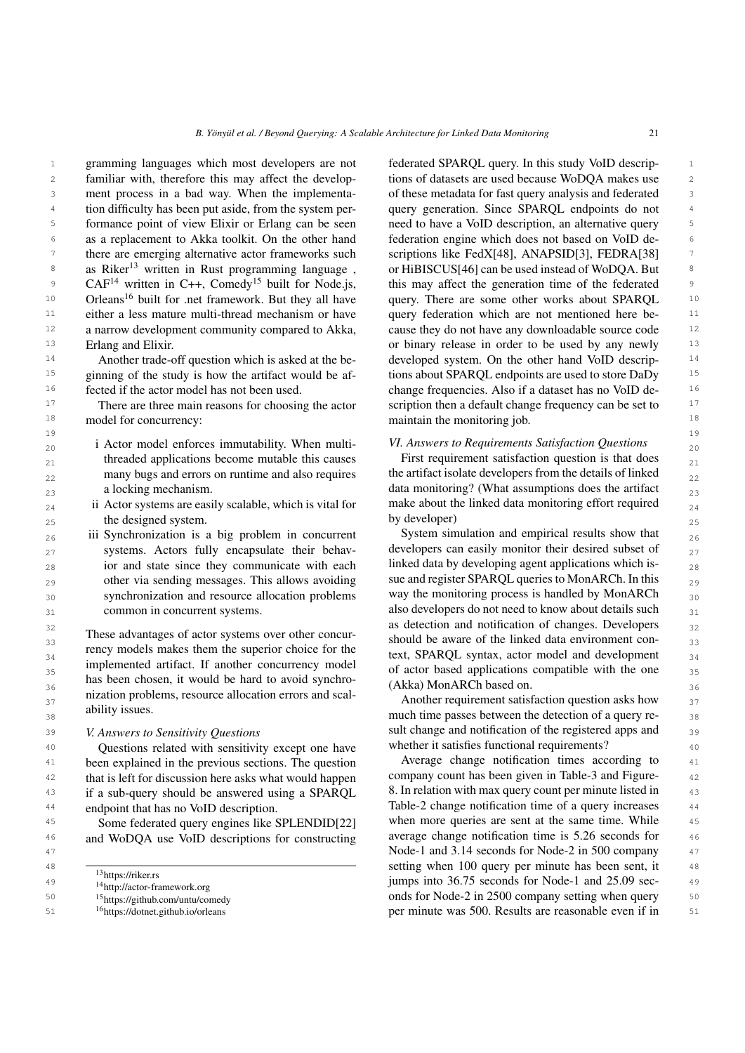19 19

1 1 gramming languages which most developers are not 2 familiar with, therefore this may affect the develop-<br>2 ions of datasets are used because WoDQA makes use 3 ment process in a bad way. When the implementa-of these metadata for fast query analysis and federated 3 <sup>4</sup> tion difficulty has been put aside, from the system per- query generation. Since SPARQL endpoints do not <sup>5</sup> formance point of view Elixir or Erlang can be seen are to have a VoID description, an alternative query <sup>5</sup> <sup>6</sup> as a replacement to Akka toolkit. On the other hand federation engine which does not based on VoID de-<sup>7</sup> there are emerging alternative actor frameworks such scriptions like FedX[48], ANAPSID[3], FEDRA[38] 8 as Riker<sup>[13](#page-20-0)</sup> written in Rust programming language, or HiBISCUS[46] can be used instead of WoDQA. But 9 CAF<sup>[14](#page-20-1)</sup> written in C++, Comedy<sup>[15](#page-20-2)</sup> built for Node.js, this may affect the generation time of the federated  $10$  Orleans<sup>[16](#page-20-3)</sup> built for .net framework. But they all have query. There are some other works about SPARQL  $10$ <sup>11</sup> either a less mature multi-thread mechanism or have query federation which are not mentioned here be-<sup>11</sup> <sup>12</sup> a narrow development community compared to Akka, cause they do not have any downloadable source code <sup>12</sup> <sup>13</sup> 13 Erlang and Elixir. The same of the same of the same of binary release in order to be used by any newly familiar with, therefore this may affect the development process in a bad way. When the implementation difficulty has been put aside, from the system pera narrow development community compared to Akka, Erlang and Elixir.

<sup>14</sup> Another trade-off question which is asked at the be-<br>developed system. On the other hand VoID descrip-<br><sup>14</sup> <sup>15</sup> ginning of the study is how the artifact would be af-<br><sup>15</sup> units about SPARQL endpoints are used to store DaDy Another trade-off question which is asked at the beginning of the study is how the artifact would be affected if the actor model has not been used.

There are three main reasons for choosing the actor model for concurrency:

- $_{20}$  i Actor model enforces immutability. When multi- *VI. Answers to Requirements Satisfaction Questions* 21 threaded applications become mutable this causes First requirement satisfaction question is that does 21  $_{22}$  many bugs and errors on runtime and also requires the artifact isolate developers from the details of linked  $_{22}$ threaded applications become mutable this causes a locking mechanism.
- 25 the designed system. The contract of the designed system.

 $_{26}$  iii Synchronization is a big problem in concurrent System simulation and empirical results show that  $_{26}$ 27 systems. Actors fully encapsulate their behav- developers can easily monitor their desired subset of  $27$  $_{28}$  ior and state since they communicate with each linked data by developing agent applications which isother via sending messages. This allows avoiding sue and register SPARQL queries to MonARCh. In this  $_{29}$ 30 synchronization and resource allocation problems way the monitoring process is handled by MonARCh 30 synchronization and resource allocation problems common in concurrent systems.

 $\frac{33}{3}$  in these advantages of actor systems over other concur-<br>should be aware of the linked data environment con- $^{34}$   $^{34}$   $^{12}$   $^{12}$   $^{12}$   $^{12}$   $^{12}$   $^{12}$   $^{12}$   $^{12}$   $^{12}$   $^{12}$   $^{12}$   $^{12}$   $^{12}$   $^{12}$   $^{12}$   $^{12}$   $^{12}$   $^{12}$   $^{12}$   $^{12}$   $^{12}$   $^{12}$   $^{12}$   $^{12}$   $^{12}$   $^{12}$   $^{12}$   $^{12}$   $^{12}$   $^{12$ 35 35 of actor based applications compatible with the one  $\frac{36}{27}$  nization problems, resource allocation errors and scal-<br> $\frac{36}{27}$  Another requirement satisfaction question asks how  $37 \frac{\text{m}}{\text{m}}$  237  $\frac{\text{m}}{\text{m}}$  237  $\frac{\text{m}}{\text{m}}$  257  $\frac{\text{m}}{\text{m}}$  258  $\frac{\text{m}}{\text{m}}$  258  $\frac{\text{m}}{\text{m}}$  258  $\frac{\text{m}}{\text{m}}$  258  $\frac{\text{m}}{\text{m}}$  258  $\frac{\text{m}}{\text{m}}$  258  $\frac{\text{m}}{\text{m}}$  258  $\frac{\text{m}}{\text{m}}$  258  $\frac{\text{m}}{\text$ These advantages of actor systems over other concurrency models makes them the superior choice for the implemented artifact. If another concurrency model has been chosen, it would be hard to avoid synchroability issues.

### *V. Answers to Sensitivity Questions*

40 Questions related with sensitivity except one have whether it satisfies functional requirements? endpoint that has no VoID description.

<sup>16</sup> fected if the actor model has not been used. change frequencies. Also if a dataset has no VoID de-<sup>17</sup> There are three main reasons for choosing the actor scription then a default change frequency can be set to <sup>17</sup> <sup>18</sup> model for concurrency: the monometric maintain the monitoring job. <sup>18</sup> federated SPARQL query. In this study VoID descripneed to have a VoID description, an alternative query federation engine which does not based on VoID descriptions like FedX[\[48\]](#page-24-17), ANAPSID[\[3\]](#page-23-12), FEDRA[\[38\]](#page-24-18) or HiBISCUS[\[46\]](#page-24-19) can be used instead of WoDQA. But this may affect the generation time of the federated query. There are some other works about SPARQL query federation which are not mentioned here be-

### *VI. Answers to Requirements Satisfaction Questions*

23 a locking mechanism. A contract the data monitoring? (What assumptions does the artifact  $\frac{23}{23}$  $_{24}$  ii Actor systems are easily scalable, which is vital for make about the linked data monitoring effort required  $_{24}$ the artifact isolate developers from the details of linked make about the linked data monitoring effort required by developer)

31 31 also developers do not need to know about details such  $\frac{32}{2}$  as detection and notification of changes. Developers  $\frac{32}{2}$ System simulation and empirical results show that developers can easily monitor their desired subset of linked data by developing agent applications which issue and register SPARQL queries to MonARCh. In this (Akka) MonARCh based on.

 $38<sup>38</sup>$  about states. 39 V. Answers to Sensitivity Ouestions Sult change and notification of the registered apps and 39 whether it satisfies functional requirements?

<sup>41</sup> been explained in the previous sections. The question Average change notification times according to <sup>41</sup> <sup>42</sup> that is left for discussion here asks what would happen company count has been given in Table-3 and Figure-<sup>43</sup> if a sub-query should be answered using a SPARQL 8. In relation with max query count per minute listed in <sup>44</sup> endpoint that has no VoID description. Table[-2](#page-17-0) change notification time of a query increases <sup>44</sup> <sup>45</sup> Some federated query engines like SPLENDID[\[22\]](#page-24-16) when more queries are sent at the same time. While <sup>45</sup> <sup>46</sup> and WoDQA use VoID descriptions for constructing average change notification time is 5.26 seconds for 46 47 47 Node-1 and 3.14 seconds for Node-2 in 500 company 48  $\frac{1}{131}$   $\frac{1}{131}$   $\frac{1}{131}$   $\frac{1}{131}$   $\frac{1}{131}$   $\frac{1}{131}$   $\frac{1}{131}$   $\frac{1}{131}$   $\frac{1}{131}$   $\frac{1}{131}$   $\frac{1}{131}$   $\frac{1}{131}$   $\frac{1}{131}$   $\frac{1}{131}$   $\frac{1}{131}$   $\frac{1}{131}$   $\frac{1}{131}$   $\frac{1}{131}$   $\frac$ <sup>49</sup> <sup>th</sup> <sup>14</sup>http://actor.framework.org **14http://actor.framework.org <b>14http://actor.framework.org 14http://actor.framework.org 14http://actor.framework.org** <sup>50</sup> <sup>15</sup>https://github.com/untu/comedy **50 500 500 500 500 500 500 500 500 500 500 500 500 500 500 500 500 500 500 500 500 500 500 500 500 500 500 500 500 500 50** <sup>16</sup>https://dotnet.github.io/orleans **berasonable example 2016** 151 berasonable even if in the state of the state of the state of the state of the state of the state of the state of the state of the state of the state of t Average change notification times according to company count has been given in Table[-3](#page-17-1) and Figure-[8.](#page-18-5) In relation with max query count per minute listed in when more queries are sent at the same time. While average change notification time is 5.26 seconds for

<span id="page-20-1"></span><span id="page-20-0"></span><sup>13</sup><https://riker.rs>

<span id="page-20-3"></span><span id="page-20-2"></span><sup>14</sup><http://actor-framework.org>

<sup>15</sup><https://github.com/untu/comedy>

<sup>16</sup><https://dotnet.github.io/orleans>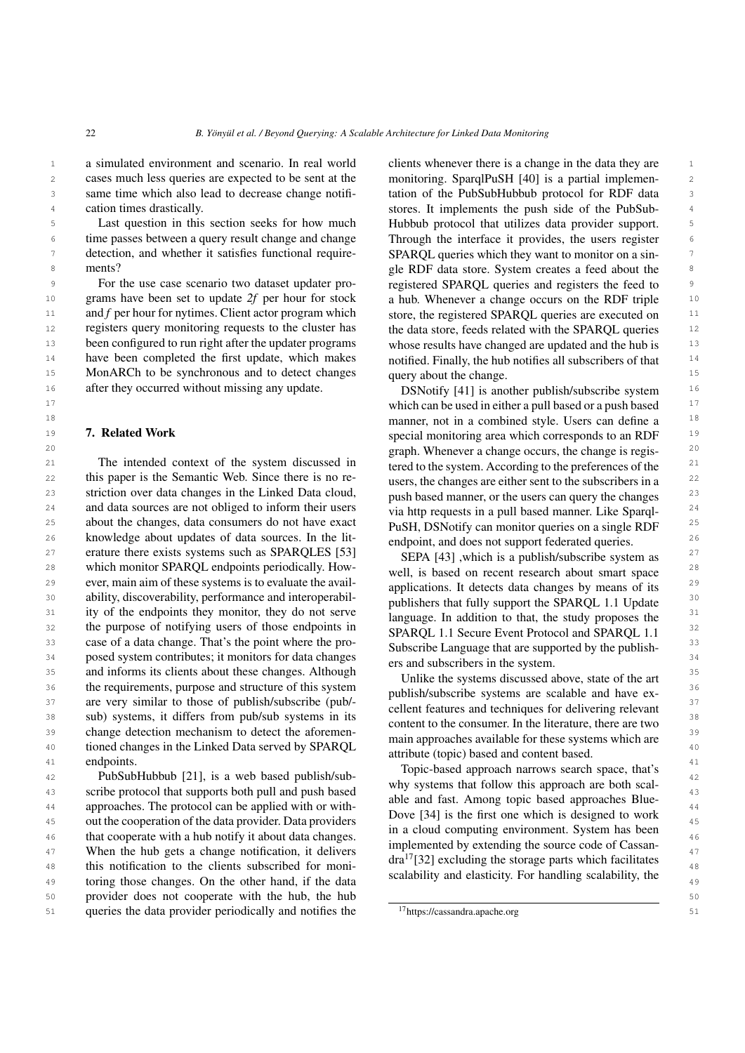1 a simulated environment and scenario. In real world clients whenever there is a change in the data they are 2 cases much less queries are expected to be sent at the monitoring. SparqlPuSH [40] is a partial implemen-3 same time which also lead to decrease change notifi-<br>tation of the PubSubHubbub protocol for RDF data 3 same time which also lead to decrease change notification times drastically.

Last question in this section seeks for how much detection, and whether it satisfies functional requirements?

<sup>9</sup> Por the use case scenario two dataset updater pro-<br><sup>9</sup> registered SPARQL queries and registers the feed to 10 grams have been set to update 2f per hour for stock a hub. Whenever a change occurs on the RDF triple  $10$ <sup>11</sup> and *f* per hour for nytimes. Client actor program which store, the registered SPARQL queries are executed on <sup>11</sup> <sup>12</sup> registers query monitoring requests to the cluster has the data store, feeds related with the SPAROL queries <sup>12</sup> <sup>13</sup> been configured to run right after the updater programs whose results have changed are updated and the hub is <sup>14</sup> have been completed the first update, which makes notified. Finally, the hub notifies all subscribers of that 15 MonARCh to be synchronous and to detect changes query about the change. For the use case scenario two dataset updater programs have been set to update *2f* per hour for stock after they occurred without missing any update.

### <span id="page-21-0"></span>7. Related Work

21 The intended context of the system discussed in the system. According to the preferences of the 21 22 this paper is the Semantic Web. Since there is no re-<br>
1922 users the changes are either sent to the subscribers in a 23 striction over data changes in the Linked Data cloud, have been manner or the users can query the changes 23 24 and data sources are not obliged to inform their users in a put a http requests in a pull based manner Like Sparol-25 about the changes, data consumers do not have exact  $P<sub>u</sub>SH<sub>u</sub>DSN<sub>0</sub>$  to the consumers on a single RDF  $^{25}$ 26 knowledge about updates of data sources. In the lit-<br>26 knowledge about updates of data sources. In the lit-<br>26 27 erature there exists systems such as SPARQLES [\[53\]](#page-24-20)  $\frac{SPARQLES}{SPBA}$  [43] which is a publish/subscribe system as  $^{27}$ <sup>28</sup> which monitor SPARQL endpoints periodically. How-<br><sup>28</sup> 29 29 ever, main aim of these systems is to evaluate the avail-30 30 ability, discoverability, performance and interoperabil-<sup>31</sup> ity of the endpoints they monitor, they do not serve **in a set of the study proposes** the <sup>31</sup> 32 the purpose of notifying users of those endpoints in SPAROL 1.1 Secure Event Protocol and SPAROL 1.1 32  $\frac{33}{21}$  case of a data change. That's the point where the pro-<br>Subscribe I anguage that are supported by the publish 34 posed system contributes; it monitors for data changes are and subscribers in the system <sup>35</sup> 35 and informs its clients about these changes. Although This the systems discussed above state of the art <sup>35</sup> <sup>36</sup> the requirements, purpose and structure of this system **bublich/cuberibe** systems are sealely and baye ax <sup>37</sup> are very similar to those of publish/subscribe (pub/-<br><sup>237</sup> allott features and techniques for delivering relevant 38 sub) systems, it differs from pub/sub systems in its content to the consumer. In the literature, there are two 38 39 change detection mechanism to detect the aforemen-<br>39 separate and consider the according which are the separate which are  $\frac{1}{2}$ 40 tioned changes in the Linked Data served by SPARQL the linked changes which are the discussion of the linked Data served by SPARQL the discussion of the second served by  $\frac{40}{40}$ endpoints.

42 PubSubHubbub [\[21\]](#page-24-21), is a web based publish/sub-<br><sup>142</sup> Pubs uptains that follows this aggregate publishing the subsequent of the subsequent of the subsequent of the subsequent of the subsequent of the subsequent of the su <sup>43</sup> scribe protocol that supports both pull and push based with systems und forth has approach are both pulled approaches. The protocol can be applied with or with-<br>a process of the first separate is a primary service in the service of the process of the service of the service of the service of the service of the service of the ser <sup>45</sup> out the cooperation of the data provider. Data providers and the data providers in a dentity of the continuous statements of the statements of the statements of the statements of the statements of the statements of th 46 that cooperate with a hub notify it about data changes. The cloud companing changes and the second 46  $47$  When the hub gets a change notification, it delivers  $\frac{175221}{12522}$  when the hub gets a change notification, it delivers 48 this notification to the clients subscribed for moni-<br> $\frac{u}{d}$  this notification to the clients subscribed for moni-49 toring those changes. On the other hand, if the data seal of the clastery. For nanumig seal of the 49 50 50 provider does not cooperate with the hub, the hub 51 queries the data provider periodically and notifies the <sup>17</sup>https://cassandra.apache.org 51

<sup>4</sup> cation times drastically. The stores. It implements the push side of the PubSub-<sup>5</sup> Last question in this section seeks for how much Hubbub protocol that utilizes data provider support. <sup>5</sup> <sup>6</sup> time passes between a query result change and change Through the interface it provides, the users register <sup>7</sup> detection, and whether it satisfies functional require-<br><sup>7</sup> SPARQL queries which they want to monitor on a sin-8 8 gle RDF data store. System creates a feed about the clients whenever there is a change in the data they are monitoring. SparqlPuSH [\[40\]](#page-24-22) is a partial implemen-Through the interface it provides, the users register store, the registered SPARQL queries are executed on the data store, feeds related with the SPARQL queries whose results have changed are updated and the hub is notified. Finally, the hub notifies all subscribers of that query about the change.

<sup>16</sup> after they occurred without missing any update. DSNotify [\[41\]](#page-24-23) is another publish/subscribe system <sup>16</sup> <sup>17</sup> 17 which can be used in either a pull based or a push based <sup>17</sup> 18 18 18 18 manner, not in a combined style. Users can define a 18 19 19 special monitoring area which corresponds to an RDF <sup>20</sup> 20 **20** 20 **20 graph.** Whenever a change occurs, the change is regis-<sup>20</sup> tered to the system. According to the preferences of the users, the changes are either sent to the subscribers in a push based manner, or the users can query the changes via http requests in a pull based manner. Like Sparql-PuSH, DSNotify can monitor queries on a single RDF endpoint, and does not support federated queries.

> SEPA [\[43\]](#page-24-24) ,which is a publish/subscribe system as well, is based on recent research about smart space applications. It detects data changes by means of its publishers that fully support the SPARQL 1.1 Update language. In addition to that, the study proposes the SPARQL 1.1 Secure Event Protocol and SPARQL 1.1 Subscribe Language that are supported by the publishers and subscribers in the system.

> Unlike the systems discussed above, state of the art publish/subscribe systems are scalable and have excellent features and techniques for delivering relevant content to the consumer. In the literature, there are two main approaches available for these systems which are attribute (topic) based and content based.

41 endpoints.<br><sup>41</sup> approach narrows search space, that's<br>Approach narrows search space, that's why systems that follow this approach are both scalable and fast. Among topic based approaches Blue-Dove [\[34\]](#page-24-25) is the first one which is designed to work in a cloud computing environment. System has been implemented by extending the source code of Cassan- $dra<sup>17</sup>[32]$  $dra<sup>17</sup>[32]$  $dra<sup>17</sup>[32]$  $dra<sup>17</sup>[32]$  excluding the storage parts which facilitates scalability and elasticity. For handling scalability, the

<span id="page-21-1"></span><sup>17</sup><https://cassandra.apache.org>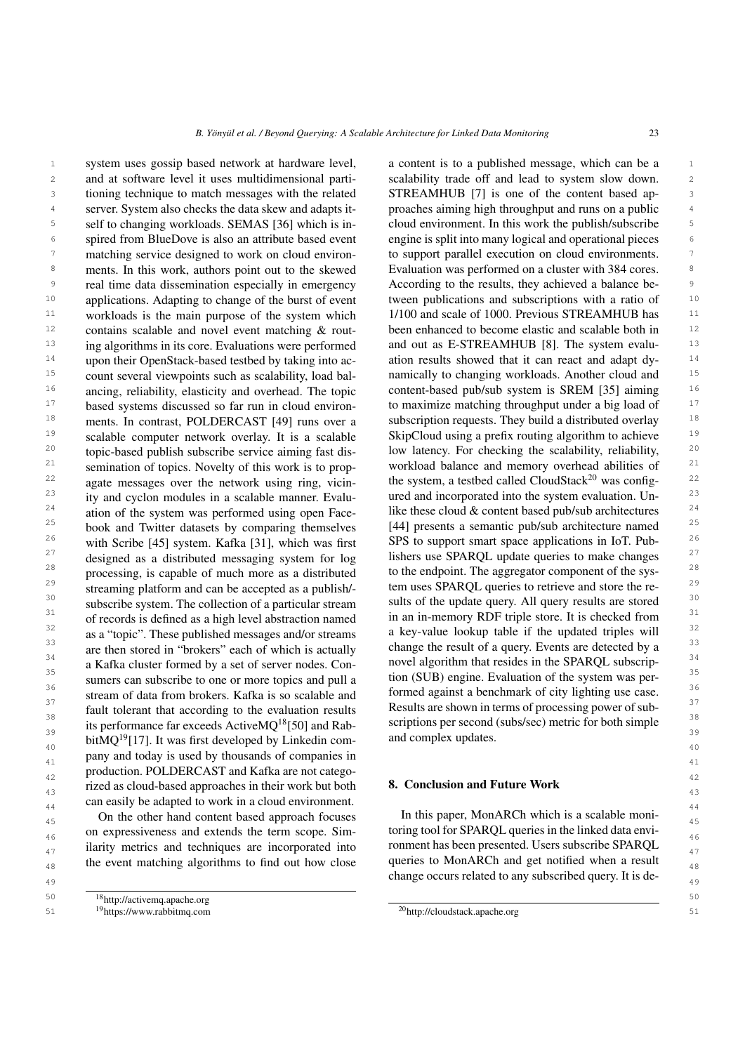<sup>1</sup> system uses gossip based network at hardware level, a content is to a published message, which can be a <sup>1</sup> 2 and at software level it uses multidimensional parti-<br>
scalability trade off and lead to system slow down. <sup>3</sup> ioning technique to match messages with the related STREAMHUB [7] is one of the content based ap-<sup>4</sup> server. System also checks the data skew and adapts it-<br>proaches aiming high throughput and runs on a public 5 self to changing workloads. SEMAS [36] which is in-<br>cloud environment. In this work the publish/subscribe 5 <sup>6</sup> spired from BlueDove is also an attribute based event engine is split into many logical and operational pieces <sup>7</sup> matching service designed to work on cloud environ- to support parallel execution on cloud environments. <sup>8</sup> ments. In this work, authors point out to the skewed Evaluation was performed on a cluster with 384 cores. <sup>9</sup> real time data dissemination especially in emergency According to the results, they achieved a balance be-<sup>10</sup> applications. Adapting to change of the burst of event tween publications and subscriptions with a ratio of <sup>10</sup> <sup>11</sup> workloads is the main purpose of the system which 1/100 and scale of 1000. Previous STREAMHUB has <sup>11</sup> <sup>12</sup> contains scalable and novel event matching  $\&$  routbeen enhanced to become elastic and scalable both in <sup>12</sup> <sup>13</sup> ing algorithms in its core. Evaluations were performed and out as E-STREAMHUB [\[8\]](#page-23-14). The system evalu-<sup>13</sup> <sup>14</sup> upon their OpenStack-based testbed by taking into ac- ation results showed that it can react and adapt dy- $15$  count several viewpoints such as scalability, load bal- namically to changing workloads. Another cloud and  $15$  $16$  ancing, reliability, elasticity and overhead. The topic content-based pub/sub system is SREM [\[35\]](#page-24-33) aiming  $16$  $17$  based systems discussed so far run in cloud environ- to maximize matching throughput under a big load of  $17$ <sup>18</sup> ments. In contrast, POLDERCAST [49] runs over a subscription requests. They build a distributed overlay <sup>18</sup> <sup>19</sup> scalable computer network overlay. It is a scalable SkipCloud using a prefix routing algorithm to achieve  $19$ <sup>20</sup> topic-based publish subscribe service aiming fast dis-<br>low latency. For checking the scalability, reliability,  $^{20}$ <sup>21</sup> semination of topics. Novelty of this work is to prop-<br>workload balance and memory overhead abilities of <sup>21</sup> <sup>22</sup> agate messages over the network using ring, vicin-<br>the system, a testbed called CloudStack<sup>[20](#page-22-2)</sup> was config-<sup>23</sup> ity and cyclon modules in a scalable manner. Evalu-<br><sup>23</sup> ured and incorporated into the system evaluation. Un-<sup>24</sup> ation of the system was performed using open Face-<br>like these cloud & content based pub/sub architectures<sup>24</sup>  $^{25}$  book and Twitter datasets by comparing themselves [\[44\]](#page-24-34) presents a semantic pub/sub architecture named  $^{25}$ <sup>26</sup> with Scribe [45] system. Kafka [31], which was first SPS to support smart space applications in IoT. Pub- $^{27}$  designed as a distributed messaging system for log lishers use SPARQL update queries to make changes  $^{27}$  $28$  processing, is capable of much more as a distributed to the endpoint. The aggregator component of the sys- $29$  streaming platform and can be accepted as a publish/-<br>tem uses SPARQL queries to retrieve and store the re-<sup>30</sup> subscribe system. The collection of a particular stream sults of the update query. All query results are stored <sup>30</sup> <sup>31</sup> of records is defined as a high level abstraction named in an in-memory RDF triple store. It is checked from <sup>31</sup>  $32$  as a "topic". These published messages and/or streams a key-value lookup table if the updated triples will  $32$ <sup>33</sup> are then stored in "brokers" each of which is actually change the result of a query. Events are detected by a <sup>34</sup> a Kafka cluster formed by a set of server nodes. Con-<br>a Kafka cluster formed by a set of server nodes. Con- $\frac{35}{35}$  surfamily cluster formed by a set of server notation. Sum tion (SUB) engine. Evaluation of the system was per-<br>sumers can subscribe to one or more topics and pull a tion (SUB) engine. Evaluation of the system 36 36 formed against a benchmark of city lighting use case.  $\frac{37}{28}$  fault tolerant that according to the evaluation results Results are shown in terms of processing power of sub-38 38 scriptions per second (subs/sec) metric for both simple its performance far exceeds ActiveMQ<sup>[18](#page-22-0)</sup>[\[50\]](#page-24-31) and Rab-<br><sup>39</sup><br>39<br>and segmalse undetermined the conditional of the conditional of the conditional of the conditional of the condition of the condition of the condition of the co  $\frac{35}{40}$  bitMQ<sup>[19](#page-22-1)</sup>[\[17\]](#page-24-32). It was first developed by Linkedin com-<br>40  $_{41}$  pany and today is used by thousands of companies in  $_{41}$ <sup>42</sup> production. POLDERCAST and Kafka are not catego-<br><sup>42</sup>  $_{43}$  rized as cloud-based approaches in their work but both **8. Conclusion and Future Work** can easily be adapted to work in a cloud environment. and at software level it uses multidimensional partiserver. System also checks the data skew and adapts itself to changing workloads. SEMAS [\[36\]](#page-24-27) which is inmatching service designed to work on cloud environapplications. Adapting to change of the burst of event contains scalable and novel event matching & routing algorithms in its core. Evaluations were performed upon their OpenStack-based testbed by taking into account several viewpoints such as scalability, load balancing, reliability, elasticity and overhead. The topic based systems discussed so far run in cloud environments. In contrast, POLDERCAST [\[49\]](#page-24-28) runs over a scalable computer network overlay. It is a scalable topic-based publish subscribe service aiming fast dissemination of topics. Novelty of this work is to propagate messages over the network using ring, vicinity and cyclon modules in a scalable manner. Evaluation of the system was performed using open Facebook and Twitter datasets by comparing themselves with Scribe [\[45\]](#page-24-29) system. Kafka [\[31\]](#page-24-30), which was first designed as a distributed messaging system for log processing, is capable of much more as a distributed streaming platform and can be accepted as a publish/ subscribe system. The collection of a particular stream of records is defined as a high level abstraction named as a "topic". These published messages and/or streams are then stored in "brokers" each of which is actually a Kafka cluster formed by a set of server nodes. Consumers can subscribe to one or more topics and pull a stream of data from brokers. Kafka is so scalable and

 $\mu_{45}$  On the other hand content based approach focuses In this paper, MonARCh which is a scalable moni- $_{46}$  on expressiveness and extends the term scope. Sim-<br> $_{46}$  toring tool for SPARQL queries in the linked data envi- $_{47}$  ilarity metrics and techniques are incorporated into ronment has been presented. Users subscribe SPARQL  $_{47}$  $_{48}$  the event matching algorithms to find out how close queries to MonARCh and get notified when a result  $_{48}$ 

a content is to a published message, which can be a STREAMHUB [\[7\]](#page-23-13) is one of the content based apengine is split into many logical and operational pieces Evaluation was performed on a cluster with 384 cores. According to the results, they achieved a balance be-1/100 and scale of 1000. Previous STREAMHUB has Results are shown in terms of processing power of suband complex updates.

### <span id="page-22-2"></span>8. Conclusion and Future Work

<sup>49</sup> thange occurs related to any subscribed query. It is de-In this paper, MonARCh which is a scalable monitoring tool for SPARQL queries in the linked data environment has been presented. Users subscribe SPARQL queries to MonARCh and get notified when a result

<sup>50</sup> 50 <sup>18</sup><http://activemq.apache.org>

<span id="page-22-1"></span><span id="page-22-0"></span><sup>19</sup><https://www.rabbitmq.com>

<sup>51</sup> 51 <sup>20</sup><http://cloudstack.apache.org>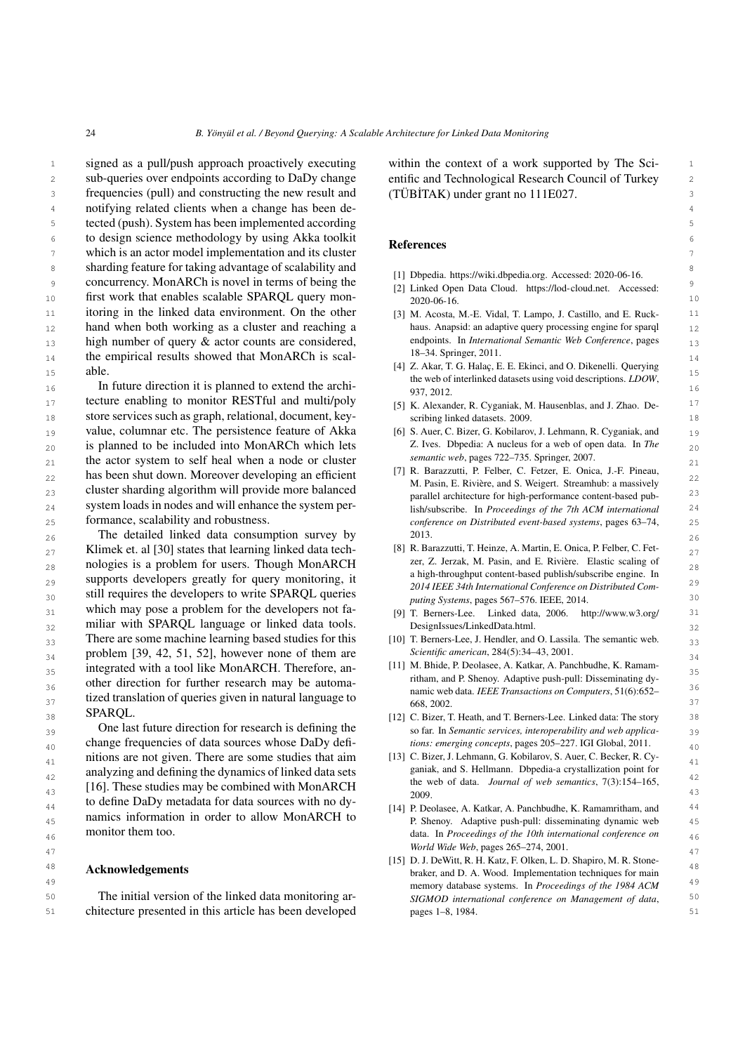<sup>1</sup> signed as a pull/push approach proactively executing within the context of a work supported by The Sci-2 sub-queries over endpoints according to DaDy change entific and Technological Research Council of Turkey 2 3 frequencies (pull) and constructing the new result and (TÜBITAK) under grant no 111E027. 4 4 notifying related clients when a change has been de-5 5 tected (push). System has been implemented according 6 6 to design science methodology by using Akka toolkit 7 which is an actor model implementation and its cluster **Exercífical** services of the state of the state of the state of the state of the state of the state of the state of the state of the state of the state of the state 8 8 8 sharding feature for taking advantage of scalability and<br>8 8 8 9 9 9 9 16 9 9 concurrency. MonARCh is novel in terms of being the 10 10 first work that enables scalable SPARQL query mon-11 11 [3] M. Acosta, M.-E. Vidal, T. Lampo, J. Castillo, and E. Ruck-12 hand when both working as a cluster and reaching a haus. Anapsid: an adaptive query processing engine for sparql 12 13 high number of query  $\&$  actor counts are considered, endpoints. In International Semantic Web Conference, pages  $\frac{13}{2}$ 14 the empirical results showed that MonARCh is scal-<br>14<br>14 itoring in the linked data environment. On the other able.

16 16 In future direction it is planned to extend the archi-17 tecture enabling to monitor RESTful and multi/poly 151 K Alexander R Cyganiak M Hausenblas and I Zhao De-18 18 store services such as graph, relational, document, key-19 value, columnar etc. The persistence feature of Akka [6] S. Auer, C. Bizer, G. Kobilarov, J. Lehmann, R. Cyganiak, and 19 20 is planned to be included into MonARCh which lets  $Z$ . Ives. Dbpedia: A nucleus for a web of open data. In The  $Z_{20}$ 21 the actor system to self heal when a node or cluster *semantic web*, pages  $722-735$ . Springer, 2007. has been shut down. Moreover developing an efficient  $\begin{bmatrix} 1 \end{bmatrix}$  K. Baiazzului, E. February C. February Street in the stress of  $S$ . February Street in the streether and  $S$ . When  $S$  is the streether than  $\begin{bmatrix} 22$ 23 cluster sharding algorithm will provide more balanced and the soul and the context was seen the context was alleged when the context was alleged when the context was alleged when the context was alleged when the context 24 24 lish/subscribe. In *Proceedings of the 7th ACM international* 25 25 *conference on Distributed event-based systems*, pages 63–74, system loads in nodes and will enhance the system performance, scalability and robustness.

 $_{26}$  The detailed linked data consumption survey by 2013. 27 Klimek et. al [\[30\]](#page-24-1) states that learning linked data tech- [8] R. Barazzutti, T. Heinze, A. Martin, E. Onica, P. Felber, C. Fet-28 **nologies is a problem for users. Though MonARCH** 28, 2. Jerzak, M. Pasin, and E. Rivière. Elastic scaling of 28 29 **2014** IELE 24th Integrating Content-based publish/subscribe eighter. In 29<br>29 **2014** IELE 24th Integrational Conference on Distributed Com  $_{30}$  still requires the developers to write SPARQL queries  $_{\text{putino Systems\,nages\,567-576\,IEEE\,2014}}$  $31$  WHICH HIRY POSE a problem for the developers hot 1a- [9] T. Berners-Lee. Linked data, 2006. [http://www.w3.org/](http://www.w3.org/DesignIssues/LinkedData.html)  $31$ 32 miliar with SPARQL language or linked data tools. DesignIssues/LinkedData.html. 33 There are some machine learning based studies for this [10] T. Berners-Lee, J. Hendler, and O. Lassila. The semantic web. 33  $_{34}$  problem [\[39,](#page-24-35) [42,](#page-24-36) [51,](#page-24-37) [52\]](#page-24-38), however none of them are *Scientific american*, 284(5):34–43, 2001. <sup>35</sup> integrated with a tool like MonARCH. Therefore, an-<br><sup>35</sup> integrated with a tool like MonARCH. Therefore, an-<br><sup>35</sup> <sup>36</sup><br><sup>36</sup> <sup>1</sup> <sup>1</sup> <sup>1</sup> <sup>1</sup> <sup>1</sup> <sup>36</sup> <sup>36</sup> <sup>1</sup> <sup>1</sup> <sup>1</sup> <sup>36</sup> <sup>36</sup> <sup>1</sup> <sup>1</sup> <sup>1</sup> <sup>1</sup> <sup>1</sup> <sup>1</sup> <sup>1</sup> <sup>1</sup> <sup>36</sup>  $\frac{37}{668}$   $\frac{2002}{2002}$  tized translation of queries given in natural language to which may pose a problem for the developers not faother direction for further research may be automa-SPARQL.

<span id="page-23-4"></span><sup>39</sup> **1998** One last future direction for research is defining the so far. In *Semantic services, interoperability and web applica-*<sub>40</sub> change frequencies of data sources whose DaDy defi-<br><sub>40</sub> tions: emerging concepts, pages 205–227. IGI Global, 2011. nitions are not given. There are some studies that aim [13] C. Bizer, J. Lehmann, G. Kobilarov, S. Auer, C. Becker, R. Cy-<br>
41 analyzing and defining the dynamics of linked data sets<br>  $\frac{1}{42}$  analyzing and defining the dynamics of linked data sets<br>  $\frac{1}{42}$  and  $\frac{1}{42}$  and  $\frac{1}{42}$  and  $\frac{1}{42}$  and  $\frac{1}{42}$  and  $\frac{1}{42}$  and  $\frac{1}{$  $_{43}$  [\[16\]](#page-24-39). These studies may be combined with MonARCH  $_{2000}$  and  $_{2000}$ <sup>44</sup> a comme Darry included for data sources with no dy<sup>-</sup> [14] P. Deolasee, A. Katkar, A. Panchbudhe, K. Ramamritham, and <sup>44</sup> 45 45 P. Shenoy. Adaptive push-pull: disseminating dynamic web One last future direction for research is defining the change frequencies of data sources whose DaDy defito define DaDy metadata for data sources with no dynamics information in order to allow MonARCH to monitor them too.

50 The initial version of the linked data monitoring ar-<br>50 SIGMOD international conference on Management of data, 51 51 chitecture presented in this article has been developed

within the context of a work supported by The Scientific and Technological Research Council of Turkey (TÜB˙ITAK) under grant no 111E027.

### References

- <span id="page-23-2"></span>[1] Dbpedia. [https://wiki.dbpedia.org.](https://wiki.dbpedia.org) Accessed: 2020-06-16.
- <span id="page-23-5"></span>[2] Linked Open Data Cloud. [https://lod-cloud.net.](https://lod-cloud.net) Accessed: 2020-06-16.
- <span id="page-23-14"></span><span id="page-23-13"></span><span id="page-23-12"></span><span id="page-23-11"></span><span id="page-23-9"></span><span id="page-23-8"></span><span id="page-23-6"></span><span id="page-23-3"></span><span id="page-23-0"></span>haus. Anapsid: an adaptive query processing engine for sparql endpoints. In *International Semantic Web Conference*, pages 18–34. Springer, 2011.
- 15 **able.**<br>15 **15 15 16. The first parties it is always of the article of the article of interlinked datasets using void descriptions.** *LDOW***,** [4] Z. Akar, T. G. Halaç, E. E. Ekinci, and O. Dikenelli. Querying 937, 2012.
	- [5] K. Alexander, R. Cyganiak, M. Hausenblas, and J. Zhao. Describing linked datasets. 2009.
	- [6] S. Auer, C. Bizer, G. Kobilarov, J. Lehmann, R. Cyganiak, and Z. Ives. Dbpedia: A nucleus for a web of open data. In *The semantic web*, pages 722–735. Springer, 2007.
	- [7] R. Barazzutti, P. Felber, C. Fetzer, E. Onica, J.-F. Pineau, M. Pasin, E. Rivière, and S. Weigert. Streamhub: a massively parallel architecture for high-performance content-based pub-2013.
	- [8] R. Barazzutti, T. Heinze, A. Martin, E. Onica, P. Felber, C. Fetzer, Z. Jerzak, M. Pasin, and E. Rivière. Elastic scaling of a high-throughput content-based publish/subscribe engine. In *2014 IEEE 34th International Conference on Distributed Computing Systems*, pages 567–576. IEEE, 2014.
	- [DesignIssues/LinkedData.html.](http://www.w3.org/DesignIssues/LinkedData.html)
	- [10] T. Berners-Lee, J. Hendler, and O. Lassila. The semantic web. *Scientific american*, 284(5):34–43, 2001.
	- [11] M. Bhide, P. Deolasee, A. Katkar, A. Panchbudhe, K. Ramamritham, and P. Shenoy. Adaptive push-pull: Disseminating dy-668, 2002.
- <span id="page-23-1"></span>38 38 [12] C. Bizer, T. Heath, and T. Berners-Lee. Linked data: The story
	- [13] C. Bizer, J. Lehmann, G. Kobilarov, S. Auer, C. Becker, R. Cyganiak, and S. Hellmann. Dbpedia-a crystallization point for the web of data. *Journal of web semantics*, 7(3):154–165, 2009.
- <span id="page-23-7"></span>4<sub>6</sub> **16 monitor them too.** The same of the 10th international conference on the 14th international conference on the 14th international conference on the 14th international conference on the 14th international conferenc 47 47 *World Wide Web*, pages 265–274, 2001.
- <span id="page-23-10"></span>48<br>**Acknowledgements and D. A. Wood.** Implementation techniques for main 49 49 memory database systems. In *Proceedings of the 1984 ACM* [15] D. J. DeWitt, R. H. Katz, F. Olken, L. D. Shapiro, M. R. Stonebraker, and D. A. Wood. Implementation techniques for main *SIGMOD international conference on Management of data*, pages 1–8, 1984.